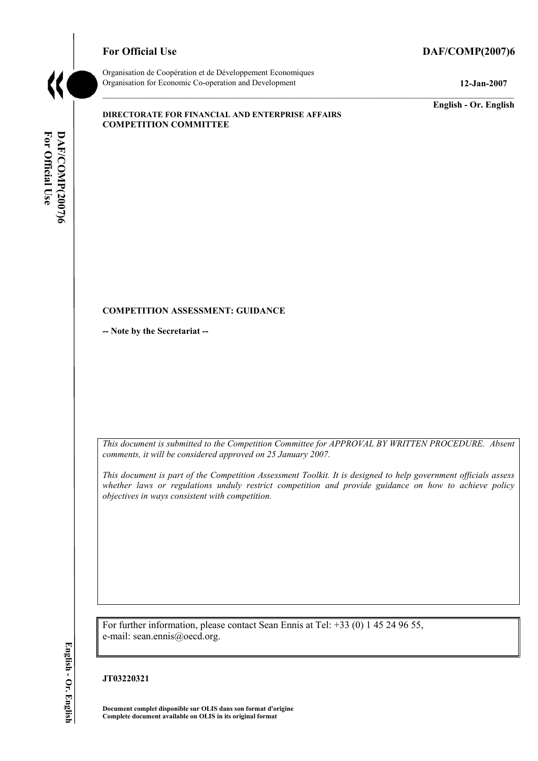# For Official Use DAF/COMP(2007)6



Organisation de CoopÈration et de DÈveloppement Economiques Organisation for Economic Co-operation and Development **12-Jan-2007** 

**English - Or. English** 

#### **DIRECTORATE FOR FINANCIAL AND ENTERPRISE AFFAIRS COMPETITION COMMITTEE**

#### **COMPETITION ASSESSMENT: GUIDANCE**

**-- Note by the Secretariat --** 

*This document is submitted to the Competition Committee for APPROVAL BY WRITTEN PROCEDURE. Absent comments, it will be considered approved on 25 January 2007.* 

*This document is part of the Competition Assessment Toolkit. It is designed to help government officials assess whether laws or regulations unduly restrict competition and provide guidance on how to achieve policy objectives in ways consistent with competition.* 

For further information, please contact Sean Ennis at Tel: +33 (0) 1 45 24 96 55, e-mail: sean.ennis@oecd.org.

# English - Or. English

**JT03220321** 

**Document complet disponible sur OLIS dans son format d'origine Complete document available on OLIS in its original format**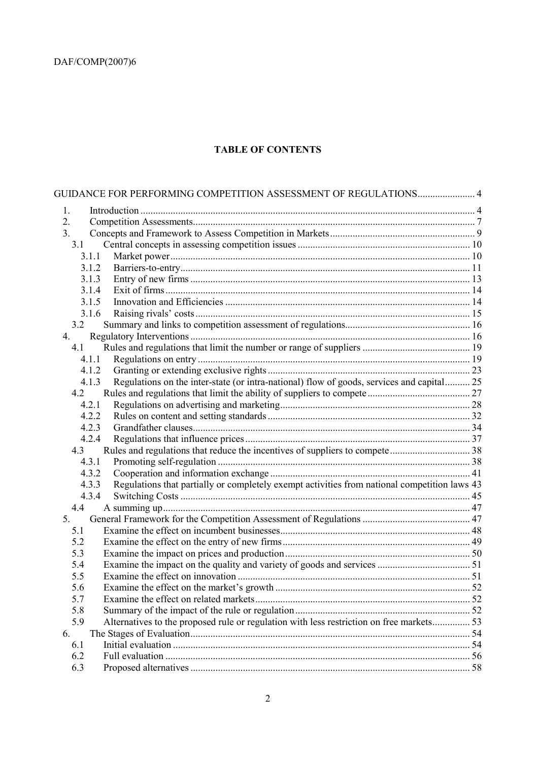# **TABLE OF CONTENTS**

| GUIDANCE FOR PERFORMING COMPETITION ASSESSMENT OF REGULATIONS 4                                       |  |
|-------------------------------------------------------------------------------------------------------|--|
| 1.                                                                                                    |  |
| 2.                                                                                                    |  |
| 3.                                                                                                    |  |
| 3.1                                                                                                   |  |
| 3.1.1                                                                                                 |  |
| 3.1.2                                                                                                 |  |
| 3.1.3                                                                                                 |  |
| 3.1.4                                                                                                 |  |
| 3.1.5                                                                                                 |  |
| 3.1.6                                                                                                 |  |
| 3.2                                                                                                   |  |
| 4.                                                                                                    |  |
| 4.1                                                                                                   |  |
| 4.1.1                                                                                                 |  |
| 4.1.2                                                                                                 |  |
| Regulations on the inter-state (or intra-national) flow of goods, services and capital 25<br>4.1.3    |  |
| 4.2                                                                                                   |  |
| 4.2.1                                                                                                 |  |
| 4.2.2                                                                                                 |  |
| 4.2.3                                                                                                 |  |
| 4.2.4                                                                                                 |  |
| 4.3                                                                                                   |  |
| 4.3.1                                                                                                 |  |
| 4.3.2                                                                                                 |  |
| Regulations that partially or completely exempt activities from national competition laws 43<br>4.3.3 |  |
| 4.3.4                                                                                                 |  |
| 4.4                                                                                                   |  |
| 5.                                                                                                    |  |
| 5.1                                                                                                   |  |
| 5.2                                                                                                   |  |
| 5.3                                                                                                   |  |
| 5.4                                                                                                   |  |
| 5.5                                                                                                   |  |
| 5.6                                                                                                   |  |
| 5.7                                                                                                   |  |
| 5.8                                                                                                   |  |
| Alternatives to the proposed rule or regulation with less restriction on free markets 53<br>5.9       |  |
| 6.                                                                                                    |  |
| 6.1                                                                                                   |  |
| 6.2                                                                                                   |  |
| 6.3                                                                                                   |  |
|                                                                                                       |  |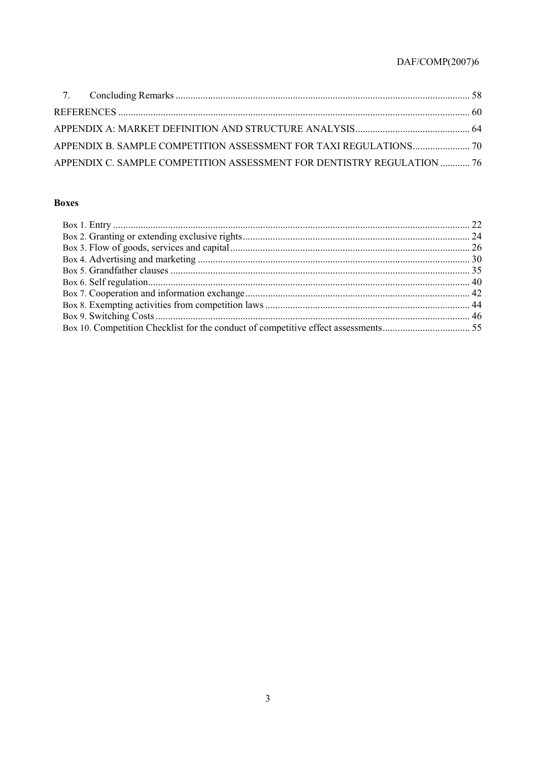| APPENDIX C. SAMPLE COMPETITION ASSESSMENT FOR DENTISTRY REGULATION  76 |  |
|------------------------------------------------------------------------|--|

# **Boxes**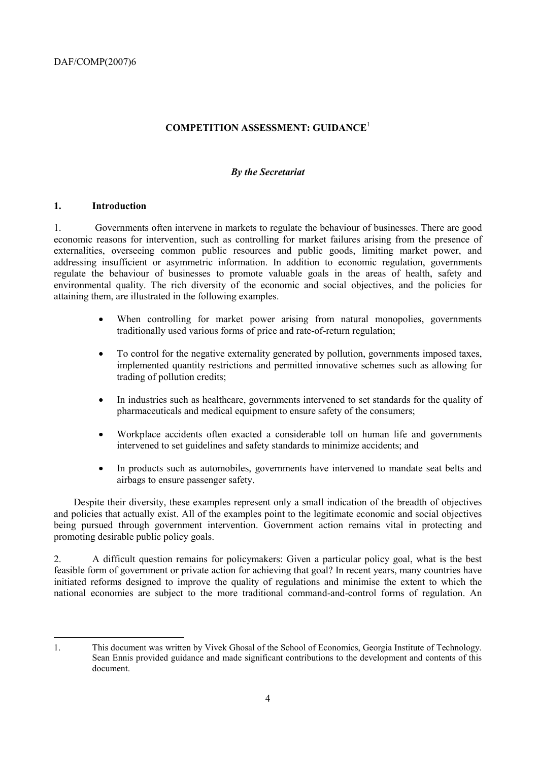# **COMPETITION ASSESSMENT: GUIDANCE**<sup>1</sup>

#### *By the Secretariat*

#### **1. Introduction**

1. Governments often intervene in markets to regulate the behaviour of businesses. There are good economic reasons for intervention, such as controlling for market failures arising from the presence of externalities, overseeing common public resources and public goods, limiting market power, and addressing insufficient or asymmetric information. In addition to economic regulation, governments regulate the behaviour of businesses to promote valuable goals in the areas of health, safety and environmental quality. The rich diversity of the economic and social objectives, and the policies for attaining them, are illustrated in the following examples.

- When controlling for market power arising from natural monopolies, governments traditionally used various forms of price and rate-of-return regulation;
- To control for the negative externality generated by pollution, governments imposed taxes, implemented quantity restrictions and permitted innovative schemes such as allowing for trading of pollution credits;
- In industries such as healthcare, governments intervened to set standards for the quality of pharmaceuticals and medical equipment to ensure safety of the consumers;
- Workplace accidents often exacted a considerable toll on human life and governments intervened to set guidelines and safety standards to minimize accidents; and
- In products such as automobiles, governments have intervened to mandate seat belts and airbags to ensure passenger safety.

Despite their diversity, these examples represent only a small indication of the breadth of objectives and policies that actually exist. All of the examples point to the legitimate economic and social objectives being pursued through government intervention. Government action remains vital in protecting and promoting desirable public policy goals.

2. A difficult question remains for policymakers: Given a particular policy goal, what is the best feasible form of government or private action for achieving that goal? In recent years, many countries have initiated reforms designed to improve the quality of regulations and minimise the extent to which the national economies are subject to the more traditional command-and-control forms of regulation. An

 $\overline{a}$ 1. This document was written by Vivek Ghosal of the School of Economics, Georgia Institute of Technology. Sean Ennis provided guidance and made significant contributions to the development and contents of this document.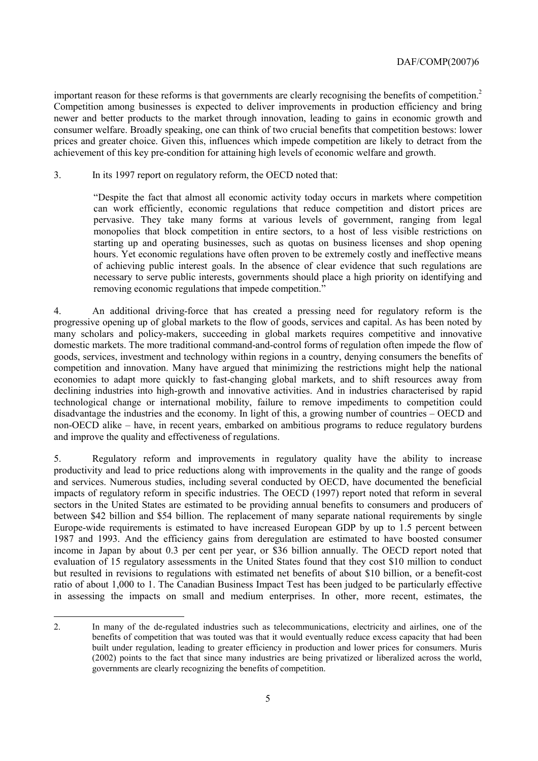important reason for these reforms is that governments are clearly recognising the benefits of competition.<sup>2</sup> Competition among businesses is expected to deliver improvements in production efficiency and bring newer and better products to the market through innovation, leading to gains in economic growth and consumer welfare. Broadly speaking, one can think of two crucial benefits that competition bestows: lower prices and greater choice. Given this, influences which impede competition are likely to detract from the achievement of this key pre-condition for attaining high levels of economic welfare and growth.

3. In its 1997 report on regulatory reform, the OECD noted that:

ìDespite the fact that almost all economic activity today occurs in markets where competition can work efficiently, economic regulations that reduce competition and distort prices are pervasive. They take many forms at various levels of government, ranging from legal monopolies that block competition in entire sectors, to a host of less visible restrictions on starting up and operating businesses, such as quotas on business licenses and shop opening hours. Yet economic regulations have often proven to be extremely costly and ineffective means of achieving public interest goals. In the absence of clear evidence that such regulations are necessary to serve public interests, governments should place a high priority on identifying and removing economic regulations that impede competition.<sup>"</sup>

4. An additional driving-force that has created a pressing need for regulatory reform is the progressive opening up of global markets to the flow of goods, services and capital. As has been noted by many scholars and policy-makers, succeeding in global markets requires competitive and innovative domestic markets. The more traditional command-and-control forms of regulation often impede the flow of goods, services, investment and technology within regions in a country, denying consumers the benefits of competition and innovation. Many have argued that minimizing the restrictions might help the national economies to adapt more quickly to fast-changing global markets, and to shift resources away from declining industries into high-growth and innovative activities. And in industries characterised by rapid technological change or international mobility, failure to remove impediments to competition could disadvantage the industries and the economy. In light of this, a growing number of countries  $-\text{OECD}$  and non-OECD alike – have, in recent years, embarked on ambitious programs to reduce regulatory burdens and improve the quality and effectiveness of regulations.

5. Regulatory reform and improvements in regulatory quality have the ability to increase productivity and lead to price reductions along with improvements in the quality and the range of goods and services. Numerous studies, including several conducted by OECD, have documented the beneficial impacts of regulatory reform in specific industries. The OECD (1997) report noted that reform in several sectors in the United States are estimated to be providing annual benefits to consumers and producers of between \$42 billion and \$54 billion. The replacement of many separate national requirements by single Europe-wide requirements is estimated to have increased European GDP by up to 1.5 percent between 1987 and 1993. And the efficiency gains from deregulation are estimated to have boosted consumer income in Japan by about 0.3 per cent per year, or \$36 billion annually. The OECD report noted that evaluation of 15 regulatory assessments in the United States found that they cost \$10 million to conduct but resulted in revisions to regulations with estimated net benefits of about \$10 billion, or a benefit-cost ratio of about 1,000 to 1. The Canadian Business Impact Test has been judged to be particularly effective in assessing the impacts on small and medium enterprises. In other, more recent, estimates, the

 2. In many of the de-regulated industries such as telecommunications, electricity and airlines, one of the benefits of competition that was touted was that it would eventually reduce excess capacity that had been built under regulation, leading to greater efficiency in production and lower prices for consumers. Muris (2002) points to the fact that since many industries are being privatized or liberalized across the world, governments are clearly recognizing the benefits of competition.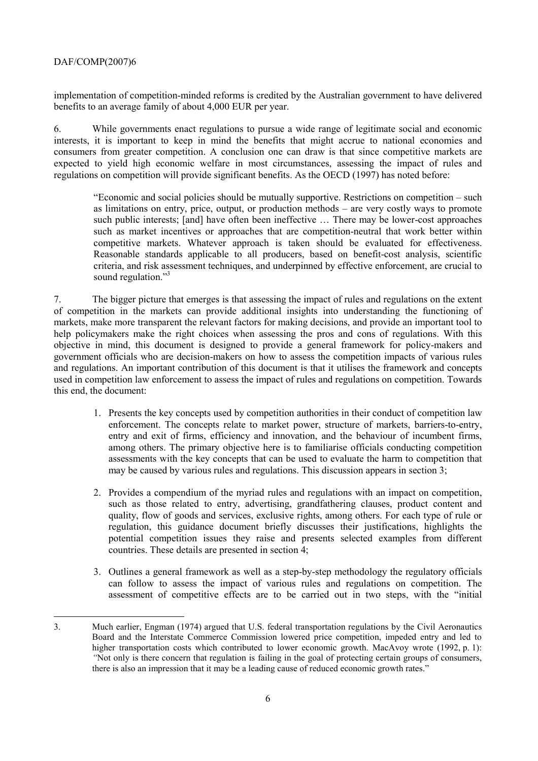implementation of competition-minded reforms is credited by the Australian government to have delivered benefits to an average family of about 4,000 EUR per year.

6. While governments enact regulations to pursue a wide range of legitimate social and economic interests, it is important to keep in mind the benefits that might accrue to national economies and consumers from greater competition. A conclusion one can draw is that since competitive markets are expected to yield high economic welfare in most circumstances, assessing the impact of rules and regulations on competition will provide significant benefits. As the OECD (1997) has noted before:

*i*Economic and social policies should be mutually supportive. Restrictions on competition – such as limitations on entry, price, output, or production methods – are very costly ways to promote such public interests; [and] have often been ineffective ... There may be lower-cost approaches such as market incentives or approaches that are competition-neutral that work better within competitive markets. Whatever approach is taken should be evaluated for effectiveness. Reasonable standards applicable to all producers, based on benefit-cost analysis, scientific criteria, and risk assessment techniques, and underpinned by effective enforcement, are crucial to sound regulation.<sup>73</sup>

7. The bigger picture that emerges is that assessing the impact of rules and regulations on the extent of competition in the markets can provide additional insights into understanding the functioning of markets, make more transparent the relevant factors for making decisions, and provide an important tool to help policymakers make the right choices when assessing the pros and cons of regulations. With this objective in mind, this document is designed to provide a general framework for policy-makers and government officials who are decision-makers on how to assess the competition impacts of various rules and regulations. An important contribution of this document is that it utilises the framework and concepts used in competition law enforcement to assess the impact of rules and regulations on competition. Towards this end, the document:

- 1. Presents the key concepts used by competition authorities in their conduct of competition law enforcement. The concepts relate to market power, structure of markets, barriers-to-entry, entry and exit of firms, efficiency and innovation, and the behaviour of incumbent firms, among others. The primary objective here is to familiarise officials conducting competition assessments with the key concepts that can be used to evaluate the harm to competition that may be caused by various rules and regulations. This discussion appears in section 3;
- 2. Provides a compendium of the myriad rules and regulations with an impact on competition, such as those related to entry, advertising, grandfathering clauses, product content and quality, flow of goods and services, exclusive rights, among others. For each type of rule or regulation, this guidance document briefly discusses their justifications, highlights the potential competition issues they raise and presents selected examples from different countries. These details are presented in section 4;
- 3. Outlines a general framework as well as a step-by-step methodology the regulatory officials can follow to assess the impact of various rules and regulations on competition. The assessment of competitive effects are to be carried out in two steps, with the "initial

 3. Much earlier, Engman (1974) argued that U.S. federal transportation regulations by the Civil Aeronautics Board and the Interstate Commerce Commission lowered price competition, impeded entry and led to higher transportation costs which contributed to lower economic growth. MacAvoy wrote (1992, p. 1): *<sup>***<sup></sup>Not only is there concern that regulation is failing in the goal of protecting certain groups of consumers,</sup>** there is also an impression that it may be a leading cause of reduced economic growth rates."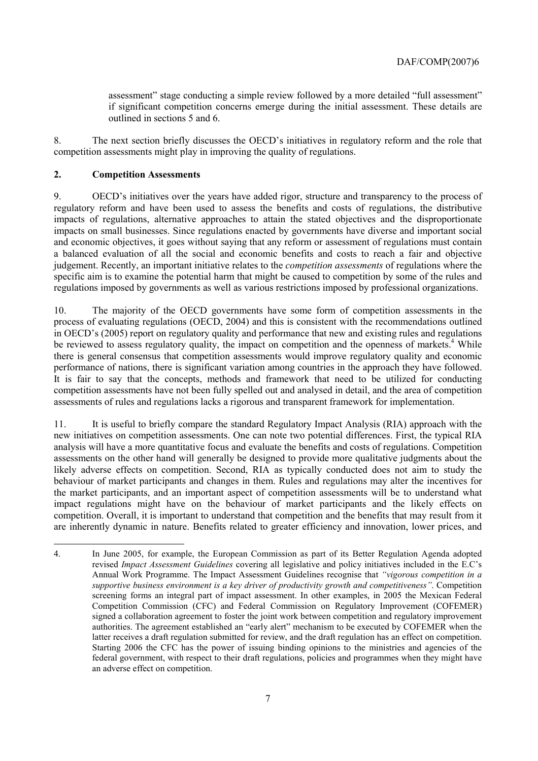assessment" stage conducting a simple review followed by a more detailed "full assessment" if significant competition concerns emerge during the initial assessment. These details are outlined in sections 5 and 6.

8. The next section briefly discusses the OECD's initiatives in regulatory reform and the role that competition assessments might play in improving the quality of regulations.

#### **2. Competition Assessments**

 $\overline{a}$ 

9. OECDís initiatives over the years have added rigor, structure and transparency to the process of regulatory reform and have been used to assess the benefits and costs of regulations, the distributive impacts of regulations, alternative approaches to attain the stated objectives and the disproportionate impacts on small businesses. Since regulations enacted by governments have diverse and important social and economic objectives, it goes without saying that any reform or assessment of regulations must contain a balanced evaluation of all the social and economic benefits and costs to reach a fair and objective judgement. Recently, an important initiative relates to the *competition assessments* of regulations where the specific aim is to examine the potential harm that might be caused to competition by some of the rules and regulations imposed by governments as well as various restrictions imposed by professional organizations.

10. The majority of the OECD governments have some form of competition assessments in the process of evaluating regulations (OECD, 2004) and this is consistent with the recommendations outlined in OECD's (2005) report on regulatory quality and performance that new and existing rules and regulations be reviewed to assess regulatory quality, the impact on competition and the openness of markets.<sup>4</sup> While there is general consensus that competition assessments would improve regulatory quality and economic performance of nations, there is significant variation among countries in the approach they have followed. It is fair to say that the concepts, methods and framework that need to be utilized for conducting competition assessments have not been fully spelled out and analysed in detail, and the area of competition assessments of rules and regulations lacks a rigorous and transparent framework for implementation.

11. It is useful to briefly compare the standard Regulatory Impact Analysis (RIA) approach with the new initiatives on competition assessments. One can note two potential differences. First, the typical RIA analysis will have a more quantitative focus and evaluate the benefits and costs of regulations. Competition assessments on the other hand will generally be designed to provide more qualitative judgments about the likely adverse effects on competition. Second, RIA as typically conducted does not aim to study the behaviour of market participants and changes in them. Rules and regulations may alter the incentives for the market participants, and an important aspect of competition assessments will be to understand what impact regulations might have on the behaviour of market participants and the likely effects on competition. Overall, it is important to understand that competition and the benefits that may result from it are inherently dynamic in nature. Benefits related to greater efficiency and innovation, lower prices, and

<sup>4.</sup> In June 2005, for example, the European Commission as part of its Better Regulation Agenda adopted revised *Impact Assessment Guidelines* covering all legislative and policy initiatives included in the E.Cís Annual Work Programme. The Impact Assessment Guidelines recognise that *ìvigorous competition in a supportive business environment is a key driver of productivity growth and competitivenessî*. Competition screening forms an integral part of impact assessment. In other examples, in 2005 the Mexican Federal Competition Commission (CFC) and Federal Commission on Regulatory Improvement (COFEMER) signed a collaboration agreement to foster the joint work between competition and regulatory improvement authorities. The agreement established an "early alert" mechanism to be executed by COFEMER when the latter receives a draft regulation submitted for review, and the draft regulation has an effect on competition. Starting 2006 the CFC has the power of issuing binding opinions to the ministries and agencies of the federal government, with respect to their draft regulations, policies and programmes when they might have an adverse effect on competition.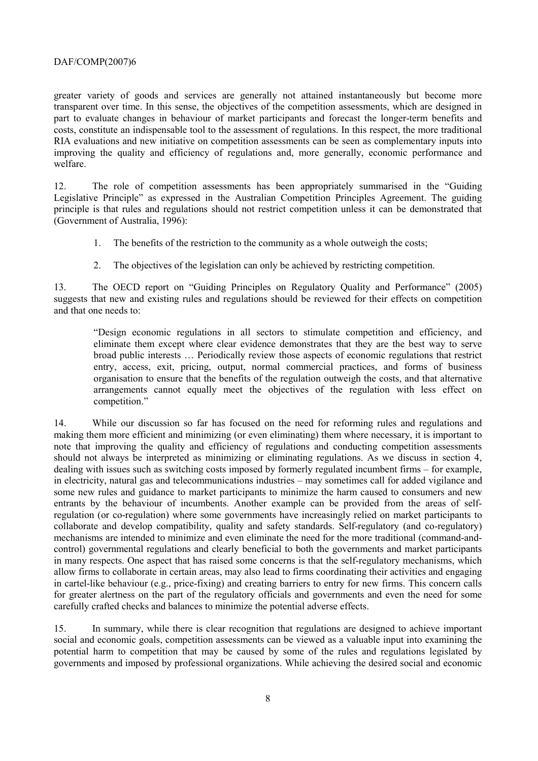greater variety of goods and services are generally not attained instantaneously but become more transparent over time. In this sense, the objectives of the competition assessments, which are designed in part to evaluate changes in behaviour of market participants and forecast the longer-term benefits and costs, constitute an indispensable tool to the assessment of regulations. In this respect, the more traditional RIA evaluations and new initiative on competition assessments can be seen as complementary inputs into improving the quality and efficiency of regulations and, more generally, economic performance and welfare.

12. The role of competition assessments has been appropriately summarised in the "Guiding" Legislative Principle" as expressed in the Australian Competition Principles Agreement. The guiding principle is that rules and regulations should not restrict competition unless it can be demonstrated that (Government of Australia, 1996):

- 1. The benefits of the restriction to the community as a whole outweigh the costs;
- 2. The objectives of the legislation can only be achieved by restricting competition.

13. The OECD report on "Guiding Principles on Regulatory Quality and Performance" (2005) suggests that new and existing rules and regulations should be reviewed for their effects on competition and that one needs to:

ìDesign economic regulations in all sectors to stimulate competition and efficiency, and eliminate them except where clear evidence demonstrates that they are the best way to serve broad public interests  $\ldots$  Periodically review those aspects of economic regulations that restrict entry, access, exit, pricing, output, normal commercial practices, and forms of business organisation to ensure that the benefits of the regulation outweigh the costs, and that alternative arrangements cannot equally meet the objectives of the regulation with less effect on competition."

14. While our discussion so far has focused on the need for reforming rules and regulations and making them more efficient and minimizing (or even eliminating) them where necessary, it is important to note that improving the quality and efficiency of regulations and conducting competition assessments should not always be interpreted as minimizing or eliminating regulations. As we discuss in section 4, dealing with issues such as switching costs imposed by formerly regulated incumbent firms – for example, in electricity, natural gas and telecommunications industries – may sometimes call for added vigilance and some new rules and guidance to market participants to minimize the harm caused to consumers and new entrants by the behaviour of incumbents. Another example can be provided from the areas of selfregulation (or co-regulation) where some governments have increasingly relied on market participants to collaborate and develop compatibility, quality and safety standards. Self-regulatory (and co-regulatory) mechanisms are intended to minimize and even eliminate the need for the more traditional (command-andcontrol) governmental regulations and clearly beneficial to both the governments and market participants in many respects. One aspect that has raised some concerns is that the self-regulatory mechanisms, which allow firms to collaborate in certain areas, may also lead to firms coordinating their activities and engaging in cartel-like behaviour (e.g., price-fixing) and creating barriers to entry for new firms. This concern calls for greater alertness on the part of the regulatory officials and governments and even the need for some carefully crafted checks and balances to minimize the potential adverse effects.

15. In summary, while there is clear recognition that regulations are designed to achieve important social and economic goals, competition assessments can be viewed as a valuable input into examining the potential harm to competition that may be caused by some of the rules and regulations legislated by governments and imposed by professional organizations. While achieving the desired social and economic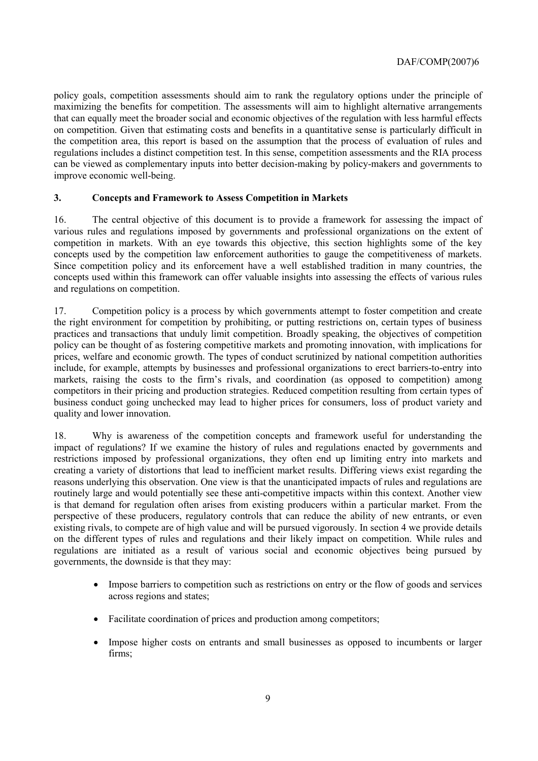policy goals, competition assessments should aim to rank the regulatory options under the principle of maximizing the benefits for competition. The assessments will aim to highlight alternative arrangements that can equally meet the broader social and economic objectives of the regulation with less harmful effects on competition. Given that estimating costs and benefits in a quantitative sense is particularly difficult in the competition area, this report is based on the assumption that the process of evaluation of rules and regulations includes a distinct competition test. In this sense, competition assessments and the RIA process can be viewed as complementary inputs into better decision-making by policy-makers and governments to improve economic well-being.

# **3. Concepts and Framework to Assess Competition in Markets**

16. The central objective of this document is to provide a framework for assessing the impact of various rules and regulations imposed by governments and professional organizations on the extent of competition in markets. With an eye towards this objective, this section highlights some of the key concepts used by the competition law enforcement authorities to gauge the competitiveness of markets. Since competition policy and its enforcement have a well established tradition in many countries, the concepts used within this framework can offer valuable insights into assessing the effects of various rules and regulations on competition.

17. Competition policy is a process by which governments attempt to foster competition and create the right environment for competition by prohibiting, or putting restrictions on, certain types of business practices and transactions that unduly limit competition. Broadly speaking, the objectives of competition policy can be thought of as fostering competitive markets and promoting innovation, with implications for prices, welfare and economic growth. The types of conduct scrutinized by national competition authorities include, for example, attempts by businesses and professional organizations to erect barriers-to-entry into markets, raising the costs to the firm's rivals, and coordination (as opposed to competition) among competitors in their pricing and production strategies. Reduced competition resulting from certain types of business conduct going unchecked may lead to higher prices for consumers, loss of product variety and quality and lower innovation.

18. Why is awareness of the competition concepts and framework useful for understanding the impact of regulations? If we examine the history of rules and regulations enacted by governments and restrictions imposed by professional organizations, they often end up limiting entry into markets and creating a variety of distortions that lead to inefficient market results. Differing views exist regarding the reasons underlying this observation. One view is that the unanticipated impacts of rules and regulations are routinely large and would potentially see these anti-competitive impacts within this context. Another view is that demand for regulation often arises from existing producers within a particular market. From the perspective of these producers, regulatory controls that can reduce the ability of new entrants, or even existing rivals, to compete are of high value and will be pursued vigorously. In section 4 we provide details on the different types of rules and regulations and their likely impact on competition. While rules and regulations are initiated as a result of various social and economic objectives being pursued by governments, the downside is that they may:

- Impose barriers to competition such as restrictions on entry or the flow of goods and services across regions and states;
- Facilitate coordination of prices and production among competitors;
- Impose higher costs on entrants and small businesses as opposed to incumbents or larger firms;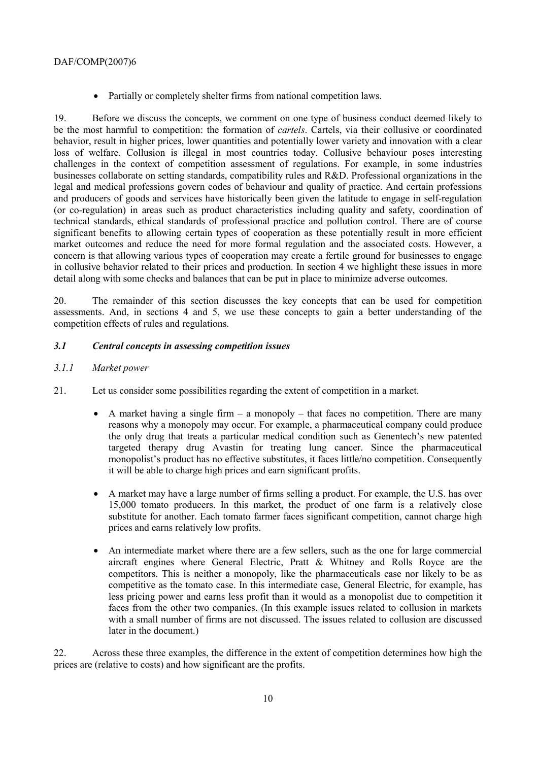• Partially or completely shelter firms from national competition laws.

19. Before we discuss the concepts, we comment on one type of business conduct deemed likely to be the most harmful to competition: the formation of *cartels*. Cartels, via their collusive or coordinated behavior, result in higher prices, lower quantities and potentially lower variety and innovation with a clear loss of welfare. Collusion is illegal in most countries today. Collusive behaviour poses interesting challenges in the context of competition assessment of regulations. For example, in some industries businesses collaborate on setting standards, compatibility rules and R&D. Professional organizations in the legal and medical professions govern codes of behaviour and quality of practice. And certain professions and producers of goods and services have historically been given the latitude to engage in self-regulation (or co-regulation) in areas such as product characteristics including quality and safety, coordination of technical standards, ethical standards of professional practice and pollution control. There are of course significant benefits to allowing certain types of cooperation as these potentially result in more efficient market outcomes and reduce the need for more formal regulation and the associated costs. However, a concern is that allowing various types of cooperation may create a fertile ground for businesses to engage in collusive behavior related to their prices and production. In section 4 we highlight these issues in more detail along with some checks and balances that can be put in place to minimize adverse outcomes.

20. The remainder of this section discusses the key concepts that can be used for competition assessments. And, in sections 4 and 5, we use these concepts to gain a better understanding of the competition effects of rules and regulations.

# *3.1 Central concepts in assessing competition issues*

- *3.1.1 Market power*
- 21. Let us consider some possibilities regarding the extent of competition in a market.
	- A market having a single firm  $-$  a monopoly  $-$  that faces no competition. There are many reasons why a monopoly may occur. For example, a pharmaceutical company could produce the only drug that treats a particular medical condition such as Genentech's new patented targeted therapy drug Avastin for treating lung cancer. Since the pharmaceutical monopolist's product has no effective substitutes, it faces little/no competition. Consequently it will be able to charge high prices and earn significant profits.
	- A market may have a large number of firms selling a product. For example, the U.S. has over 15,000 tomato producers. In this market, the product of one farm is a relatively close substitute for another. Each tomato farmer faces significant competition, cannot charge high prices and earns relatively low profits.
	- An intermediate market where there are a few sellers, such as the one for large commercial aircraft engines where General Electric, Pratt & Whitney and Rolls Royce are the competitors. This is neither a monopoly, like the pharmaceuticals case nor likely to be as competitive as the tomato case. In this intermediate case, General Electric, for example, has less pricing power and earns less profit than it would as a monopolist due to competition it faces from the other two companies. (In this example issues related to collusion in markets with a small number of firms are not discussed. The issues related to collusion are discussed later in the document.)

22. Across these three examples, the difference in the extent of competition determines how high the prices are (relative to costs) and how significant are the profits.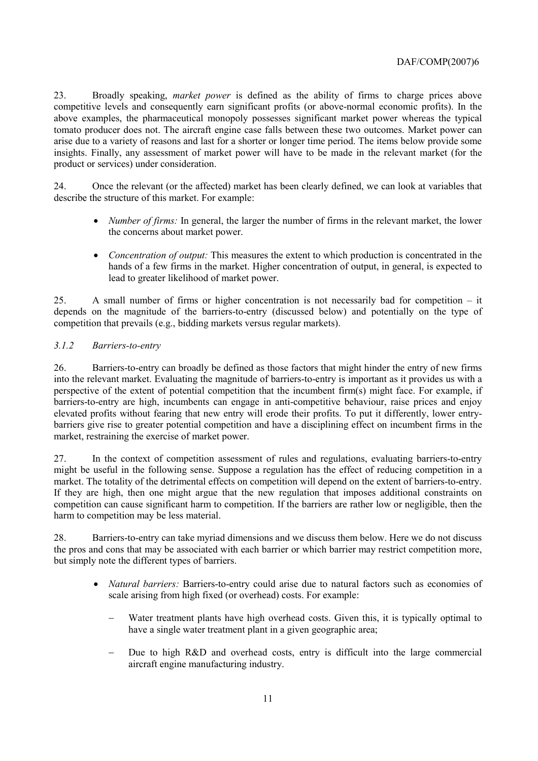23. Broadly speaking, *market power* is defined as the ability of firms to charge prices above competitive levels and consequently earn significant profits (or above-normal economic profits). In the above examples, the pharmaceutical monopoly possesses significant market power whereas the typical tomato producer does not. The aircraft engine case falls between these two outcomes. Market power can arise due to a variety of reasons and last for a shorter or longer time period. The items below provide some insights. Finally, any assessment of market power will have to be made in the relevant market (for the product or services) under consideration.

24. Once the relevant (or the affected) market has been clearly defined, we can look at variables that describe the structure of this market. For example:

- *Number of firms:* In general, the larger the number of firms in the relevant market, the lower the concerns about market power.
- *Concentration of output:* This measures the extent to which production is concentrated in the hands of a few firms in the market. Higher concentration of output, in general, is expected to lead to greater likelihood of market power.

25. A small number of firms or higher concentration is not necessarily bad for competition  $-$  it depends on the magnitude of the barriers-to-entry (discussed below) and potentially on the type of competition that prevails (e.g., bidding markets versus regular markets).

# *3.1.2 Barriers-to-entry*

26. Barriers-to-entry can broadly be defined as those factors that might hinder the entry of new firms into the relevant market. Evaluating the magnitude of barriers-to-entry is important as it provides us with a perspective of the extent of potential competition that the incumbent firm(s) might face. For example, if barriers-to-entry are high, incumbents can engage in anti-competitive behaviour, raise prices and enjoy elevated profits without fearing that new entry will erode their profits. To put it differently, lower entrybarriers give rise to greater potential competition and have a disciplining effect on incumbent firms in the market, restraining the exercise of market power.

27. In the context of competition assessment of rules and regulations, evaluating barriers-to-entry might be useful in the following sense. Suppose a regulation has the effect of reducing competition in a market. The totality of the detrimental effects on competition will depend on the extent of barriers-to-entry. If they are high, then one might argue that the new regulation that imposes additional constraints on competition can cause significant harm to competition. If the barriers are rather low or negligible, then the harm to competition may be less material.

28. Barriers-to-entry can take myriad dimensions and we discuss them below. Here we do not discuss the pros and cons that may be associated with each barrier or which barrier may restrict competition more, but simply note the different types of barriers.

- *Natural barriers:* Barriers-to-entry could arise due to natural factors such as economies of scale arising from high fixed (or overhead) costs. For example:
	- Water treatment plants have high overhead costs. Given this, it is typically optimal to have a single water treatment plant in a given geographic area;
	- Due to high R&D and overhead costs, entry is difficult into the large commercial aircraft engine manufacturing industry.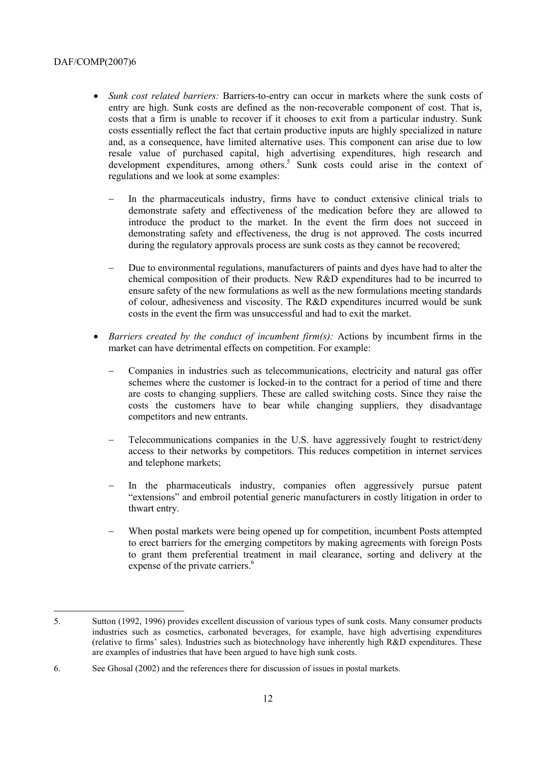- *Sunk cost related barriers:* Barriers-to-entry can occur in markets where the sunk costs of entry are high. Sunk costs are defined as the non-recoverable component of cost. That is, costs that a firm is unable to recover if it chooses to exit from a particular industry. Sunk costs essentially reflect the fact that certain productive inputs are highly specialized in nature and, as a consequence, have limited alternative uses. This component can arise due to low resale value of purchased capital, high advertising expenditures, high research and development expenditures, among others.<sup>5</sup> Sunk costs could arise in the context of regulations and we look at some examples:
	- In the pharmaceuticals industry, firms have to conduct extensive clinical trials to demonstrate safety and effectiveness of the medication before they are allowed to introduce the product to the market. In the event the firm does not succeed in demonstrating safety and effectiveness, the drug is not approved. The costs incurred during the regulatory approvals process are sunk costs as they cannot be recovered;
	- Due to environmental regulations, manufacturers of paints and dyes have had to alter the chemical composition of their products. New R&D expenditures had to be incurred to ensure safety of the new formulations as well as the new formulations meeting standards of colour, adhesiveness and viscosity. The R&D expenditures incurred would be sunk costs in the event the firm was unsuccessful and had to exit the market.
- *Barriers created by the conduct of incumbent firm(s):* Actions by incumbent firms in the market can have detrimental effects on competition. For example:
	- − Companies in industries such as telecommunications, electricity and natural gas offer schemes where the customer is locked-in to the contract for a period of time and there are costs to changing suppliers. These are called switching costs. Since they raise the costs the customers have to bear while changing suppliers, they disadvantage competitors and new entrants.
	- Telecommunications companies in the U.S. have aggressively fought to restrict/deny access to their networks by competitors. This reduces competition in internet services and telephone markets;
	- In the pharmaceuticals industry, companies often aggressively pursue patent ìextensionsî and embroil potential generic manufacturers in costly litigation in order to thwart entry.
	- When postal markets were being opened up for competition, incumbent Posts attempted to erect barriers for the emerging competitors by making agreements with foreign Posts to grant them preferential treatment in mail clearance, sorting and delivery at the expense of the private carriers.<sup>6</sup>

<sup>5.</sup> Sutton (1992, 1996) provides excellent discussion of various types of sunk costs. Many consumer products industries such as cosmetics, carbonated beverages, for example, have high advertising expenditures (relative to firms' sales). Industries such as biotechnology have inherently high  $R&D$  expenditures. These are examples of industries that have been argued to have high sunk costs.

<sup>6.</sup> See Ghosal (2002) and the references there for discussion of issues in postal markets.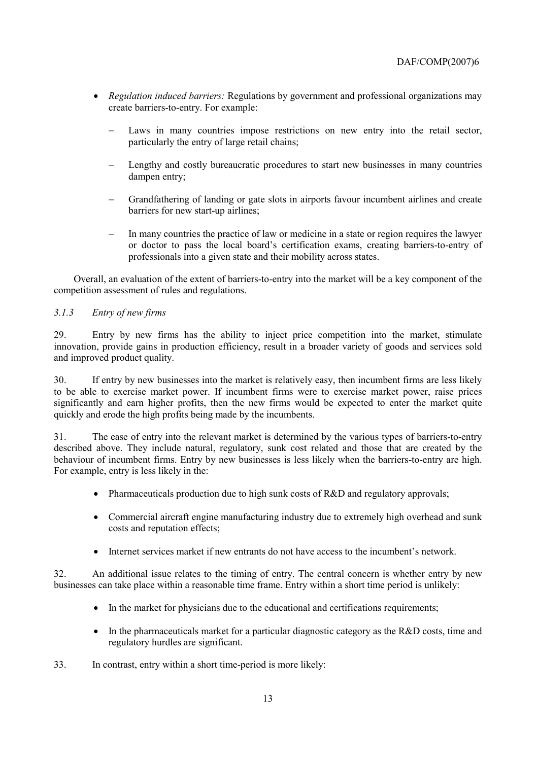- *Regulation induced barriers:* Regulations by government and professional organizations may create barriers-to-entry. For example:
	- Laws in many countries impose restrictions on new entry into the retail sector, particularly the entry of large retail chains;
	- − Lengthy and costly bureaucratic procedures to start new businesses in many countries dampen entry;
	- − Grandfathering of landing or gate slots in airports favour incumbent airlines and create barriers for new start-up airlines;
	- In many countries the practice of law or medicine in a state or region requires the lawyer or doctor to pass the local board's certification exams, creating barriers-to-entry of professionals into a given state and their mobility across states.

Overall, an evaluation of the extent of barriers-to-entry into the market will be a key component of the competition assessment of rules and regulations.

#### *3.1.3 Entry of new firms*

29. Entry by new firms has the ability to inject price competition into the market, stimulate innovation, provide gains in production efficiency, result in a broader variety of goods and services sold and improved product quality.

30. If entry by new businesses into the market is relatively easy, then incumbent firms are less likely to be able to exercise market power. If incumbent firms were to exercise market power, raise prices significantly and earn higher profits, then the new firms would be expected to enter the market quite quickly and erode the high profits being made by the incumbents.

31. The ease of entry into the relevant market is determined by the various types of barriers-to-entry described above. They include natural, regulatory, sunk cost related and those that are created by the behaviour of incumbent firms. Entry by new businesses is less likely when the barriers-to-entry are high. For example, entry is less likely in the:

- Pharmaceuticals production due to high sunk costs of R&D and regulatory approvals;
- Commercial aircraft engine manufacturing industry due to extremely high overhead and sunk costs and reputation effects;
- Internet services market if new entrants do not have access to the incumbent's network.

32. An additional issue relates to the timing of entry. The central concern is whether entry by new businesses can take place within a reasonable time frame. Entry within a short time period is unlikely:

- In the market for physicians due to the educational and certifications requirements;
- In the pharmaceuticals market for a particular diagnostic category as the R&D costs, time and regulatory hurdles are significant.
- 33. In contrast, entry within a short time-period is more likely: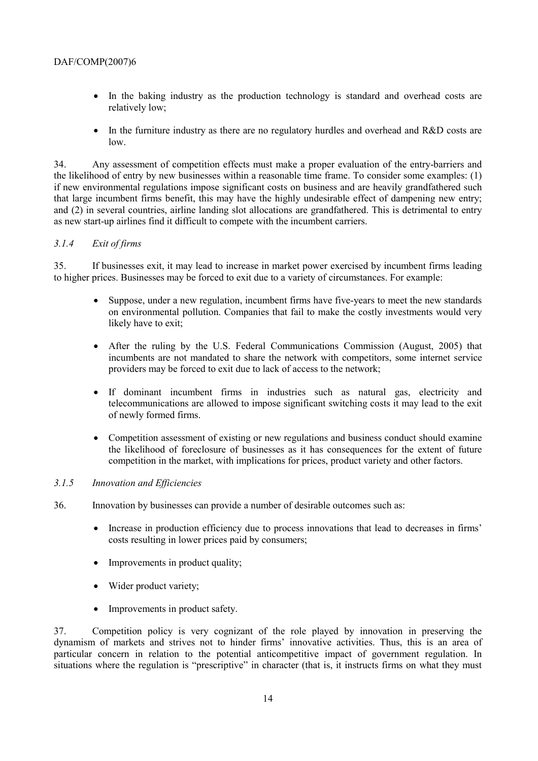- In the baking industry as the production technology is standard and overhead costs are relatively low;
- In the furniture industry as there are no regulatory hurdles and overhead and R&D costs are low.

34. Any assessment of competition effects must make a proper evaluation of the entry-barriers and the likelihood of entry by new businesses within a reasonable time frame. To consider some examples: (1) if new environmental regulations impose significant costs on business and are heavily grandfathered such that large incumbent firms benefit, this may have the highly undesirable effect of dampening new entry; and (2) in several countries, airline landing slot allocations are grandfathered. This is detrimental to entry as new start-up airlines find it difficult to compete with the incumbent carriers.

# *3.1.4 Exit of firms*

35. If businesses exit, it may lead to increase in market power exercised by incumbent firms leading to higher prices. Businesses may be forced to exit due to a variety of circumstances. For example:

- Suppose, under a new regulation, incumbent firms have five-years to meet the new standards on environmental pollution. Companies that fail to make the costly investments would very likely have to exit;
- After the ruling by the U.S. Federal Communications Commission (August, 2005) that incumbents are not mandated to share the network with competitors, some internet service providers may be forced to exit due to lack of access to the network;
- If dominant incumbent firms in industries such as natural gas, electricity and telecommunications are allowed to impose significant switching costs it may lead to the exit of newly formed firms.
- Competition assessment of existing or new regulations and business conduct should examine the likelihood of foreclosure of businesses as it has consequences for the extent of future competition in the market, with implications for prices, product variety and other factors.

#### *3.1.5 Innovation and Efficiencies*

- 36. Innovation by businesses can provide a number of desirable outcomes such as:
	- Increase in production efficiency due to process innovations that lead to decreases in firms' costs resulting in lower prices paid by consumers;
	- Improvements in product quality:
	- Wider product variety;
	- Improvements in product safety.

37. Competition policy is very cognizant of the role played by innovation in preserving the dynamism of markets and strives not to hinder firms' innovative activities. Thus, this is an area of particular concern in relation to the potential anticompetitive impact of government regulation. In situations where the regulation is "prescriptive" in character (that is, it instructs firms on what they must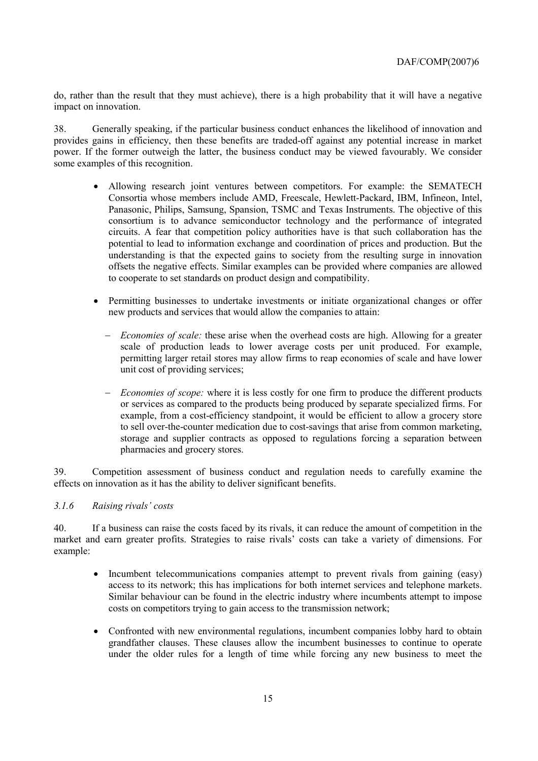do, rather than the result that they must achieve), there is a high probability that it will have a negative impact on innovation.

38. Generally speaking, if the particular business conduct enhances the likelihood of innovation and provides gains in efficiency, then these benefits are traded-off against any potential increase in market power. If the former outweigh the latter, the business conduct may be viewed favourably. We consider some examples of this recognition.

- Allowing research joint ventures between competitors. For example: the SEMATECH Consortia whose members include AMD, Freescale, Hewlett-Packard, IBM, Infineon, Intel, Panasonic, Philips, Samsung, Spansion, TSMC and Texas Instruments. The objective of this consortium is to advance semiconductor technology and the performance of integrated circuits. A fear that competition policy authorities have is that such collaboration has the potential to lead to information exchange and coordination of prices and production. But the understanding is that the expected gains to society from the resulting surge in innovation offsets the negative effects. Similar examples can be provided where companies are allowed to cooperate to set standards on product design and compatibility.
- Permitting businesses to undertake investments or initiate organizational changes or offer new products and services that would allow the companies to attain:
	- *Economies of scale:* these arise when the overhead costs are high. Allowing for a greater scale of production leads to lower average costs per unit produced. For example, permitting larger retail stores may allow firms to reap economies of scale and have lower unit cost of providing services;
	- − *Economies of scope:* where it is less costly for one firm to produce the different products or services as compared to the products being produced by separate specialized firms. For example, from a cost-efficiency standpoint, it would be efficient to allow a grocery store to sell over-the-counter medication due to cost-savings that arise from common marketing, storage and supplier contracts as opposed to regulations forcing a separation between pharmacies and grocery stores.

39. Competition assessment of business conduct and regulation needs to carefully examine the effects on innovation as it has the ability to deliver significant benefits.

#### 3.1.6 Raising rivals' costs

40. If a business can raise the costs faced by its rivals, it can reduce the amount of competition in the market and earn greater profits. Strategies to raise rivals' costs can take a variety of dimensions. For example:

- Incumbent telecommunications companies attempt to prevent rivals from gaining (easy) access to its network; this has implications for both internet services and telephone markets. Similar behaviour can be found in the electric industry where incumbents attempt to impose costs on competitors trying to gain access to the transmission network;
- Confronted with new environmental regulations, incumbent companies lobby hard to obtain grandfather clauses. These clauses allow the incumbent businesses to continue to operate under the older rules for a length of time while forcing any new business to meet the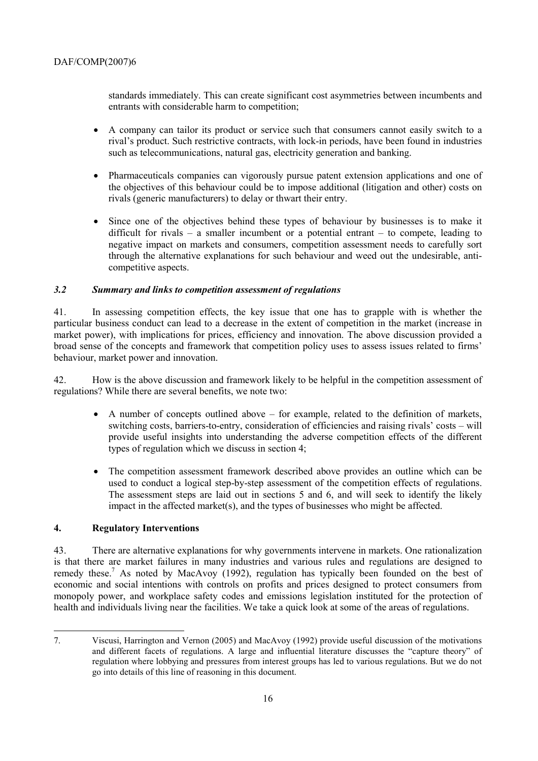standards immediately. This can create significant cost asymmetries between incumbents and entrants with considerable harm to competition;

- A company can tailor its product or service such that consumers cannot easily switch to a rival's product. Such restrictive contracts, with lock-in periods, have been found in industries such as telecommunications, natural gas, electricity generation and banking.
- Pharmaceuticals companies can vigorously pursue patent extension applications and one of the objectives of this behaviour could be to impose additional (litigation and other) costs on rivals (generic manufacturers) to delay or thwart their entry.
- Since one of the objectives behind these types of behaviour by businesses is to make it difficult for rivals  $-$  a smaller incumbent or a potential entrant  $-$  to compete, leading to negative impact on markets and consumers, competition assessment needs to carefully sort through the alternative explanations for such behaviour and weed out the undesirable, anticompetitive aspects.

#### *3.2 Summary and links to competition assessment of regulations*

41. In assessing competition effects, the key issue that one has to grapple with is whether the particular business conduct can lead to a decrease in the extent of competition in the market (increase in market power), with implications for prices, efficiency and innovation. The above discussion provided a broad sense of the concepts and framework that competition policy uses to assess issues related to firms' behaviour, market power and innovation.

42. How is the above discussion and framework likely to be helpful in the competition assessment of regulations? While there are several benefits, we note two:

- A number of concepts outlined above  $-$  for example, related to the definition of markets, switching costs, barriers-to-entry, consideration of efficiencies and raising rivals' costs  $-\text{ will}$ provide useful insights into understanding the adverse competition effects of the different types of regulation which we discuss in section 4;
- The competition assessment framework described above provides an outline which can be used to conduct a logical step-by-step assessment of the competition effects of regulations. The assessment steps are laid out in sections 5 and 6, and will seek to identify the likely impact in the affected market(s), and the types of businesses who might be affected.

#### **4. Regulatory Interventions**

 $\overline{a}$ 

43. There are alternative explanations for why governments intervene in markets. One rationalization is that there are market failures in many industries and various rules and regulations are designed to remedy these.<sup>7</sup> As noted by MacAvoy (1992), regulation has typically been founded on the best of economic and social intentions with controls on profits and prices designed to protect consumers from monopoly power, and workplace safety codes and emissions legislation instituted for the protection of health and individuals living near the facilities. We take a quick look at some of the areas of regulations.

<sup>7.</sup> Viscusi, Harrington and Vernon (2005) and MacAvoy (1992) provide useful discussion of the motivations and different facets of regulations. A large and influential literature discusses the "capture theory" of regulation where lobbying and pressures from interest groups has led to various regulations. But we do not go into details of this line of reasoning in this document.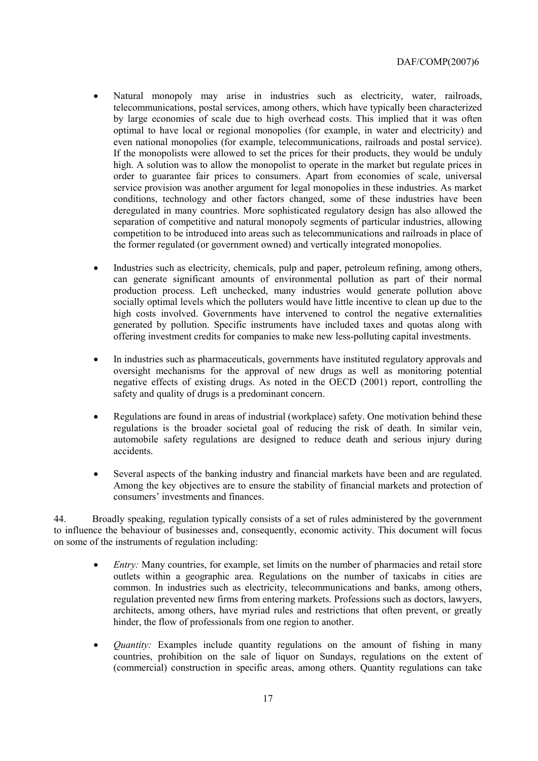- Natural monopoly may arise in industries such as electricity, water, railroads, telecommunications, postal services, among others, which have typically been characterized by large economies of scale due to high overhead costs. This implied that it was often optimal to have local or regional monopolies (for example, in water and electricity) and even national monopolies (for example, telecommunications, railroads and postal service). If the monopolists were allowed to set the prices for their products, they would be unduly high. A solution was to allow the monopolist to operate in the market but regulate prices in order to guarantee fair prices to consumers. Apart from economies of scale, universal service provision was another argument for legal monopolies in these industries. As market conditions, technology and other factors changed, some of these industries have been deregulated in many countries. More sophisticated regulatory design has also allowed the separation of competitive and natural monopoly segments of particular industries, allowing competition to be introduced into areas such as telecommunications and railroads in place of the former regulated (or government owned) and vertically integrated monopolies.
- Industries such as electricity, chemicals, pulp and paper, petroleum refining, among others, can generate significant amounts of environmental pollution as part of their normal production process. Left unchecked, many industries would generate pollution above socially optimal levels which the polluters would have little incentive to clean up due to the high costs involved. Governments have intervened to control the negative externalities generated by pollution. Specific instruments have included taxes and quotas along with offering investment credits for companies to make new less-polluting capital investments.
- In industries such as pharmaceuticals, governments have instituted regulatory approvals and oversight mechanisms for the approval of new drugs as well as monitoring potential negative effects of existing drugs. As noted in the OECD (2001) report, controlling the safety and quality of drugs is a predominant concern.
- Regulations are found in areas of industrial (workplace) safety. One motivation behind these regulations is the broader societal goal of reducing the risk of death. In similar vein, automobile safety regulations are designed to reduce death and serious injury during accidents.
- Several aspects of the banking industry and financial markets have been and are regulated. Among the key objectives are to ensure the stability of financial markets and protection of consumers' investments and finances.

44. Broadly speaking, regulation typically consists of a set of rules administered by the government to influence the behaviour of businesses and, consequently, economic activity. This document will focus on some of the instruments of regulation including:

- *Entry:* Many countries, for example, set limits on the number of pharmacies and retail store outlets within a geographic area. Regulations on the number of taxicabs in cities are common. In industries such as electricity, telecommunications and banks, among others, regulation prevented new firms from entering markets. Professions such as doctors, lawyers, architects, among others, have myriad rules and restrictions that often prevent, or greatly hinder, the flow of professionals from one region to another.
- *Quantity:* Examples include quantity regulations on the amount of fishing in many countries, prohibition on the sale of liquor on Sundays, regulations on the extent of (commercial) construction in specific areas, among others. Quantity regulations can take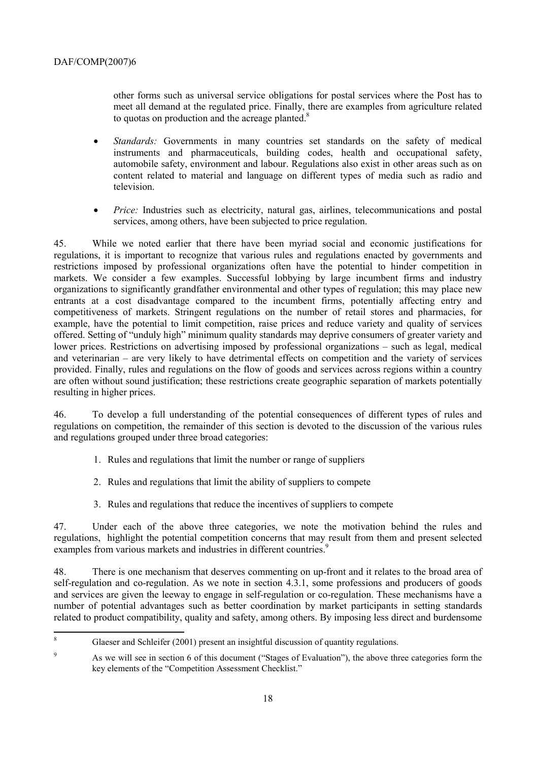other forms such as universal service obligations for postal services where the Post has to meet all demand at the regulated price. Finally, there are examples from agriculture related to quotas on production and the acreage planted. $8$ 

- *Standards:* Governments in many countries set standards on the safety of medical instruments and pharmaceuticals, building codes, health and occupational safety, automobile safety, environment and labour. Regulations also exist in other areas such as on content related to material and language on different types of media such as radio and television.
- *Price:* Industries such as electricity, natural gas, airlines, telecommunications and postal services, among others, have been subjected to price regulation.

45. While we noted earlier that there have been myriad social and economic justifications for regulations, it is important to recognize that various rules and regulations enacted by governments and restrictions imposed by professional organizations often have the potential to hinder competition in markets. We consider a few examples. Successful lobbying by large incumbent firms and industry organizations to significantly grandfather environmental and other types of regulation; this may place new entrants at a cost disadvantage compared to the incumbent firms, potentially affecting entry and competitiveness of markets. Stringent regulations on the number of retail stores and pharmacies, for example, have the potential to limit competition, raise prices and reduce variety and quality of services offered. Setting of "unduly high" minimum quality standards may deprive consumers of greater variety and lower prices. Restrictions on advertising imposed by professional organizations – such as legal, medical and veterinarian – are very likely to have detrimental effects on competition and the variety of services provided. Finally, rules and regulations on the flow of goods and services across regions within a country are often without sound justification; these restrictions create geographic separation of markets potentially resulting in higher prices.

46. To develop a full understanding of the potential consequences of different types of rules and regulations on competition, the remainder of this section is devoted to the discussion of the various rules and regulations grouped under three broad categories:

- 1. Rules and regulations that limit the number or range of suppliers
- 2. Rules and regulations that limit the ability of suppliers to compete
- 3. Rules and regulations that reduce the incentives of suppliers to compete

47. Under each of the above three categories, we note the motivation behind the rules and regulations, highlight the potential competition concerns that may result from them and present selected examples from various markets and industries in different countries.<sup>9</sup>

48. There is one mechanism that deserves commenting on up-front and it relates to the broad area of self-regulation and co-regulation. As we note in section 4.3.1, some professions and producers of goods and services are given the leeway to engage in self-regulation or co-regulation. These mechanisms have a number of potential advantages such as better coordination by market participants in setting standards related to product compatibility, quality and safety, among others. By imposing less direct and burdensome

 8 Glaeser and Schleifer (2001) present an insightful discussion of quantity regulations.

<sup>9</sup> As we will see in section 6 of this document ("Stages of Evaluation"), the above three categories form the key elements of the "Competition Assessment Checklist."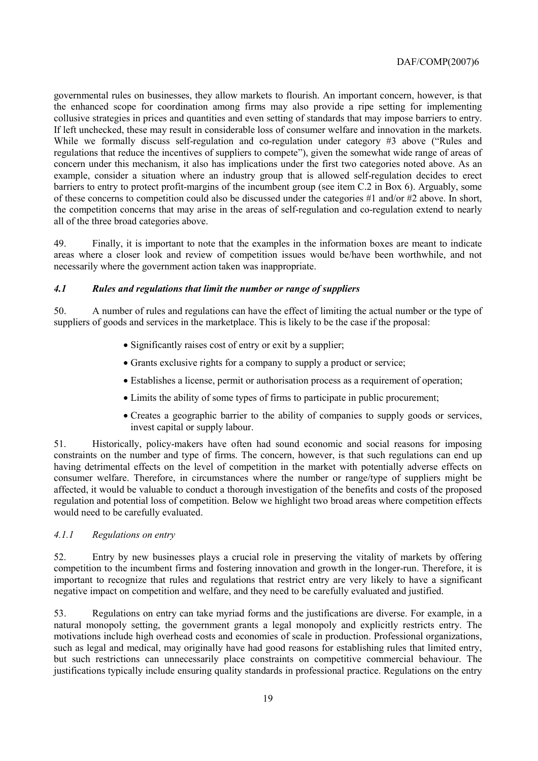governmental rules on businesses, they allow markets to flourish. An important concern, however, is that the enhanced scope for coordination among firms may also provide a ripe setting for implementing collusive strategies in prices and quantities and even setting of standards that may impose barriers to entry. If left unchecked, these may result in considerable loss of consumer welfare and innovation in the markets. While we formally discuss self-regulation and co-regulation under category  $#3$  above ("Rules and regulations that reduce the incentives of suppliers to compete"), given the somewhat wide range of areas of concern under this mechanism, it also has implications under the first two categories noted above. As an example, consider a situation where an industry group that is allowed self-regulation decides to erect barriers to entry to protect profit-margins of the incumbent group (see item C.2 in Box 6). Arguably, some of these concerns to competition could also be discussed under the categories #1 and/or #2 above. In short, the competition concerns that may arise in the areas of self-regulation and co-regulation extend to nearly all of the three broad categories above.

49. Finally, it is important to note that the examples in the information boxes are meant to indicate areas where a closer look and review of competition issues would be/have been worthwhile, and not necessarily where the government action taken was inappropriate.

#### *4.1 Rules and regulations that limit the number or range of suppliers*

50. A number of rules and regulations can have the effect of limiting the actual number or the type of suppliers of goods and services in the marketplace. This is likely to be the case if the proposal:

- Significantly raises cost of entry or exit by a supplier;
- Grants exclusive rights for a company to supply a product or service;
- Establishes a license, permit or authorisation process as a requirement of operation;
- Limits the ability of some types of firms to participate in public procurement;
- Creates a geographic barrier to the ability of companies to supply goods or services, invest capital or supply labour.

51. Historically, policy-makers have often had sound economic and social reasons for imposing constraints on the number and type of firms. The concern, however, is that such regulations can end up having detrimental effects on the level of competition in the market with potentially adverse effects on consumer welfare. Therefore, in circumstances where the number or range/type of suppliers might be affected, it would be valuable to conduct a thorough investigation of the benefits and costs of the proposed regulation and potential loss of competition. Below we highlight two broad areas where competition effects would need to be carefully evaluated.

#### *4.1.1 Regulations on entry*

52. Entry by new businesses plays a crucial role in preserving the vitality of markets by offering competition to the incumbent firms and fostering innovation and growth in the longer-run. Therefore, it is important to recognize that rules and regulations that restrict entry are very likely to have a significant negative impact on competition and welfare, and they need to be carefully evaluated and justified.

53. Regulations on entry can take myriad forms and the justifications are diverse. For example, in a natural monopoly setting, the government grants a legal monopoly and explicitly restricts entry. The motivations include high overhead costs and economies of scale in production. Professional organizations, such as legal and medical, may originally have had good reasons for establishing rules that limited entry, but such restrictions can unnecessarily place constraints on competitive commercial behaviour. The justifications typically include ensuring quality standards in professional practice. Regulations on the entry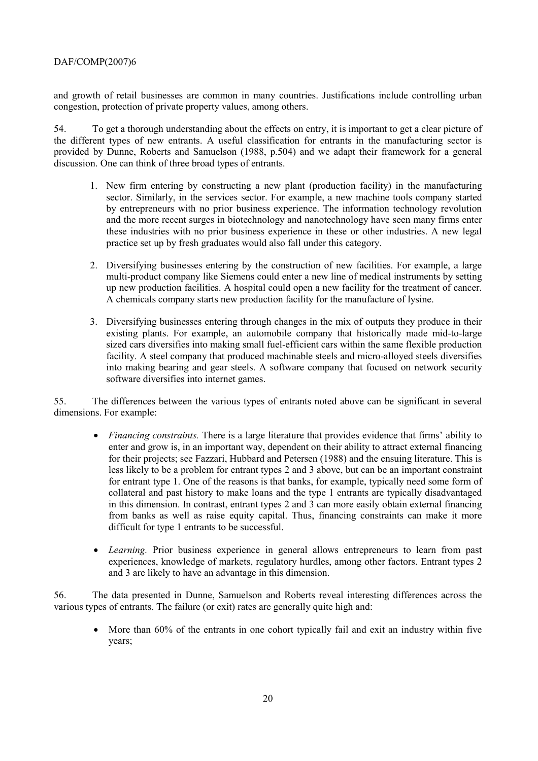and growth of retail businesses are common in many countries. Justifications include controlling urban congestion, protection of private property values, among others.

54. To get a thorough understanding about the effects on entry, it is important to get a clear picture of the different types of new entrants. A useful classification for entrants in the manufacturing sector is provided by Dunne, Roberts and Samuelson (1988, p.504) and we adapt their framework for a general discussion. One can think of three broad types of entrants.

- 1. New firm entering by constructing a new plant (production facility) in the manufacturing sector. Similarly, in the services sector. For example, a new machine tools company started by entrepreneurs with no prior business experience. The information technology revolution and the more recent surges in biotechnology and nanotechnology have seen many firms enter these industries with no prior business experience in these or other industries. A new legal practice set up by fresh graduates would also fall under this category.
- 2. Diversifying businesses entering by the construction of new facilities. For example, a large multi-product company like Siemens could enter a new line of medical instruments by setting up new production facilities. A hospital could open a new facility for the treatment of cancer. A chemicals company starts new production facility for the manufacture of lysine.
- 3. Diversifying businesses entering through changes in the mix of outputs they produce in their existing plants. For example, an automobile company that historically made mid-to-large sized cars diversifies into making small fuel-efficient cars within the same flexible production facility. A steel company that produced machinable steels and micro-alloyed steels diversifies into making bearing and gear steels. A software company that focused on network security software diversifies into internet games.

55. The differences between the various types of entrants noted above can be significant in several dimensions. For example:

- *Financing constraints*. There is a large literature that provides evidence that firms' ability to enter and grow is, in an important way, dependent on their ability to attract external financing for their projects; see Fazzari, Hubbard and Petersen (1988) and the ensuing literature. This is less likely to be a problem for entrant types 2 and 3 above, but can be an important constraint for entrant type 1. One of the reasons is that banks, for example, typically need some form of collateral and past history to make loans and the type 1 entrants are typically disadvantaged in this dimension. In contrast, entrant types 2 and 3 can more easily obtain external financing from banks as well as raise equity capital. Thus, financing constraints can make it more difficult for type 1 entrants to be successful.
- *Learning.* Prior business experience in general allows entrepreneurs to learn from past experiences, knowledge of markets, regulatory hurdles, among other factors. Entrant types 2 and 3 are likely to have an advantage in this dimension.

56. The data presented in Dunne, Samuelson and Roberts reveal interesting differences across the various types of entrants. The failure (or exit) rates are generally quite high and:

• More than 60% of the entrants in one cohort typically fail and exit an industry within five years;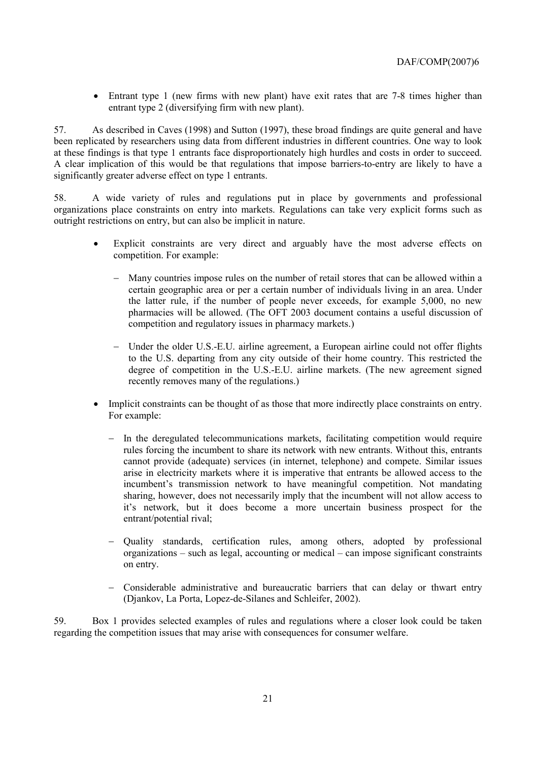• Entrant type 1 (new firms with new plant) have exit rates that are 7-8 times higher than entrant type 2 (diversifying firm with new plant).

57. As described in Caves (1998) and Sutton (1997), these broad findings are quite general and have been replicated by researchers using data from different industries in different countries. One way to look at these findings is that type 1 entrants face disproportionately high hurdles and costs in order to succeed. A clear implication of this would be that regulations that impose barriers-to-entry are likely to have a significantly greater adverse effect on type 1 entrants.

58. A wide variety of rules and regulations put in place by governments and professional organizations place constraints on entry into markets. Regulations can take very explicit forms such as outright restrictions on entry, but can also be implicit in nature.

- Explicit constraints are very direct and arguably have the most adverse effects on competition. For example:
	- − Many countries impose rules on the number of retail stores that can be allowed within a certain geographic area or per a certain number of individuals living in an area. Under the latter rule, if the number of people never exceeds, for example 5,000, no new pharmacies will be allowed. (The OFT 2003 document contains a useful discussion of competition and regulatory issues in pharmacy markets.)
	- − Under the older U.S.-E.U. airline agreement, a European airline could not offer flights to the U.S. departing from any city outside of their home country. This restricted the degree of competition in the U.S.-E.U. airline markets. (The new agreement signed recently removes many of the regulations.)
- Implicit constraints can be thought of as those that more indirectly place constraints on entry. For example:
	- − In the deregulated telecommunications markets, facilitating competition would require rules forcing the incumbent to share its network with new entrants. Without this, entrants cannot provide (adequate) services (in internet, telephone) and compete. Similar issues arise in electricity markets where it is imperative that entrants be allowed access to the incumbent's transmission network to have meaningful competition. Not mandating sharing, however, does not necessarily imply that the incumbent will not allow access to itís network, but it does become a more uncertain business prospect for the entrant/potential rival;
	- − Quality standards, certification rules, among others, adopted by professional organizations  $-$  such as legal, accounting or medical  $-$  can impose significant constraints on entry.
	- − Considerable administrative and bureaucratic barriers that can delay or thwart entry (Djankov, La Porta, Lopez-de-Silanes and Schleifer, 2002).

59. Box 1 provides selected examples of rules and regulations where a closer look could be taken regarding the competition issues that may arise with consequences for consumer welfare.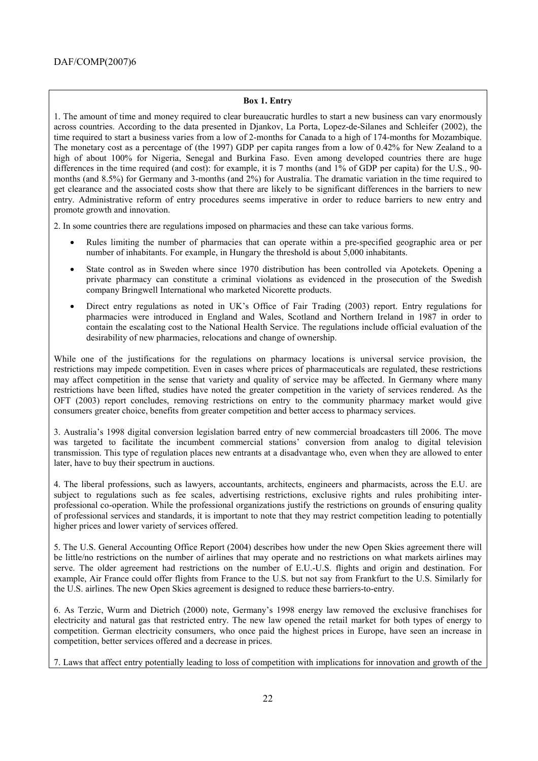#### **Box 1. Entry**

1. The amount of time and money required to clear bureaucratic hurdles to start a new business can vary enormously across countries. According to the data presented in Djankov, La Porta, Lopez-de-Silanes and Schleifer (2002), the time required to start a business varies from a low of 2-months for Canada to a high of 174-months for Mozambique. The monetary cost as a percentage of (the 1997) GDP per capita ranges from a low of 0.42% for New Zealand to a high of about 100% for Nigeria, Senegal and Burkina Faso. Even among developed countries there are huge differences in the time required (and cost): for example, it is 7 months (and 1% of GDP per capita) for the U.S., 90 months (and 8.5%) for Germany and 3-months (and 2%) for Australia. The dramatic variation in the time required to get clearance and the associated costs show that there are likely to be significant differences in the barriers to new entry. Administrative reform of entry procedures seems imperative in order to reduce barriers to new entry and promote growth and innovation.

2. In some countries there are regulations imposed on pharmacies and these can take various forms.

- Rules limiting the number of pharmacies that can operate within a pre-specified geographic area or per number of inhabitants. For example, in Hungary the threshold is about 5,000 inhabitants.
- State control as in Sweden where since 1970 distribution has been controlled via Apotekets. Opening a private pharmacy can constitute a criminal violations as evidenced in the prosecution of the Swedish company Bringwell International who marketed Nicorette products.
- Direct entry regulations as noted in UK's Office of Fair Trading (2003) report. Entry regulations for pharmacies were introduced in England and Wales, Scotland and Northern Ireland in 1987 in order to contain the escalating cost to the National Health Service. The regulations include official evaluation of the desirability of new pharmacies, relocations and change of ownership.

While one of the justifications for the regulations on pharmacy locations is universal service provision, the restrictions may impede competition. Even in cases where prices of pharmaceuticals are regulated, these restrictions may affect competition in the sense that variety and quality of service may be affected. In Germany where many restrictions have been lifted, studies have noted the greater competition in the variety of services rendered. As the OFT (2003) report concludes, removing restrictions on entry to the community pharmacy market would give consumers greater choice, benefits from greater competition and better access to pharmacy services.

3. Australiaís 1998 digital conversion legislation barred entry of new commercial broadcasters till 2006. The move was targeted to facilitate the incumbent commercial stations' conversion from analog to digital television transmission. This type of regulation places new entrants at a disadvantage who, even when they are allowed to enter later, have to buy their spectrum in auctions.

4. The liberal professions, such as lawyers, accountants, architects, engineers and pharmacists, across the E.U. are subject to regulations such as fee scales, advertising restrictions, exclusive rights and rules prohibiting interprofessional co-operation. While the professional organizations justify the restrictions on grounds of ensuring quality of professional services and standards, it is important to note that they may restrict competition leading to potentially higher prices and lower variety of services offered.

5. The U.S. General Accounting Office Report (2004) describes how under the new Open Skies agreement there will be little/no restrictions on the number of airlines that may operate and no restrictions on what markets airlines may serve. The older agreement had restrictions on the number of E.U.-U.S. flights and origin and destination. For example, Air France could offer flights from France to the U.S. but not say from Frankfurt to the U.S. Similarly for the U.S. airlines. The new Open Skies agreement is designed to reduce these barriers-to-entry.

6. As Terzic, Wurm and Dietrich (2000) note, Germanyís 1998 energy law removed the exclusive franchises for electricity and natural gas that restricted entry. The new law opened the retail market for both types of energy to competition. German electricity consumers, who once paid the highest prices in Europe, have seen an increase in competition, better services offered and a decrease in prices.

7. Laws that affect entry potentially leading to loss of competition with implications for innovation and growth of the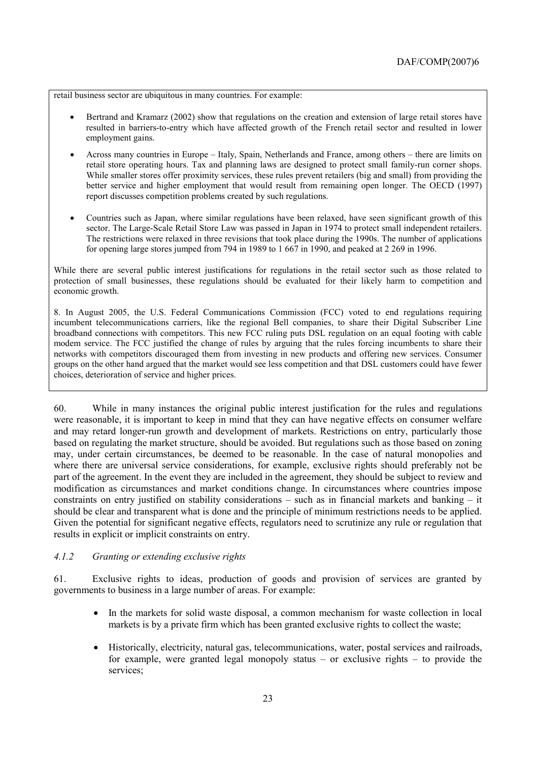retail business sector are ubiquitous in many countries. For example:

- Bertrand and Kramarz (2002) show that regulations on the creation and extension of large retail stores have resulted in barriers-to-entry which have affected growth of the French retail sector and resulted in lower employment gains.
- Across many countries in Europe Italy, Spain, Netherlands and France, among others there are limits on retail store operating hours. Tax and planning laws are designed to protect small family-run corner shops. While smaller stores offer proximity services, these rules prevent retailers (big and small) from providing the better service and higher employment that would result from remaining open longer. The OECD (1997) report discusses competition problems created by such regulations.
- Countries such as Japan, where similar regulations have been relaxed, have seen significant growth of this sector. The Large-Scale Retail Store Law was passed in Japan in 1974 to protect small independent retailers. The restrictions were relaxed in three revisions that took place during the 1990s. The number of applications for opening large stores jumped from 794 in 1989 to 1 667 in 1990, and peaked at 2 269 in 1996.

While there are several public interest justifications for regulations in the retail sector such as those related to protection of small businesses, these regulations should be evaluated for their likely harm to competition and economic growth.

8. In August 2005, the U.S. Federal Communications Commission (FCC) voted to end regulations requiring incumbent telecommunications carriers, like the regional Bell companies, to share their Digital Subscriber Line broadband connections with competitors. This new FCC ruling puts DSL regulation on an equal footing with cable modem service. The FCC justified the change of rules by arguing that the rules forcing incumbents to share their networks with competitors discouraged them from investing in new products and offering new services. Consumer groups on the other hand argued that the market would see less competition and that DSL customers could have fewer choices, deterioration of service and higher prices.

60. While in many instances the original public interest justification for the rules and regulations were reasonable, it is important to keep in mind that they can have negative effects on consumer welfare and may retard longer-run growth and development of markets. Restrictions on entry, particularly those based on regulating the market structure, should be avoided. But regulations such as those based on zoning may, under certain circumstances, be deemed to be reasonable. In the case of natural monopolies and where there are universal service considerations, for example, exclusive rights should preferably not be part of the agreement. In the event they are included in the agreement, they should be subject to review and modification as circumstances and market conditions change. In circumstances where countries impose constraints on entry justified on stability considerations  $-$  such as in financial markets and banking  $-$  it should be clear and transparent what is done and the principle of minimum restrictions needs to be applied. Given the potential for significant negative effects, regulators need to scrutinize any rule or regulation that results in explicit or implicit constraints on entry.

#### *4.1.2 Granting or extending exclusive rights*

61. Exclusive rights to ideas, production of goods and provision of services are granted by governments to business in a large number of areas. For example:

- In the markets for solid waste disposal, a common mechanism for waste collection in local markets is by a private firm which has been granted exclusive rights to collect the waste;
- Historically, electricity, natural gas, telecommunications, water, postal services and railroads, for example, were granted legal monopoly status  $-$  or exclusive rights  $-$  to provide the services;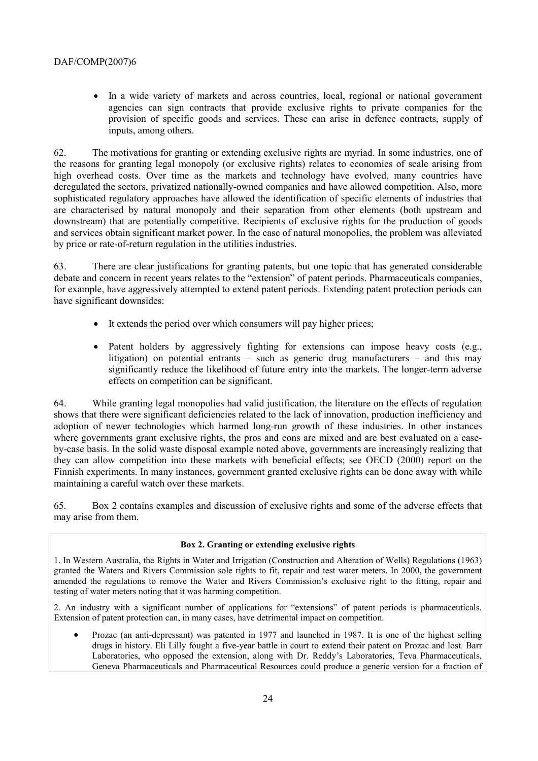• In a wide variety of markets and across countries, local, regional or national government agencies can sign contracts that provide exclusive rights to private companies for the provision of specific goods and services. These can arise in defence contracts, supply of inputs, among others.

62. The motivations for granting or extending exclusive rights are myriad. In some industries, one of the reasons for granting legal monopoly (or exclusive rights) relates to economies of scale arising from high overhead costs. Over time as the markets and technology have evolved, many countries have deregulated the sectors, privatized nationally-owned companies and have allowed competition. Also, more sophisticated regulatory approaches have allowed the identification of specific elements of industries that are characterised by natural monopoly and their separation from other elements (both upstream and downstream) that are potentially competitive. Recipients of exclusive rights for the production of goods and services obtain significant market power. In the case of natural monopolies, the problem was alleviated by price or rate-of-return regulation in the utilities industries.

63. There are clear justifications for granting patents, but one topic that has generated considerable debate and concern in recent years relates to the "extension" of patent periods. Pharmaceuticals companies, for example, have aggressively attempted to extend patent periods. Extending patent protection periods can have significant downsides:

- It extends the period over which consumers will pay higher prices:
- Patent holders by aggressively fighting for extensions can impose heavy costs (e.g., litigation) on potential entrants  $-$  such as generic drug manufacturers  $-$  and this may significantly reduce the likelihood of future entry into the markets. The longer-term adverse effects on competition can be significant.

64. While granting legal monopolies had valid justification, the literature on the effects of regulation shows that there were significant deficiencies related to the lack of innovation, production inefficiency and adoption of newer technologies which harmed long-run growth of these industries. In other instances where governments grant exclusive rights, the pros and cons are mixed and are best evaluated on a caseby-case basis. In the solid waste disposal example noted above, governments are increasingly realizing that they can allow competition into these markets with beneficial effects; see OECD (2000) report on the Finnish experiments. In many instances, government granted exclusive rights can be done away with while maintaining a careful watch over these markets.

65. Box 2 contains examples and discussion of exclusive rights and some of the adverse effects that may arise from them.

#### **Box 2. Granting or extending exclusive rights**

1. In Western Australia, the Rights in Water and Irrigation (Construction and Alteration of Wells) Regulations (1963) granted the Waters and Rivers Commission sole rights to fit, repair and test water meters. In 2000, the government amended the regulations to remove the Water and Rivers Commission's exclusive right to the fitting, repair and testing of water meters noting that it was harming competition.

2. An industry with a significant number of applications for "extensions" of patent periods is pharmaceuticals. Extension of patent protection can, in many cases, have detrimental impact on competition.

• Prozac (an anti-depressant) was patented in 1977 and launched in 1987. It is one of the highest selling drugs in history. Eli Lilly fought a five-year battle in court to extend their patent on Prozac and lost. Barr Laboratories, who opposed the extension, along with Dr. Reddy's Laboratories, Teva Pharmaceuticals, Geneva Pharmaceuticals and Pharmaceutical Resources could produce a generic version for a fraction of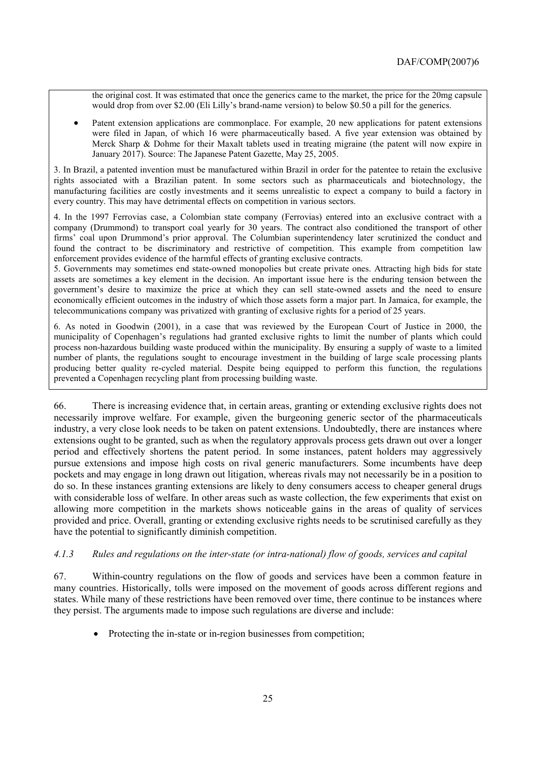the original cost. It was estimated that once the generics came to the market, the price for the 20mg capsule would drop from over \$2.00 (Eli Lilly's brand-name version) to below \$0.50 a pill for the generics.

• Patent extension applications are commonplace. For example, 20 new applications for patent extensions were filed in Japan, of which 16 were pharmaceutically based. A five year extension was obtained by Merck Sharp & Dohme for their Maxalt tablets used in treating migraine (the patent will now expire in January 2017). Source: The Japanese Patent Gazette, May 25, 2005.

3. In Brazil, a patented invention must be manufactured within Brazil in order for the patentee to retain the exclusive rights associated with a Brazilian patent. In some sectors such as pharmaceuticals and biotechnology, the manufacturing facilities are costly investments and it seems unrealistic to expect a company to build a factory in every country. This may have detrimental effects on competition in various sectors.

4. In the 1997 Ferrovias case, a Colombian state company (Ferrovias) entered into an exclusive contract with a company (Drummond) to transport coal yearly for 30 years. The contract also conditioned the transport of other firms' coal upon Drummond's prior approval. The Columbian superintendency later scrutinized the conduct and found the contract to be discriminatory and restrictive of competition. This example from competition law enforcement provides evidence of the harmful effects of granting exclusive contracts.

5. Governments may sometimes end state-owned monopolies but create private ones. Attracting high bids for state assets are sometimes a key element in the decision. An important issue here is the enduring tension between the government's desire to maximize the price at which they can sell state-owned assets and the need to ensure economically efficient outcomes in the industry of which those assets form a major part. In Jamaica, for example, the telecommunications company was privatized with granting of exclusive rights for a period of 25 years.

6. As noted in Goodwin (2001), in a case that was reviewed by the European Court of Justice in 2000, the municipality of Copenhagen's regulations had granted exclusive rights to limit the number of plants which could process non-hazardous building waste produced within the municipality. By ensuring a supply of waste to a limited number of plants, the regulations sought to encourage investment in the building of large scale processing plants producing better quality re-cycled material. Despite being equipped to perform this function, the regulations prevented a Copenhagen recycling plant from processing building waste.

66. There is increasing evidence that, in certain areas, granting or extending exclusive rights does not necessarily improve welfare. For example, given the burgeoning generic sector of the pharmaceuticals industry, a very close look needs to be taken on patent extensions. Undoubtedly, there are instances where extensions ought to be granted, such as when the regulatory approvals process gets drawn out over a longer period and effectively shortens the patent period. In some instances, patent holders may aggressively pursue extensions and impose high costs on rival generic manufacturers. Some incumbents have deep pockets and may engage in long drawn out litigation, whereas rivals may not necessarily be in a position to do so. In these instances granting extensions are likely to deny consumers access to cheaper general drugs with considerable loss of welfare. In other areas such as waste collection, the few experiments that exist on allowing more competition in the markets shows noticeable gains in the areas of quality of services provided and price. Overall, granting or extending exclusive rights needs to be scrutinised carefully as they have the potential to significantly diminish competition.

#### *4.1.3 Rules and regulations on the inter-state (or intra-national) flow of goods, services and capital*

67. Within-country regulations on the flow of goods and services have been a common feature in many countries. Historically, tolls were imposed on the movement of goods across different regions and states. While many of these restrictions have been removed over time, there continue to be instances where they persist. The arguments made to impose such regulations are diverse and include:

• Protecting the in-state or in-region businesses from competition;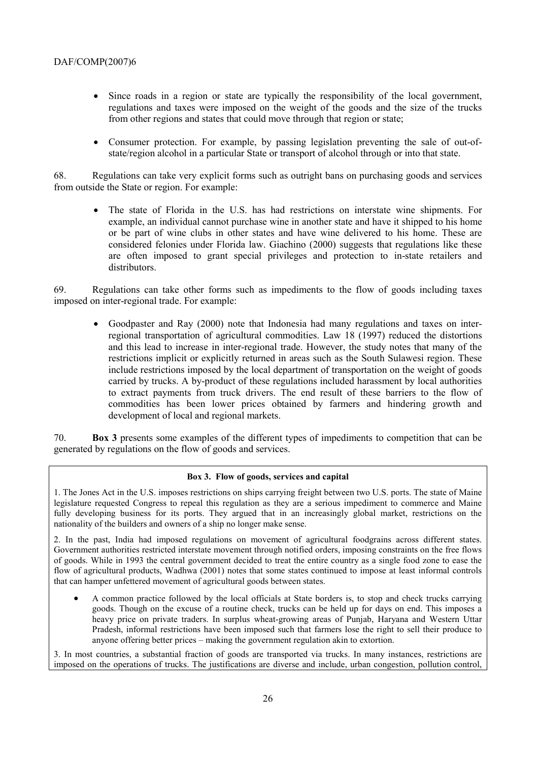- Since roads in a region or state are typically the responsibility of the local government, regulations and taxes were imposed on the weight of the goods and the size of the trucks from other regions and states that could move through that region or state;
- Consumer protection. For example, by passing legislation preventing the sale of out-ofstate/region alcohol in a particular State or transport of alcohol through or into that state.

68. Regulations can take very explicit forms such as outright bans on purchasing goods and services from outside the State or region. For example:

• The state of Florida in the U.S. has had restrictions on interstate wine shipments. For example, an individual cannot purchase wine in another state and have it shipped to his home or be part of wine clubs in other states and have wine delivered to his home. These are considered felonies under Florida law. Giachino (2000) suggests that regulations like these are often imposed to grant special privileges and protection to in-state retailers and distributors.

69. Regulations can take other forms such as impediments to the flow of goods including taxes imposed on inter-regional trade. For example:

• Goodpaster and Ray (2000) note that Indonesia had many regulations and taxes on interregional transportation of agricultural commodities. Law 18 (1997) reduced the distortions and this lead to increase in inter-regional trade. However, the study notes that many of the restrictions implicit or explicitly returned in areas such as the South Sulawesi region. These include restrictions imposed by the local department of transportation on the weight of goods carried by trucks. A by-product of these regulations included harassment by local authorities to extract payments from truck drivers. The end result of these barriers to the flow of commodities has been lower prices obtained by farmers and hindering growth and development of local and regional markets.

70. **Box 3** presents some examples of the different types of impediments to competition that can be generated by regulations on the flow of goods and services.

#### **Box 3. Flow of goods, services and capital**

1. The Jones Act in the U.S. imposes restrictions on ships carrying freight between two U.S. ports. The state of Maine legislature requested Congress to repeal this regulation as they are a serious impediment to commerce and Maine fully developing business for its ports. They argued that in an increasingly global market, restrictions on the nationality of the builders and owners of a ship no longer make sense.

2. In the past, India had imposed regulations on movement of agricultural foodgrains across different states. Government authorities restricted interstate movement through notified orders, imposing constraints on the free flows of goods. While in 1993 the central government decided to treat the entire country as a single food zone to ease the flow of agricultural products, Wadhwa (2001) notes that some states continued to impose at least informal controls that can hamper unfettered movement of agricultural goods between states.

• A common practice followed by the local officials at State borders is, to stop and check trucks carrying goods. Though on the excuse of a routine check, trucks can be held up for days on end. This imposes a heavy price on private traders. In surplus wheat-growing areas of Punjab, Haryana and Western Uttar Pradesh, informal restrictions have been imposed such that farmers lose the right to sell their produce to anyone offering better prices – making the government regulation akin to extortion.

3. In most countries, a substantial fraction of goods are transported via trucks. In many instances, restrictions are imposed on the operations of trucks. The justifications are diverse and include, urban congestion, pollution control,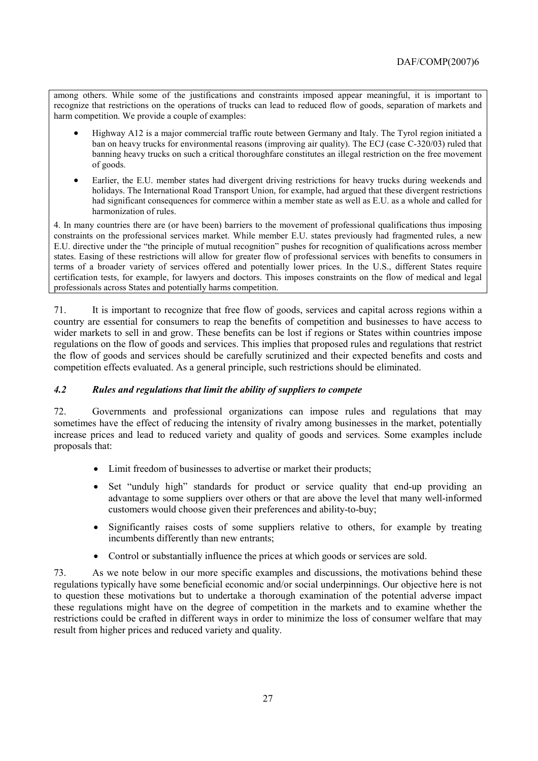among others. While some of the justifications and constraints imposed appear meaningful, it is important to recognize that restrictions on the operations of trucks can lead to reduced flow of goods, separation of markets and harm competition. We provide a couple of examples:

- Highway A12 is a major commercial traffic route between Germany and Italy. The Tyrol region initiated a ban on heavy trucks for environmental reasons (improving air quality). The ECJ (case C-320/03) ruled that banning heavy trucks on such a critical thoroughfare constitutes an illegal restriction on the free movement of goods.
- Earlier, the E.U. member states had divergent driving restrictions for heavy trucks during weekends and holidays. The International Road Transport Union, for example, had argued that these divergent restrictions had significant consequences for commerce within a member state as well as E.U. as a whole and called for harmonization of rules.

4. In many countries there are (or have been) barriers to the movement of professional qualifications thus imposing constraints on the professional services market. While member E.U. states previously had fragmented rules, a new E.U. directive under the "the principle of mutual recognition" pushes for recognition of qualifications across member states. Easing of these restrictions will allow for greater flow of professional services with benefits to consumers in terms of a broader variety of services offered and potentially lower prices. In the U.S., different States require certification tests, for example, for lawyers and doctors. This imposes constraints on the flow of medical and legal professionals across States and potentially harms competition.

71. It is important to recognize that free flow of goods, services and capital across regions within a country are essential for consumers to reap the benefits of competition and businesses to have access to wider markets to sell in and grow. These benefits can be lost if regions or States within countries impose regulations on the flow of goods and services. This implies that proposed rules and regulations that restrict the flow of goods and services should be carefully scrutinized and their expected benefits and costs and competition effects evaluated. As a general principle, such restrictions should be eliminated.

# *4.2 Rules and regulations that limit the ability of suppliers to compete*

72. Governments and professional organizations can impose rules and regulations that may sometimes have the effect of reducing the intensity of rivalry among businesses in the market, potentially increase prices and lead to reduced variety and quality of goods and services. Some examples include proposals that:

- Limit freedom of businesses to advertise or market their products;
- Set "unduly high" standards for product or service quality that end-up providing an advantage to some suppliers over others or that are above the level that many well-informed customers would choose given their preferences and ability-to-buy;
- Significantly raises costs of some suppliers relative to others, for example by treating incumbents differently than new entrants;
- Control or substantially influence the prices at which goods or services are sold.

73. As we note below in our more specific examples and discussions, the motivations behind these regulations typically have some beneficial economic and/or social underpinnings. Our objective here is not to question these motivations but to undertake a thorough examination of the potential adverse impact these regulations might have on the degree of competition in the markets and to examine whether the restrictions could be crafted in different ways in order to minimize the loss of consumer welfare that may result from higher prices and reduced variety and quality.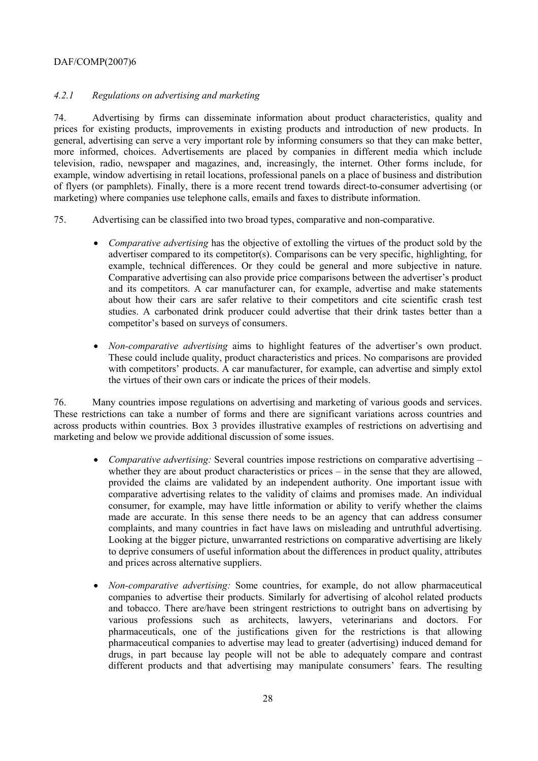# *4.2.1 Regulations on advertising and marketing*

74. Advertising by firms can disseminate information about product characteristics, quality and prices for existing products, improvements in existing products and introduction of new products. In general, advertising can serve a very important role by informing consumers so that they can make better, more informed, choices. Advertisements are placed by companies in different media which include television, radio, newspaper and magazines, and, increasingly, the internet. Other forms include, for example, window advertising in retail locations, professional panels on a place of business and distribution of flyers (or pamphlets). Finally, there is a more recent trend towards direct-to-consumer advertising (or marketing) where companies use telephone calls, emails and faxes to distribute information.

- 75. Advertising can be classified into two broad types, comparative and non-comparative.
	- *Comparative advertising* has the objective of extolling the virtues of the product sold by the advertiser compared to its competitor(s). Comparisons can be very specific, highlighting, for example, technical differences. Or they could be general and more subjective in nature. Comparative advertising can also provide price comparisons between the advertiser's product and its competitors. A car manufacturer can, for example, advertise and make statements about how their cars are safer relative to their competitors and cite scientific crash test studies. A carbonated drink producer could advertise that their drink tastes better than a competitor's based on surveys of consumers.
	- *Non-comparative advertising* aims to highlight features of the advertiser's own product. These could include quality, product characteristics and prices. No comparisons are provided with competitors' products. A car manufacturer, for example, can advertise and simply extol the virtues of their own cars or indicate the prices of their models.

76. Many countries impose regulations on advertising and marketing of various goods and services. These restrictions can take a number of forms and there are significant variations across countries and across products within countries. Box 3 provides illustrative examples of restrictions on advertising and marketing and below we provide additional discussion of some issues.

- *Comparative advertising:* Several countries impose restrictions on comparative advertising whether they are about product characteristics or prices  $-$  in the sense that they are allowed, provided the claims are validated by an independent authority. One important issue with comparative advertising relates to the validity of claims and promises made. An individual consumer, for example, may have little information or ability to verify whether the claims made are accurate. In this sense there needs to be an agency that can address consumer complaints, and many countries in fact have laws on misleading and untruthful advertising. Looking at the bigger picture, unwarranted restrictions on comparative advertising are likely to deprive consumers of useful information about the differences in product quality, attributes and prices across alternative suppliers.
- *Non-comparative advertising:* Some countries, for example, do not allow pharmaceutical companies to advertise their products. Similarly for advertising of alcohol related products and tobacco. There are/have been stringent restrictions to outright bans on advertising by various professions such as architects, lawyers, veterinarians and doctors. For pharmaceuticals, one of the justifications given for the restrictions is that allowing pharmaceutical companies to advertise may lead to greater (advertising) induced demand for drugs, in part because lay people will not be able to adequately compare and contrast different products and that advertising may manipulate consumers' fears. The resulting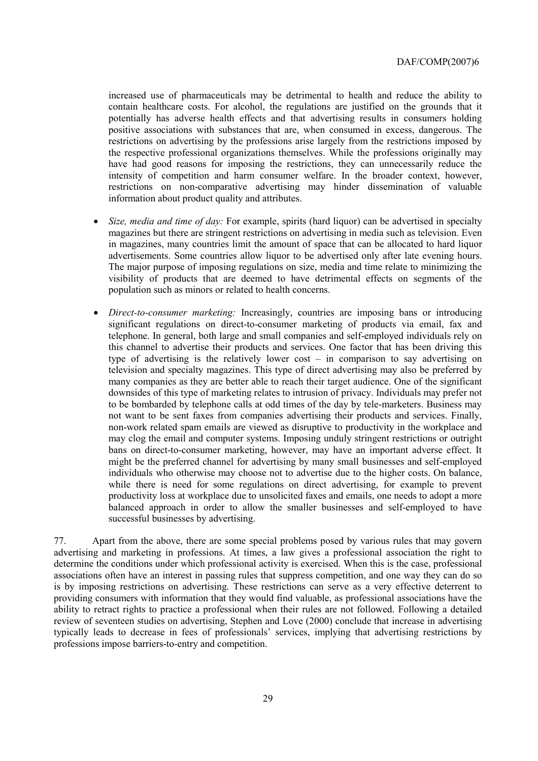increased use of pharmaceuticals may be detrimental to health and reduce the ability to contain healthcare costs. For alcohol, the regulations are justified on the grounds that it potentially has adverse health effects and that advertising results in consumers holding positive associations with substances that are, when consumed in excess, dangerous. The restrictions on advertising by the professions arise largely from the restrictions imposed by the respective professional organizations themselves. While the professions originally may have had good reasons for imposing the restrictions, they can unnecessarily reduce the intensity of competition and harm consumer welfare. In the broader context, however, restrictions on non-comparative advertising may hinder dissemination of valuable information about product quality and attributes.

- *Size, media and time of day:* For example, spirits (hard liquor) can be advertised in specialty magazines but there are stringent restrictions on advertising in media such as television. Even in magazines, many countries limit the amount of space that can be allocated to hard liquor advertisements. Some countries allow liquor to be advertised only after late evening hours. The major purpose of imposing regulations on size, media and time relate to minimizing the visibility of products that are deemed to have detrimental effects on segments of the population such as minors or related to health concerns.
- *Direct-to-consumer marketing:* Increasingly, countries are imposing bans or introducing significant regulations on direct-to-consumer marketing of products via email, fax and telephone. In general, both large and small companies and self-employed individuals rely on this channel to advertise their products and services. One factor that has been driving this type of advertising is the relatively lower cost  $-$  in comparison to say advertising on television and specialty magazines. This type of direct advertising may also be preferred by many companies as they are better able to reach their target audience. One of the significant downsides of this type of marketing relates to intrusion of privacy. Individuals may prefer not to be bombarded by telephone calls at odd times of the day by tele-marketers. Business may not want to be sent faxes from companies advertising their products and services. Finally, non-work related spam emails are viewed as disruptive to productivity in the workplace and may clog the email and computer systems. Imposing unduly stringent restrictions or outright bans on direct-to-consumer marketing, however, may have an important adverse effect. It might be the preferred channel for advertising by many small businesses and self-employed individuals who otherwise may choose not to advertise due to the higher costs. On balance, while there is need for some regulations on direct advertising, for example to prevent productivity loss at workplace due to unsolicited faxes and emails, one needs to adopt a more balanced approach in order to allow the smaller businesses and self-employed to have successful businesses by advertising.

77. Apart from the above, there are some special problems posed by various rules that may govern advertising and marketing in professions. At times, a law gives a professional association the right to determine the conditions under which professional activity is exercised. When this is the case, professional associations often have an interest in passing rules that suppress competition, and one way they can do so is by imposing restrictions on advertising. These restrictions can serve as a very effective deterrent to providing consumers with information that they would find valuable, as professional associations have the ability to retract rights to practice a professional when their rules are not followed. Following a detailed review of seventeen studies on advertising, Stephen and Love (2000) conclude that increase in advertising typically leads to decrease in fees of professionals' services, implying that advertising restrictions by professions impose barriers-to-entry and competition.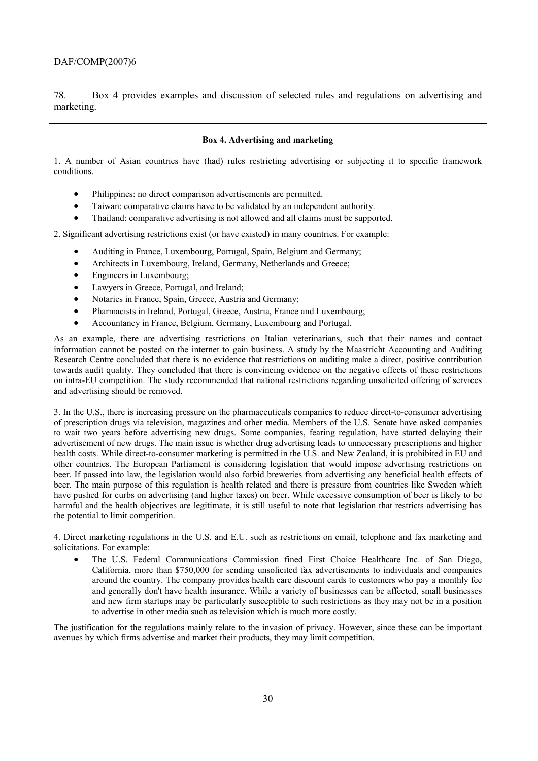78. Box 4 provides examples and discussion of selected rules and regulations on advertising and marketing.

#### **Box 4. Advertising and marketing**

1. A number of Asian countries have (had) rules restricting advertising or subjecting it to specific framework conditions.

- Philippines: no direct comparison advertisements are permitted.
- Taiwan: comparative claims have to be validated by an independent authority.
- Thailand: comparative advertising is not allowed and all claims must be supported.

2. Significant advertising restrictions exist (or have existed) in many countries. For example:

- Auditing in France, Luxembourg, Portugal, Spain, Belgium and Germany;
- Architects in Luxembourg, Ireland, Germany, Netherlands and Greece;
- Engineers in Luxembourg;
- Lawyers in Greece, Portugal, and Ireland;
- Notaries in France, Spain, Greece, Austria and Germany;
- Pharmacists in Ireland, Portugal, Greece, Austria, France and Luxembourg;
- Accountancy in France, Belgium, Germany, Luxembourg and Portugal.

As an example, there are advertising restrictions on Italian veterinarians, such that their names and contact information cannot be posted on the internet to gain business. A study by the Maastricht Accounting and Auditing Research Centre concluded that there is no evidence that restrictions on auditing make a direct, positive contribution towards audit quality. They concluded that there is convincing evidence on the negative effects of these restrictions on intra-EU competition. The study recommended that national restrictions regarding unsolicited offering of services and advertising should be removed.

3. In the U.S., there is increasing pressure on the pharmaceuticals companies to reduce direct-to-consumer advertising of prescription drugs via television, magazines and other media. Members of the U.S. Senate have asked companies to wait two years before advertising new drugs. Some companies, fearing regulation, have started delaying their advertisement of new drugs. The main issue is whether drug advertising leads to unnecessary prescriptions and higher health costs. While direct-to-consumer marketing is permitted in the U.S. and New Zealand, it is prohibited in EU and other countries. The European Parliament is considering legislation that would impose advertising restrictions on beer. If passed into law, the legislation would also forbid breweries from advertising any beneficial health effects of beer. The main purpose of this regulation is health related and there is pressure from countries like Sweden which have pushed for curbs on advertising (and higher taxes) on beer. While excessive consumption of beer is likely to be harmful and the health objectives are legitimate, it is still useful to note that legislation that restricts advertising has the potential to limit competition.

4. Direct marketing regulations in the U.S. and E.U. such as restrictions on email, telephone and fax marketing and solicitations. For example:

• The U.S. Federal Communications Commission fined First Choice Healthcare Inc. of San Diego, California, more than \$750,000 for sending unsolicited fax advertisements to individuals and companies around the country. The company provides health care discount cards to customers who pay a monthly fee and generally don't have health insurance. While a variety of businesses can be affected, small businesses and new firm startups may be particularly susceptible to such restrictions as they may not be in a position to advertise in other media such as television which is much more costly.

The justification for the regulations mainly relate to the invasion of privacy. However, since these can be important avenues by which firms advertise and market their products, they may limit competition.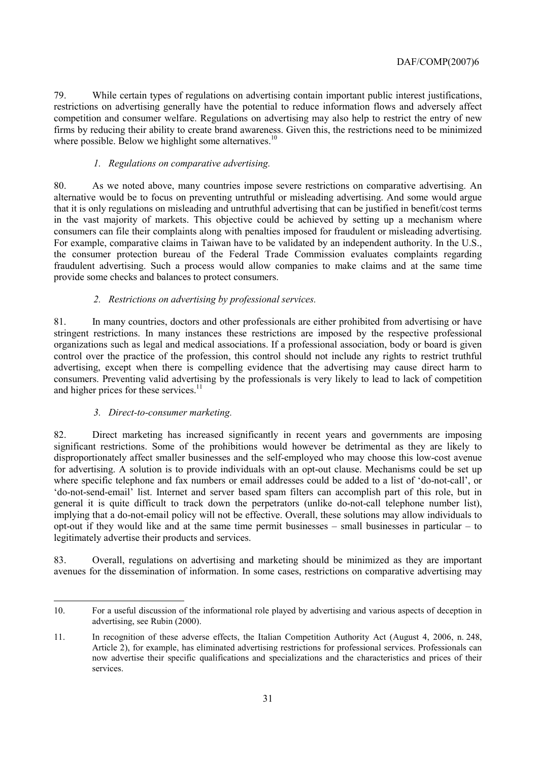79. While certain types of regulations on advertising contain important public interest justifications, restrictions on advertising generally have the potential to reduce information flows and adversely affect competition and consumer welfare. Regulations on advertising may also help to restrict the entry of new firms by reducing their ability to create brand awareness. Given this, the restrictions need to be minimized where possible. Below we highlight some alternatives. $10$ 

#### *1. Regulations on comparative advertising.*

80. As we noted above, many countries impose severe restrictions on comparative advertising. An alternative would be to focus on preventing untruthful or misleading advertising. And some would argue that it is only regulations on misleading and untruthful advertising that can be justified in benefit/cost terms in the vast majority of markets. This objective could be achieved by setting up a mechanism where consumers can file their complaints along with penalties imposed for fraudulent or misleading advertising. For example, comparative claims in Taiwan have to be validated by an independent authority. In the U.S., the consumer protection bureau of the Federal Trade Commission evaluates complaints regarding fraudulent advertising. Such a process would allow companies to make claims and at the same time provide some checks and balances to protect consumers.

# *2. Restrictions on advertising by professional services.*

81. In many countries, doctors and other professionals are either prohibited from advertising or have stringent restrictions. In many instances these restrictions are imposed by the respective professional organizations such as legal and medical associations. If a professional association, body or board is given control over the practice of the profession, this control should not include any rights to restrict truthful advertising, except when there is compelling evidence that the advertising may cause direct harm to consumers. Preventing valid advertising by the professionals is very likely to lead to lack of competition and higher prices for these services.<sup>11</sup>

#### *3. Direct-to-consumer marketing.*

82. Direct marketing has increased significantly in recent years and governments are imposing significant restrictions. Some of the prohibitions would however be detrimental as they are likely to disproportionately affect smaller businesses and the self-employed who may choose this low-cost avenue for advertising. A solution is to provide individuals with an opt-out clause. Mechanisms could be set up where specific telephone and fax numbers or email addresses could be added to a list of 'do-not-call', or ëdo-not-send-emailí list. Internet and server based spam filters can accomplish part of this role, but in general it is quite difficult to track down the perpetrators (unlike do-not-call telephone number list), implying that a do-not-email policy will not be effective. Overall, these solutions may allow individuals to opt-out if they would like and at the same time permit businesses  $-$  small businesses in particular  $-$  to legitimately advertise their products and services.

83. Overall, regulations on advertising and marketing should be minimized as they are important avenues for the dissemination of information. In some cases, restrictions on comparative advertising may

 $\overline{a}$ 10. For a useful discussion of the informational role played by advertising and various aspects of deception in advertising, see Rubin (2000).

<sup>11.</sup> In recognition of these adverse effects, the Italian Competition Authority Act (August 4, 2006, n. 248, Article 2), for example, has eliminated advertising restrictions for professional services. Professionals can now advertise their specific qualifications and specializations and the characteristics and prices of their services.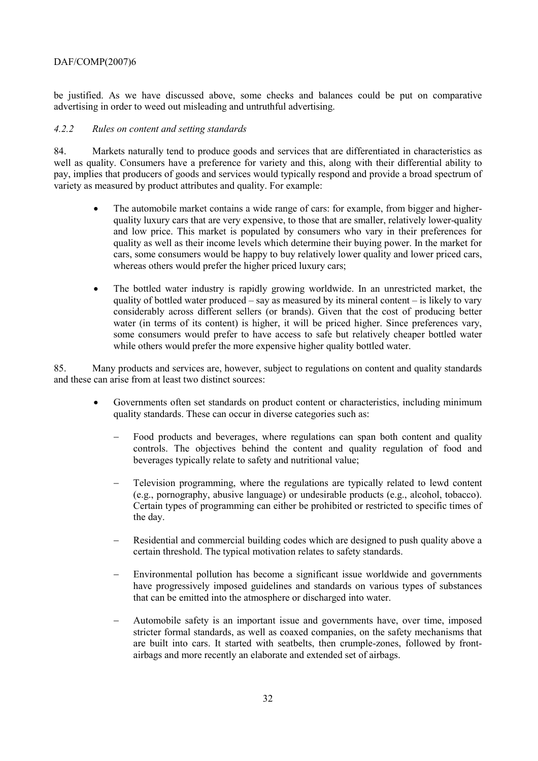be justified. As we have discussed above, some checks and balances could be put on comparative advertising in order to weed out misleading and untruthful advertising.

#### *4.2.2 Rules on content and setting standards*

84. Markets naturally tend to produce goods and services that are differentiated in characteristics as well as quality. Consumers have a preference for variety and this, along with their differential ability to pay, implies that producers of goods and services would typically respond and provide a broad spectrum of variety as measured by product attributes and quality. For example:

- The automobile market contains a wide range of cars: for example, from bigger and higherquality luxury cars that are very expensive, to those that are smaller, relatively lower-quality and low price. This market is populated by consumers who vary in their preferences for quality as well as their income levels which determine their buying power. In the market for cars, some consumers would be happy to buy relatively lower quality and lower priced cars, whereas others would prefer the higher priced luxury cars;
- The bottled water industry is rapidly growing worldwide. In an unrestricted market, the quality of bottled water produced  $-$  say as measured by its mineral content  $-$  is likely to vary considerably across different sellers (or brands). Given that the cost of producing better water (in terms of its content) is higher, it will be priced higher. Since preferences vary, some consumers would prefer to have access to safe but relatively cheaper bottled water while others would prefer the more expensive higher quality bottled water.

85. Many products and services are, however, subject to regulations on content and quality standards and these can arise from at least two distinct sources:

- Governments often set standards on product content or characteristics, including minimum quality standards. These can occur in diverse categories such as:
	- Food products and beverages, where regulations can span both content and quality controls. The objectives behind the content and quality regulation of food and beverages typically relate to safety and nutritional value;
	- Television programming, where the regulations are typically related to lewd content (e.g., pornography, abusive language) or undesirable products (e.g., alcohol, tobacco). Certain types of programming can either be prohibited or restricted to specific times of the day.
	- Residential and commercial building codes which are designed to push quality above a certain threshold. The typical motivation relates to safety standards.
	- Environmental pollution has become a significant issue worldwide and governments have progressively imposed guidelines and standards on various types of substances that can be emitted into the atmosphere or discharged into water.
	- − Automobile safety is an important issue and governments have, over time, imposed stricter formal standards, as well as coaxed companies, on the safety mechanisms that are built into cars. It started with seatbelts, then crumple-zones, followed by frontairbags and more recently an elaborate and extended set of airbags.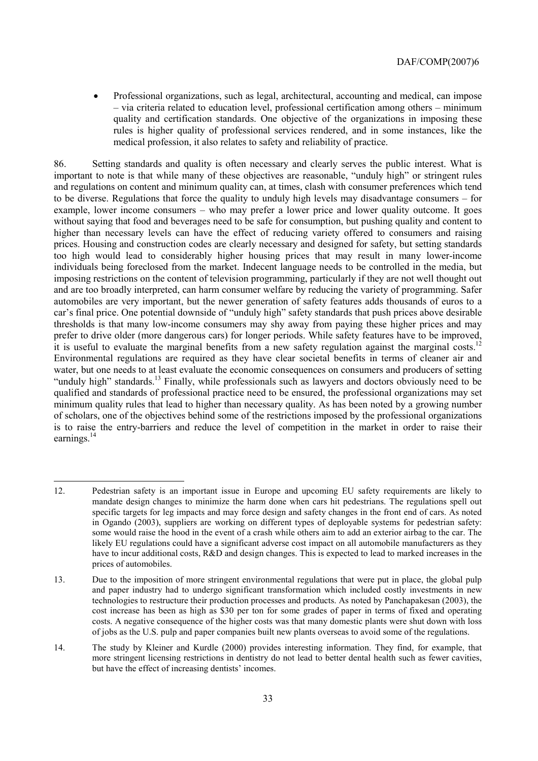• Professional organizations, such as legal, architectural, accounting and medical, can impose - via criteria related to education level, professional certification among others - minimum quality and certification standards. One objective of the organizations in imposing these rules is higher quality of professional services rendered, and in some instances, like the medical profession, it also relates to safety and reliability of practice.

86. Setting standards and quality is often necessary and clearly serves the public interest. What is important to note is that while many of these objectives are reasonable, "unduly high" or stringent rules and regulations on content and minimum quality can, at times, clash with consumer preferences which tend to be diverse. Regulations that force the quality to unduly high levels may disadvantage consumers  $-$  for example, lower income consumers  $-$  who may prefer a lower price and lower quality outcome. It goes without saying that food and beverages need to be safe for consumption, but pushing quality and content to higher than necessary levels can have the effect of reducing variety offered to consumers and raising prices. Housing and construction codes are clearly necessary and designed for safety, but setting standards too high would lead to considerably higher housing prices that may result in many lower-income individuals being foreclosed from the market. Indecent language needs to be controlled in the media, but imposing restrictions on the content of television programming, particularly if they are not well thought out and are too broadly interpreted, can harm consumer welfare by reducing the variety of programming. Safer automobiles are very important, but the newer generation of safety features adds thousands of euros to a car's final price. One potential downside of "unduly high" safety standards that push prices above desirable thresholds is that many low-income consumers may shy away from paying these higher prices and may prefer to drive older (more dangerous cars) for longer periods. While safety features have to be improved, it is useful to evaluate the marginal benefits from a new safety regulation against the marginal costs.<sup>1</sup> Environmental regulations are required as they have clear societal benefits in terms of cleaner air and water, but one needs to at least evaluate the economic consequences on consumers and producers of setting "unduly high" standards.<sup>13</sup> Finally, while professionals such as lawyers and doctors obviously need to be qualified and standards of professional practice need to be ensured, the professional organizations may set minimum quality rules that lead to higher than necessary quality. As has been noted by a growing number of scholars, one of the objectives behind some of the restrictions imposed by the professional organizations is to raise the entry-barriers and reduce the level of competition in the market in order to raise their earnings.<sup>14</sup>

 $\overline{a}$ 

14. The study by Kleiner and Kurdle (2000) provides interesting information. They find, for example, that more stringent licensing restrictions in dentistry do not lead to better dental health such as fewer cavities, but have the effect of increasing dentists' incomes.

<sup>12.</sup> Pedestrian safety is an important issue in Europe and upcoming EU safety requirements are likely to mandate design changes to minimize the harm done when cars hit pedestrians. The regulations spell out specific targets for leg impacts and may force design and safety changes in the front end of cars. As noted in Ogando (2003), suppliers are working on different types of deployable systems for pedestrian safety: some would raise the hood in the event of a crash while others aim to add an exterior airbag to the car. The likely EU regulations could have a significant adverse cost impact on all automobile manufacturers as they have to incur additional costs, R&D and design changes. This is expected to lead to marked increases in the prices of automobiles.

<sup>13.</sup> Due to the imposition of more stringent environmental regulations that were put in place, the global pulp and paper industry had to undergo significant transformation which included costly investments in new technologies to restructure their production processes and products. As noted by Panchapakesan (2003), the cost increase has been as high as \$30 per ton for some grades of paper in terms of fixed and operating costs. A negative consequence of the higher costs was that many domestic plants were shut down with loss of jobs as the U.S. pulp and paper companies built new plants overseas to avoid some of the regulations.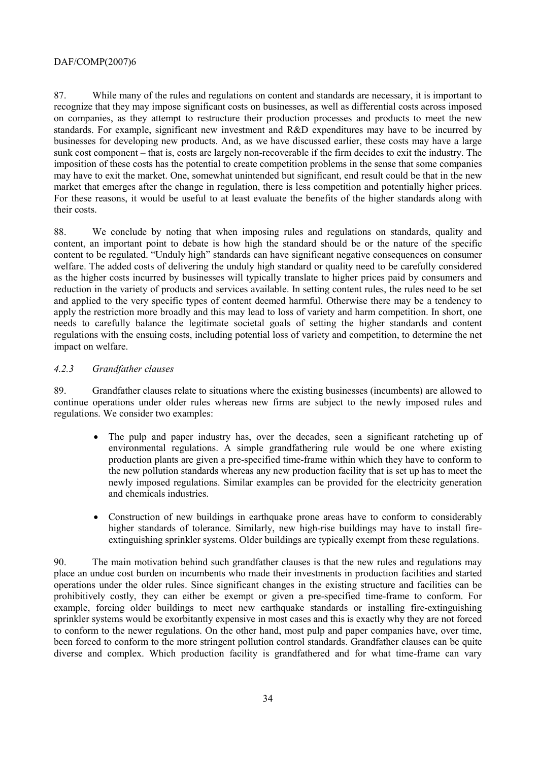87. While many of the rules and regulations on content and standards are necessary, it is important to recognize that they may impose significant costs on businesses, as well as differential costs across imposed on companies, as they attempt to restructure their production processes and products to meet the new standards. For example, significant new investment and R&D expenditures may have to be incurred by businesses for developing new products. And, as we have discussed earlier, these costs may have a large sunk cost component – that is, costs are largely non-recoverable if the firm decides to exit the industry. The imposition of these costs has the potential to create competition problems in the sense that some companies may have to exit the market. One, somewhat unintended but significant, end result could be that in the new market that emerges after the change in regulation, there is less competition and potentially higher prices. For these reasons, it would be useful to at least evaluate the benefits of the higher standards along with their costs.

88. We conclude by noting that when imposing rules and regulations on standards, quality and content, an important point to debate is how high the standard should be or the nature of the specific content to be regulated. "Unduly high" standards can have significant negative consequences on consumer welfare. The added costs of delivering the unduly high standard or quality need to be carefully considered as the higher costs incurred by businesses will typically translate to higher prices paid by consumers and reduction in the variety of products and services available. In setting content rules, the rules need to be set and applied to the very specific types of content deemed harmful. Otherwise there may be a tendency to apply the restriction more broadly and this may lead to loss of variety and harm competition. In short, one needs to carefully balance the legitimate societal goals of setting the higher standards and content regulations with the ensuing costs, including potential loss of variety and competition, to determine the net impact on welfare.

#### *4.2.3 Grandfather clauses*

89. Grandfather clauses relate to situations where the existing businesses (incumbents) are allowed to continue operations under older rules whereas new firms are subject to the newly imposed rules and regulations. We consider two examples:

- The pulp and paper industry has, over the decades, seen a significant ratcheting up of environmental regulations. A simple grandfathering rule would be one where existing production plants are given a pre-specified time-frame within which they have to conform to the new pollution standards whereas any new production facility that is set up has to meet the newly imposed regulations. Similar examples can be provided for the electricity generation and chemicals industries.
- Construction of new buildings in earthquake prone areas have to conform to considerably higher standards of tolerance. Similarly, new high-rise buildings may have to install fireextinguishing sprinkler systems. Older buildings are typically exempt from these regulations.

90. The main motivation behind such grandfather clauses is that the new rules and regulations may place an undue cost burden on incumbents who made their investments in production facilities and started operations under the older rules. Since significant changes in the existing structure and facilities can be prohibitively costly, they can either be exempt or given a pre-specified time-frame to conform. For example, forcing older buildings to meet new earthquake standards or installing fire-extinguishing sprinkler systems would be exorbitantly expensive in most cases and this is exactly why they are not forced to conform to the newer regulations. On the other hand, most pulp and paper companies have, over time, been forced to conform to the more stringent pollution control standards. Grandfather clauses can be quite diverse and complex. Which production facility is grandfathered and for what time-frame can vary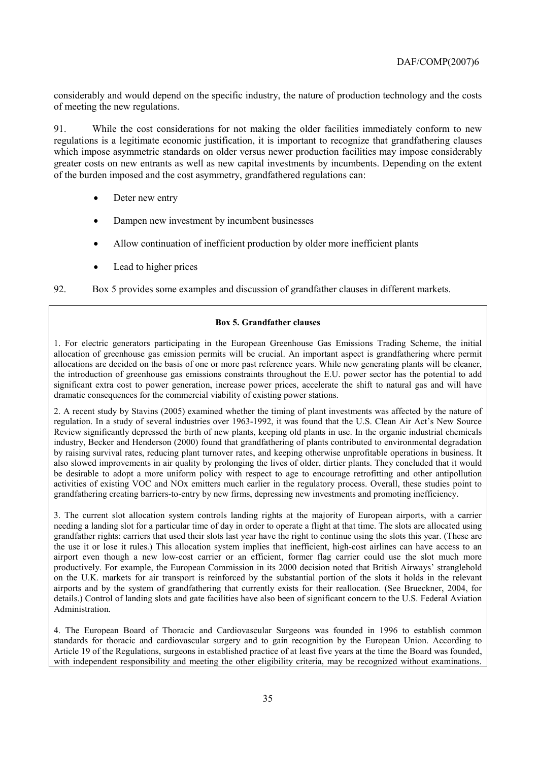considerably and would depend on the specific industry, the nature of production technology and the costs of meeting the new regulations.

91. While the cost considerations for not making the older facilities immediately conform to new regulations is a legitimate economic justification, it is important to recognize that grandfathering clauses which impose asymmetric standards on older versus newer production facilities may impose considerably greater costs on new entrants as well as new capital investments by incumbents. Depending on the extent of the burden imposed and the cost asymmetry, grandfathered regulations can:

- Deter new entry
- Dampen new investment by incumbent businesses
- Allow continuation of inefficient production by older more inefficient plants
- Lead to higher prices

92. Box 5 provides some examples and discussion of grandfather clauses in different markets.

#### **Box 5. Grandfather clauses**

1. For electric generators participating in the European Greenhouse Gas Emissions Trading Scheme, the initial allocation of greenhouse gas emission permits will be crucial. An important aspect is grandfathering where permit allocations are decided on the basis of one or more past reference years. While new generating plants will be cleaner, the introduction of greenhouse gas emissions constraints throughout the E.U. power sector has the potential to add significant extra cost to power generation, increase power prices, accelerate the shift to natural gas and will have dramatic consequences for the commercial viability of existing power stations.

2. A recent study by Stavins (2005) examined whether the timing of plant investments was affected by the nature of regulation. In a study of several industries over 1963-1992, it was found that the U.S. Clean Air Actís New Source Review significantly depressed the birth of new plants, keeping old plants in use. In the organic industrial chemicals industry, Becker and Henderson (2000) found that grandfathering of plants contributed to environmental degradation by raising survival rates, reducing plant turnover rates, and keeping otherwise unprofitable operations in business. It also slowed improvements in air quality by prolonging the lives of older, dirtier plants. They concluded that it would be desirable to adopt a more uniform policy with respect to age to encourage retrofitting and other antipollution activities of existing VOC and NOx emitters much earlier in the regulatory process. Overall, these studies point to grandfathering creating barriers-to-entry by new firms, depressing new investments and promoting inefficiency.

3. The current slot allocation system controls landing rights at the majority of European airports, with a carrier needing a landing slot for a particular time of day in order to operate a flight at that time. The slots are allocated using grandfather rights: carriers that used their slots last year have the right to continue using the slots this year. (These are the use it or lose it rules.) This allocation system implies that inefficient, high-cost airlines can have access to an airport even though a new low-cost carrier or an efficient, former flag carrier could use the slot much more productively. For example, the European Commission in its 2000 decision noted that British Airways' stranglehold on the U.K. markets for air transport is reinforced by the substantial portion of the slots it holds in the relevant airports and by the system of grandfathering that currently exists for their reallocation. (See Brueckner, 2004, for details.) Control of landing slots and gate facilities have also been of significant concern to the U.S. Federal Aviation Administration.

4. The European Board of Thoracic and Cardiovascular Surgeons was founded in 1996 to establish common standards for thoracic and cardiovascular surgery and to gain recognition by the European Union. According to Article 19 of the Regulations, surgeons in established practice of at least five years at the time the Board was founded, with independent responsibility and meeting the other eligibility criteria, may be recognized without examinations.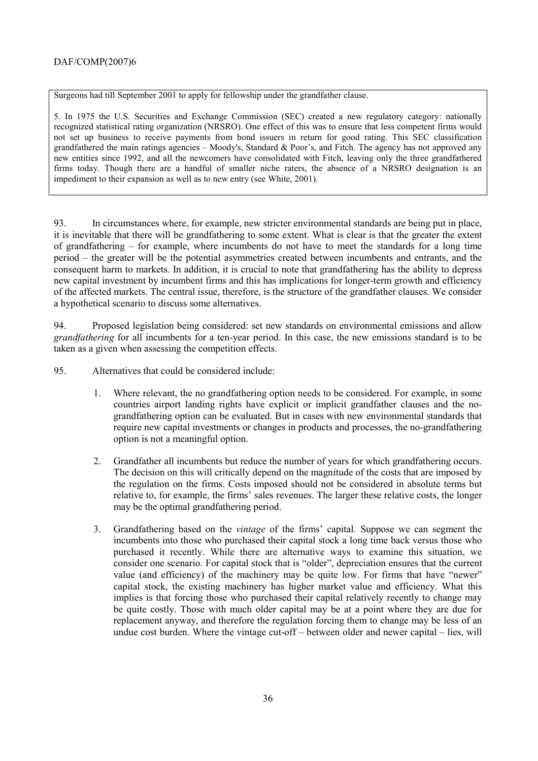Surgeons had till September 2001 to apply for fellowship under the grandfather clause.

5. In 1975 the U.S. Securities and Exchange Commission (SEC) created a new regulatory category: nationally recognized statistical rating organization (NRSRO). One effect of this was to ensure that less competent firms would not set up business to receive payments from bond issuers in return for good rating. This SEC classification grandfathered the main ratings agencies  $-$  Moody's, Standard & Poor's, and Fitch. The agency has not approved any new entities since 1992, and all the newcomers have consolidated with Fitch, leaving only the three grandfathered firms today. Though there are a handful of smaller niche raters, the absence of a NRSRO designation is an impediment to their expansion as well as to new entry (see White, 2001).

93. In circumstances where, for example, new stricter environmental standards are being put in place, it is inevitable that there will be grandfathering to some extent. What is clear is that the greater the extent of grandfathering  $-$  for example, where incumbents do not have to meet the standards for a long time period – the greater will be the potential asymmetries created between incumbents and entrants, and the consequent harm to markets. In addition, it is crucial to note that grandfathering has the ability to depress new capital investment by incumbent firms and this has implications for longer-term growth and efficiency of the affected markets. The central issue, therefore, is the structure of the grandfather clauses. We consider a hypothetical scenario to discuss some alternatives.

94. Proposed legislation being considered: set new standards on environmental emissions and allow *grandfathering* for all incumbents for a ten-year period. In this case, the new emissions standard is to be taken as a given when assessing the competition effects.

95. Alternatives that could be considered include:

- 1. Where relevant, the no grandfathering option needs to be considered. For example, in some countries airport landing rights have explicit or implicit grandfather clauses and the nograndfathering option can be evaluated. But in cases with new environmental standards that require new capital investments or changes in products and processes, the no-grandfathering option is not a meaningful option.
- 2. Grandfather all incumbents but reduce the number of years for which grandfathering occurs. The decision on this will critically depend on the magnitude of the costs that are imposed by the regulation on the firms. Costs imposed should not be considered in absolute terms but relative to, for example, the firms' sales revenues. The larger these relative costs, the longer may be the optimal grandfathering period.
- 3. Grandfathering based on the *vintage* of the firmsí capital. Suppose we can segment the incumbents into those who purchased their capital stock a long time back versus those who purchased it recently. While there are alternative ways to examine this situation, we consider one scenario. For capital stock that is "older", depreciation ensures that the current value (and efficiency) of the machinery may be quite low. For firms that have "newer" capital stock, the existing machinery has higher market value and efficiency. What this implies is that forcing those who purchased their capital relatively recently to change may be quite costly. Those with much older capital may be at a point where they are due for replacement anyway, and therefore the regulation forcing them to change may be less of an undue cost burden. Where the vintage cut-off  $-$  between older and newer capital  $-$  lies, will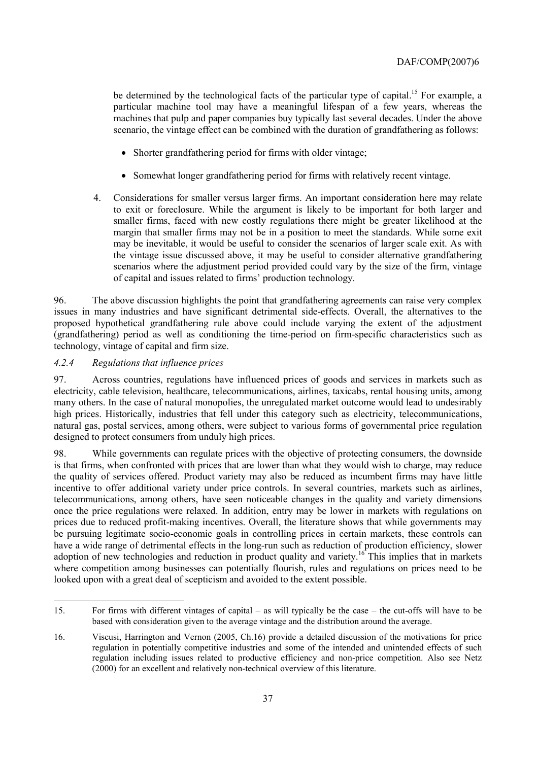be determined by the technological facts of the particular type of capital.<sup>15</sup> For example, a particular machine tool may have a meaningful lifespan of a few years, whereas the machines that pulp and paper companies buy typically last several decades. Under the above scenario, the vintage effect can be combined with the duration of grandfathering as follows:

- Shorter grandfathering period for firms with older vintage;
- Somewhat longer grandfathering period for firms with relatively recent vintage.
- 4. Considerations for smaller versus larger firms. An important consideration here may relate to exit or foreclosure. While the argument is likely to be important for both larger and smaller firms, faced with new costly regulations there might be greater likelihood at the margin that smaller firms may not be in a position to meet the standards. While some exit may be inevitable, it would be useful to consider the scenarios of larger scale exit. As with the vintage issue discussed above, it may be useful to consider alternative grandfathering scenarios where the adjustment period provided could vary by the size of the firm, vintage of capital and issues related to firms' production technology.

96. The above discussion highlights the point that grandfathering agreements can raise very complex issues in many industries and have significant detrimental side-effects. Overall, the alternatives to the proposed hypothetical grandfathering rule above could include varying the extent of the adjustment (grandfathering) period as well as conditioning the time-period on firm-specific characteristics such as technology, vintage of capital and firm size.

### *4.2.4 Regulations that influence prices*

 $\overline{a}$ 

97. Across countries, regulations have influenced prices of goods and services in markets such as electricity, cable television, healthcare, telecommunications, airlines, taxicabs, rental housing units, among many others. In the case of natural monopolies, the unregulated market outcome would lead to undesirably high prices. Historically, industries that fell under this category such as electricity, telecommunications, natural gas, postal services, among others, were subject to various forms of governmental price regulation designed to protect consumers from unduly high prices.

98. While governments can regulate prices with the objective of protecting consumers, the downside is that firms, when confronted with prices that are lower than what they would wish to charge, may reduce the quality of services offered. Product variety may also be reduced as incumbent firms may have little incentive to offer additional variety under price controls. In several countries, markets such as airlines, telecommunications, among others, have seen noticeable changes in the quality and variety dimensions once the price regulations were relaxed. In addition, entry may be lower in markets with regulations on prices due to reduced profit-making incentives. Overall, the literature shows that while governments may be pursuing legitimate socio-economic goals in controlling prices in certain markets, these controls can have a wide range of detrimental effects in the long-run such as reduction of production efficiency, slower adoption of new technologies and reduction in product quality and variety.<sup>16</sup> This implies that in markets where competition among businesses can potentially flourish, rules and regulations on prices need to be looked upon with a great deal of scepticism and avoided to the extent possible.

<sup>15.</sup> For firms with different vintages of capital  $-$  as will typically be the case  $-$  the cut-offs will have to be based with consideration given to the average vintage and the distribution around the average.

<sup>16.</sup> Viscusi, Harrington and Vernon (2005, Ch.16) provide a detailed discussion of the motivations for price regulation in potentially competitive industries and some of the intended and unintended effects of such regulation including issues related to productive efficiency and non-price competition. Also see Netz (2000) for an excellent and relatively non-technical overview of this literature.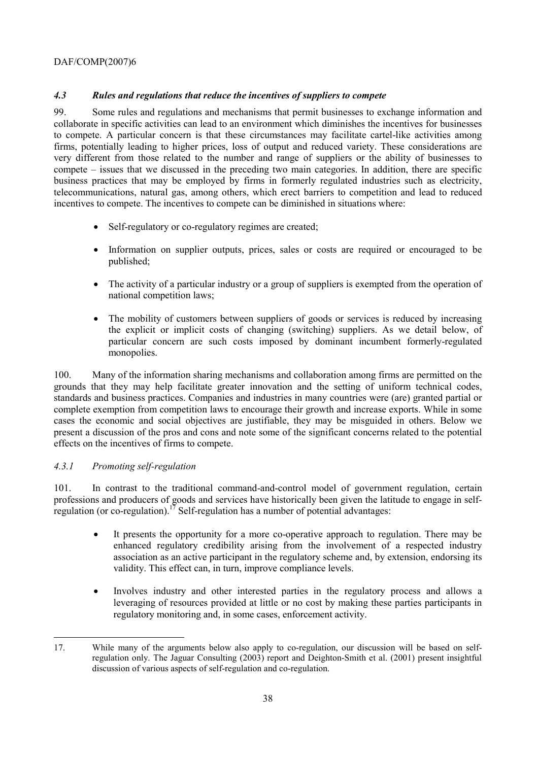# *4.3 Rules and regulations that reduce the incentives of suppliers to compete*

99. Some rules and regulations and mechanisms that permit businesses to exchange information and collaborate in specific activities can lead to an environment which diminishes the incentives for businesses to compete. A particular concern is that these circumstances may facilitate cartel-like activities among firms, potentially leading to higher prices, loss of output and reduced variety. These considerations are very different from those related to the number and range of suppliers or the ability of businesses to compete – issues that we discussed in the preceding two main categories. In addition, there are specific business practices that may be employed by firms in formerly regulated industries such as electricity, telecommunications, natural gas, among others, which erect barriers to competition and lead to reduced incentives to compete. The incentives to compete can be diminished in situations where:

- Self-regulatory or co-regulatory regimes are created:
- Information on supplier outputs, prices, sales or costs are required or encouraged to be published;
- The activity of a particular industry or a group of suppliers is exempted from the operation of national competition laws;
- The mobility of customers between suppliers of goods or services is reduced by increasing the explicit or implicit costs of changing (switching) suppliers. As we detail below, of particular concern are such costs imposed by dominant incumbent formerly-regulated monopolies.

100. Many of the information sharing mechanisms and collaboration among firms are permitted on the grounds that they may help facilitate greater innovation and the setting of uniform technical codes, standards and business practices. Companies and industries in many countries were (are) granted partial or complete exemption from competition laws to encourage their growth and increase exports. While in some cases the economic and social objectives are justifiable, they may be misguided in others. Below we present a discussion of the pros and cons and note some of the significant concerns related to the potential effects on the incentives of firms to compete.

# *4.3.1 Promoting self-regulation*

101. In contrast to the traditional command-and-control model of government regulation, certain professions and producers of goods and services have historically been given the latitude to engage in selfregulation (or co-regulation).<sup>17</sup> Self-regulation has a number of potential advantages:

- It presents the opportunity for a more co-operative approach to regulation. There may be enhanced regulatory credibility arising from the involvement of a respected industry association as an active participant in the regulatory scheme and, by extension, endorsing its validity. This effect can, in turn, improve compliance levels.
- Involves industry and other interested parties in the regulatory process and allows a leveraging of resources provided at little or no cost by making these parties participants in regulatory monitoring and, in some cases, enforcement activity.

 $\overline{a}$ 17. While many of the arguments below also apply to co-regulation, our discussion will be based on selfregulation only. The Jaguar Consulting (2003) report and Deighton-Smith et al. (2001) present insightful discussion of various aspects of self-regulation and co-regulation.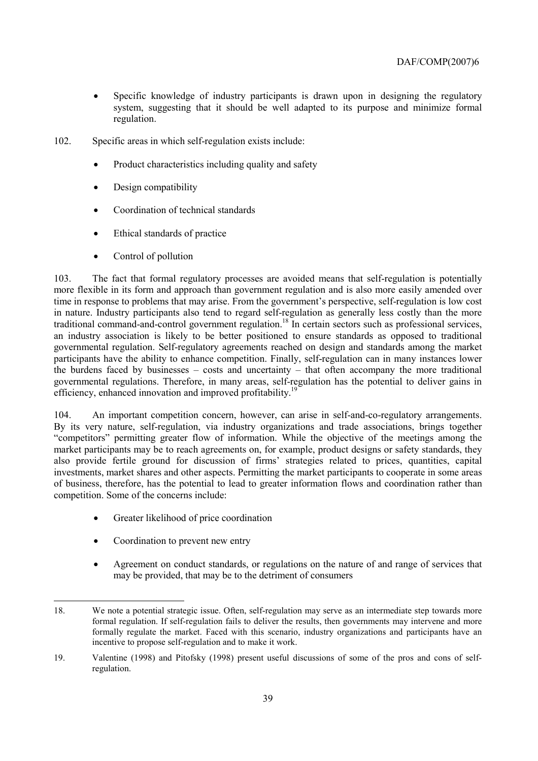- Specific knowledge of industry participants is drawn upon in designing the regulatory system, suggesting that it should be well adapted to its purpose and minimize formal regulation.
- 102. Specific areas in which self-regulation exists include:
	- Product characteristics including quality and safety
	- Design compatibility
	- Coordination of technical standards
	- Ethical standards of practice
	- Control of pollution

103. The fact that formal regulatory processes are avoided means that self-regulation is potentially more flexible in its form and approach than government regulation and is also more easily amended over time in response to problems that may arise. From the government's perspective, self-regulation is low cost in nature. Industry participants also tend to regard self-regulation as generally less costly than the more traditional command-and-control government regulation.18 In certain sectors such as professional services, an industry association is likely to be better positioned to ensure standards as opposed to traditional governmental regulation. Self-regulatory agreements reached on design and standards among the market participants have the ability to enhance competition. Finally, self-regulation can in many instances lower the burdens faced by businesses  $-$  costs and uncertainty  $-$  that often accompany the more traditional governmental regulations. Therefore, in many areas, self-regulation has the potential to deliver gains in efficiency, enhanced innovation and improved profitability.<sup>19</sup>

104. An important competition concern, however, can arise in self-and-co-regulatory arrangements. By its very nature, self-regulation, via industry organizations and trade associations, brings together ìcompetitorsî permitting greater flow of information. While the objective of the meetings among the market participants may be to reach agreements on, for example, product designs or safety standards, they also provide fertile ground for discussion of firms' strategies related to prices, quantities, capital investments, market shares and other aspects. Permitting the market participants to cooperate in some areas of business, therefore, has the potential to lead to greater information flows and coordination rather than competition. Some of the concerns include:

- Greater likelihood of price coordination
- Coordination to prevent new entry

 $\overline{a}$ 

• Agreement on conduct standards, or regulations on the nature of and range of services that may be provided, that may be to the detriment of consumers

<sup>18.</sup> We note a potential strategic issue. Often, self-regulation may serve as an intermediate step towards more formal regulation. If self-regulation fails to deliver the results, then governments may intervene and more formally regulate the market. Faced with this scenario, industry organizations and participants have an incentive to propose self-regulation and to make it work.

<sup>19.</sup> Valentine (1998) and Pitofsky (1998) present useful discussions of some of the pros and cons of selfregulation.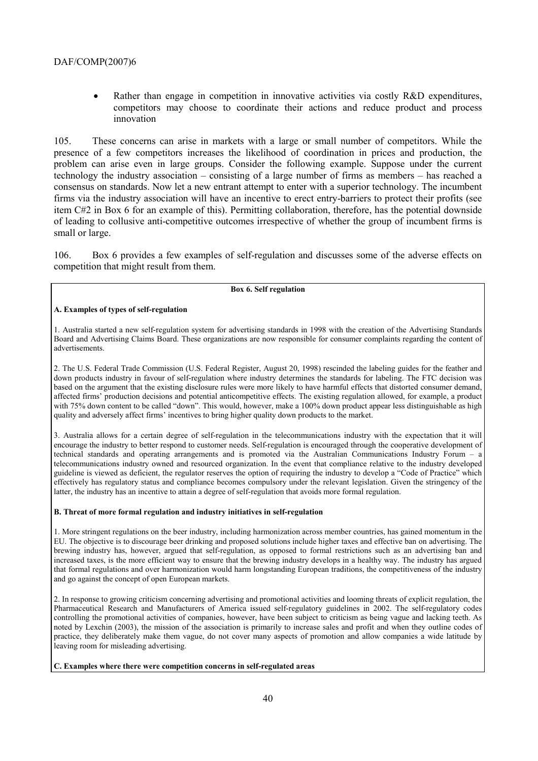Rather than engage in competition in innovative activities via costly R&D expenditures, competitors may choose to coordinate their actions and reduce product and process innovation

105. These concerns can arise in markets with a large or small number of competitors. While the presence of a few competitors increases the likelihood of coordination in prices and production, the problem can arise even in large groups. Consider the following example. Suppose under the current technology the industry association – consisting of a large number of firms as members – has reached a consensus on standards. Now let a new entrant attempt to enter with a superior technology. The incumbent firms via the industry association will have an incentive to erect entry-barriers to protect their profits (see item C#2 in Box 6 for an example of this). Permitting collaboration, therefore, has the potential downside of leading to collusive anti-competitive outcomes irrespective of whether the group of incumbent firms is small or large.

106. Box 6 provides a few examples of self-regulation and discusses some of the adverse effects on competition that might result from them.

#### **Box 6. Self regulation**

### **A. Examples of types of self-regulation**

1. Australia started a new self-regulation system for advertising standards in 1998 with the creation of the Advertising Standards Board and Advertising Claims Board. These organizations are now responsible for consumer complaints regarding the content of advertisements.

2. The U.S. Federal Trade Commission (U.S. Federal Register, August 20, 1998) rescinded the labeling guides for the feather and down products industry in favour of self-regulation where industry determines the standards for labeling. The FTC decision was based on the argument that the existing disclosure rules were more likely to have harmful effects that distorted consumer demand, affected firms' production decisions and potential anticompetitive effects. The existing regulation allowed, for example, a product with 75% down content to be called "down". This would, however, make a 100% down product appear less distinguishable as high quality and adversely affect firms' incentives to bring higher quality down products to the market.

3. Australia allows for a certain degree of self-regulation in the telecommunications industry with the expectation that it will encourage the industry to better respond to customer needs. Self-regulation is encouraged through the cooperative development of technical standards and operating arrangements and is promoted via the Australian Communications Industry Forum  $-$  a telecommunications industry owned and resourced organization. In the event that compliance relative to the industry developed guideline is viewed as deficient, the regulator reserves the option of requiring the industry to develop a "Code of Practice" which effectively has regulatory status and compliance becomes compulsory under the relevant legislation. Given the stringency of the latter, the industry has an incentive to attain a degree of self-regulation that avoids more formal regulation.

#### **B. Threat of more formal regulation and industry initiatives in self-regulation**

1. More stringent regulations on the beer industry, including harmonization across member countries, has gained momentum in the EU. The objective is to discourage beer drinking and proposed solutions include higher taxes and effective ban on advertising. The brewing industry has, however, argued that self-regulation, as opposed to formal restrictions such as an advertising ban and increased taxes, is the more efficient way to ensure that the brewing industry develops in a healthy way. The industry has argued that formal regulations and over harmonization would harm longstanding European traditions, the competitiveness of the industry and go against the concept of open European markets.

2. In response to growing criticism concerning advertising and promotional activities and looming threats of explicit regulation, the Pharmaceutical Research and Manufacturers of America issued self-regulatory guidelines in 2002. The self-regulatory codes controlling the promotional activities of companies, however, have been subject to criticism as being vague and lacking teeth. As noted by Lexchin (2003), the mission of the association is primarily to increase sales and profit and when they outline codes of practice, they deliberately make them vague, do not cover many aspects of promotion and allow companies a wide latitude by leaving room for misleading advertising.

**C. Examples where there were competition concerns in self-regulated areas**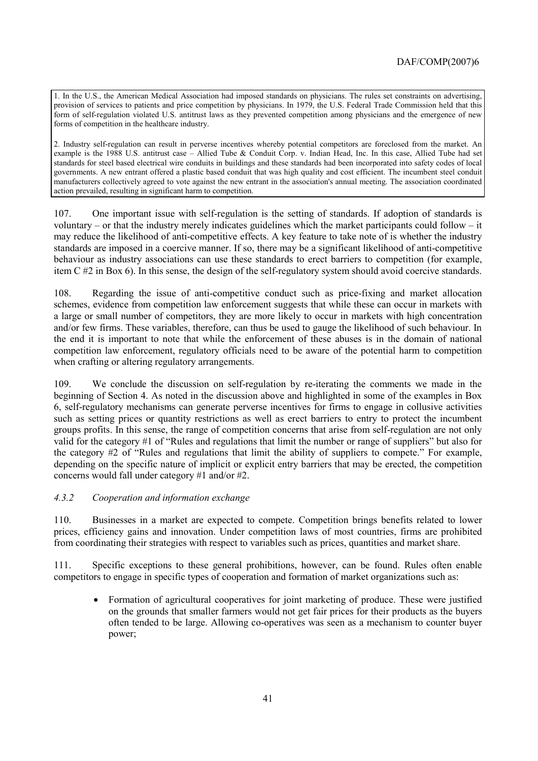1. In the U.S., the American Medical Association had imposed standards on physicians. The rules set constraints on advertising, provision of services to patients and price competition by physicians. In 1979, the U.S. Federal Trade Commission held that this form of self-regulation violated U.S. antitrust laws as they prevented competition among physicians and the emergence of new forms of competition in the healthcare industry.

2. Industry self-regulation can result in perverse incentives whereby potential competitors are foreclosed from the market. An example is the 1988 U.S. antitrust case - Allied Tube & Conduit Corp. v. Indian Head, Inc. In this case, Allied Tube had set standards for steel based electrical wire conduits in buildings and these standards had been incorporated into safety codes of local governments. A new entrant offered a plastic based conduit that was high quality and cost efficient. The incumbent steel conduit manufacturers collectively agreed to vote against the new entrant in the association's annual meeting. The association coordinated action prevailed, resulting in significant harm to competition.

107. One important issue with self-regulation is the setting of standards. If adoption of standards is voluntary  $-$  or that the industry merely indicates guidelines which the market participants could follow  $-$  it may reduce the likelihood of anti-competitive effects. A key feature to take note of is whether the industry standards are imposed in a coercive manner. If so, there may be a significant likelihood of anti-competitive behaviour as industry associations can use these standards to erect barriers to competition (for example, item C #2 in Box 6). In this sense, the design of the self-regulatory system should avoid coercive standards.

108. Regarding the issue of anti-competitive conduct such as price-fixing and market allocation schemes, evidence from competition law enforcement suggests that while these can occur in markets with a large or small number of competitors, they are more likely to occur in markets with high concentration and/or few firms. These variables, therefore, can thus be used to gauge the likelihood of such behaviour. In the end it is important to note that while the enforcement of these abuses is in the domain of national competition law enforcement, regulatory officials need to be aware of the potential harm to competition when crafting or altering regulatory arrangements.

109. We conclude the discussion on self-regulation by re-iterating the comments we made in the beginning of Section 4. As noted in the discussion above and highlighted in some of the examples in Box 6, self-regulatory mechanisms can generate perverse incentives for firms to engage in collusive activities such as setting prices or quantity restrictions as well as erect barriers to entry to protect the incumbent groups profits. In this sense, the range of competition concerns that arise from self-regulation are not only valid for the category  $#1$  of "Rules and regulations that limit the number or range of suppliers" but also for the category  $#2$  of "Rules and regulations that limit the ability of suppliers to compete." For example, depending on the specific nature of implicit or explicit entry barriers that may be erected, the competition concerns would fall under category #1 and/or #2.

# *4.3.2 Cooperation and information exchange*

110. Businesses in a market are expected to compete. Competition brings benefits related to lower prices, efficiency gains and innovation. Under competition laws of most countries, firms are prohibited from coordinating their strategies with respect to variables such as prices, quantities and market share.

111. Specific exceptions to these general prohibitions, however, can be found. Rules often enable competitors to engage in specific types of cooperation and formation of market organizations such as:

• Formation of agricultural cooperatives for joint marketing of produce. These were justified on the grounds that smaller farmers would not get fair prices for their products as the buyers often tended to be large. Allowing co-operatives was seen as a mechanism to counter buyer power;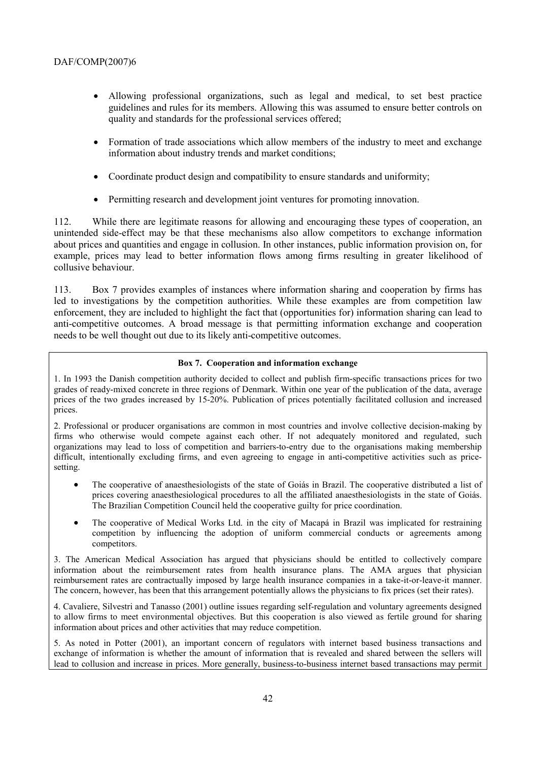- Allowing professional organizations, such as legal and medical, to set best practice guidelines and rules for its members. Allowing this was assumed to ensure better controls on quality and standards for the professional services offered;
- Formation of trade associations which allow members of the industry to meet and exchange information about industry trends and market conditions;
- Coordinate product design and compatibility to ensure standards and uniformity;
- Permitting research and development joint ventures for promoting innovation.

112. While there are legitimate reasons for allowing and encouraging these types of cooperation, an unintended side-effect may be that these mechanisms also allow competitors to exchange information about prices and quantities and engage in collusion. In other instances, public information provision on, for example, prices may lead to better information flows among firms resulting in greater likelihood of collusive behaviour.

113. Box 7 provides examples of instances where information sharing and cooperation by firms has led to investigations by the competition authorities. While these examples are from competition law enforcement, they are included to highlight the fact that (opportunities for) information sharing can lead to anti-competitive outcomes. A broad message is that permitting information exchange and cooperation needs to be well thought out due to its likely anti-competitive outcomes.

### **Box 7. Cooperation and information exchange**

1. In 1993 the Danish competition authority decided to collect and publish firm-specific transactions prices for two grades of ready-mixed concrete in three regions of Denmark. Within one year of the publication of the data, average prices of the two grades increased by 15-20%. Publication of prices potentially facilitated collusion and increased prices.

2. Professional or producer organisations are common in most countries and involve collective decision-making by firms who otherwise would compete against each other. If not adequately monitored and regulated, such organizations may lead to loss of competition and barriers-to-entry due to the organisations making membership difficult, intentionally excluding firms, and even agreeing to engage in anti-competitive activities such as pricesetting.

- The cooperative of anaesthesiologists of the state of Goiás in Brazil. The cooperative distributed a list of prices covering anaesthesiological procedures to all the affiliated anaesthesiologists in the state of Goiás. The Brazilian Competition Council held the cooperative guilty for price coordination.
- The cooperative of Medical Works Ltd. in the city of Macapá in Brazil was implicated for restraining competition by influencing the adoption of uniform commercial conducts or agreements among competitors.

3. The American Medical Association has argued that physicians should be entitled to collectively compare information about the reimbursement rates from health insurance plans. The AMA argues that physician reimbursement rates are contractually imposed by large health insurance companies in a take-it-or-leave-it manner. The concern, however, has been that this arrangement potentially allows the physicians to fix prices (set their rates).

4. Cavaliere, Silvestri and Tanasso (2001) outline issues regarding self-regulation and voluntary agreements designed to allow firms to meet environmental objectives. But this cooperation is also viewed as fertile ground for sharing information about prices and other activities that may reduce competition.

5. As noted in Potter (2001), an important concern of regulators with internet based business transactions and exchange of information is whether the amount of information that is revealed and shared between the sellers will lead to collusion and increase in prices. More generally, business-to-business internet based transactions may permit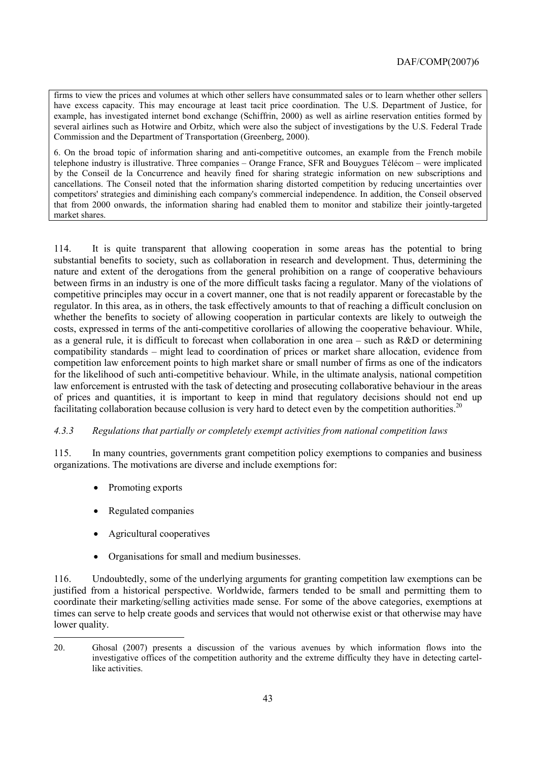firms to view the prices and volumes at which other sellers have consummated sales or to learn whether other sellers have excess capacity. This may encourage at least tacit price coordination. The U.S. Department of Justice, for example, has investigated internet bond exchange (Schiffrin, 2000) as well as airline reservation entities formed by several airlines such as Hotwire and Orbitz, which were also the subject of investigations by the U.S. Federal Trade Commission and the Department of Transportation (Greenberg, 2000).

6. On the broad topic of information sharing and anti-competitive outcomes, an example from the French mobile telephone industry is illustrative. Three companies – Orange France, SFR and Bouygues Télécom – were implicated by the Conseil de la Concurrence and heavily fined for sharing strategic information on new subscriptions and cancellations. The Conseil noted that the information sharing distorted competition by reducing uncertainties over competitors' strategies and diminishing each company's commercial independence. In addition, the Conseil observed that from 2000 onwards, the information sharing had enabled them to monitor and stabilize their jointly-targeted market shares.

114. It is quite transparent that allowing cooperation in some areas has the potential to bring substantial benefits to society, such as collaboration in research and development. Thus, determining the nature and extent of the derogations from the general prohibition on a range of cooperative behaviours between firms in an industry is one of the more difficult tasks facing a regulator. Many of the violations of competitive principles may occur in a covert manner, one that is not readily apparent or forecastable by the regulator. In this area, as in others, the task effectively amounts to that of reaching a difficult conclusion on whether the benefits to society of allowing cooperation in particular contexts are likely to outweigh the costs, expressed in terms of the anti-competitive corollaries of allowing the cooperative behaviour. While, as a general rule, it is difficult to forecast when collaboration in one area  $-$  such as R&D or determining compatibility standards – might lead to coordination of prices or market share allocation, evidence from competition law enforcement points to high market share or small number of firms as one of the indicators for the likelihood of such anti-competitive behaviour. While, in the ultimate analysis, national competition law enforcement is entrusted with the task of detecting and prosecuting collaborative behaviour in the areas of prices and quantities, it is important to keep in mind that regulatory decisions should not end up facilitating collaboration because collusion is very hard to detect even by the competition authorities.<sup>20</sup>

# *4.3.3 Regulations that partially or completely exempt activities from national competition laws*

115. In many countries, governments grant competition policy exemptions to companies and business organizations. The motivations are diverse and include exemptions for:

• Promoting exports

 $\overline{a}$ 

- Regulated companies
- Agricultural cooperatives
- Organisations for small and medium businesses.

116. Undoubtedly, some of the underlying arguments for granting competition law exemptions can be justified from a historical perspective. Worldwide, farmers tended to be small and permitting them to coordinate their marketing/selling activities made sense. For some of the above categories, exemptions at times can serve to help create goods and services that would not otherwise exist or that otherwise may have lower quality.

<sup>20.</sup> Ghosal (2007) presents a discussion of the various avenues by which information flows into the investigative offices of the competition authority and the extreme difficulty they have in detecting cartellike activities.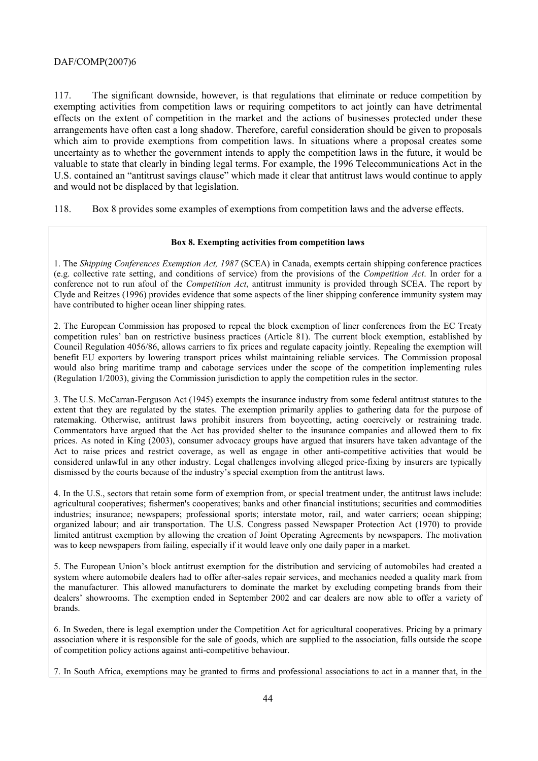117. The significant downside, however, is that regulations that eliminate or reduce competition by exempting activities from competition laws or requiring competitors to act jointly can have detrimental effects on the extent of competition in the market and the actions of businesses protected under these arrangements have often cast a long shadow. Therefore, careful consideration should be given to proposals which aim to provide exemptions from competition laws. In situations where a proposal creates some uncertainty as to whether the government intends to apply the competition laws in the future, it would be valuable to state that clearly in binding legal terms. For example, the 1996 Telecommunications Act in the U.S. contained an "antitrust savings clause" which made it clear that antitrust laws would continue to apply and would not be displaced by that legislation.

118. Box 8 provides some examples of exemptions from competition laws and the adverse effects.

# **Box 8. Exempting activities from competition laws**

1. The *Shipping Conferences Exemption Act, 1987* (SCEA) in Canada, exempts certain shipping conference practices (e.g. collective rate setting, and conditions of service) from the provisions of the *Competition Act*. In order for a conference not to run afoul of the *Competition Act*, antitrust immunity is provided through SCEA. The report by Clyde and Reitzes (1996) provides evidence that some aspects of the liner shipping conference immunity system may have contributed to higher ocean liner shipping rates.

2. The European Commission has proposed to repeal the block exemption of liner conferences from the EC Treaty competition rules' ban on restrictive business practices (Article 81). The current block exemption, established by Council Regulation 4056/86, allows carriers to fix prices and regulate capacity jointly. Repealing the exemption will benefit EU exporters by lowering transport prices whilst maintaining reliable services. The Commission proposal would also bring maritime tramp and cabotage services under the scope of the competition implementing rules (Regulation 1/2003), giving the Commission jurisdiction to apply the competition rules in the sector.

3. The U.S. McCarran-Ferguson Act (1945) exempts the insurance industry from some federal antitrust statutes to the extent that they are regulated by the states. The exemption primarily applies to gathering data for the purpose of ratemaking. Otherwise, antitrust laws prohibit insurers from boycotting, acting coercively or restraining trade. Commentators have argued that the Act has provided shelter to the insurance companies and allowed them to fix prices. As noted in King (2003), consumer advocacy groups have argued that insurers have taken advantage of the Act to raise prices and restrict coverage, as well as engage in other anti-competitive activities that would be considered unlawful in any other industry. Legal challenges involving alleged price-fixing by insurers are typically dismissed by the courts because of the industry's special exemption from the antitrust laws.

4. In the U.S., sectors that retain some form of exemption from, or special treatment under, the antitrust laws include: agricultural cooperatives; fishermen's cooperatives; banks and other financial institutions; securities and commodities industries; insurance; newspapers; professional sports; interstate motor, rail, and water carriers; ocean shipping; organized labour; and air transportation. The U.S. Congress passed Newspaper Protection Act (1970) to provide limited antitrust exemption by allowing the creation of Joint Operating Agreements by newspapers. The motivation was to keep newspapers from failing, especially if it would leave only one daily paper in a market.

5. The European Unionís block antitrust exemption for the distribution and servicing of automobiles had created a system where automobile dealers had to offer after-sales repair services, and mechanics needed a quality mark from the manufacturer. This allowed manufacturers to dominate the market by excluding competing brands from their dealers' showrooms. The exemption ended in September 2002 and car dealers are now able to offer a variety of brands.

6. In Sweden, there is legal exemption under the Competition Act for agricultural cooperatives. Pricing by a primary association where it is responsible for the sale of goods, which are supplied to the association, falls outside the scope of competition policy actions against anti-competitive behaviour.

7. In South Africa, exemptions may be granted to firms and professional associations to act in a manner that, in the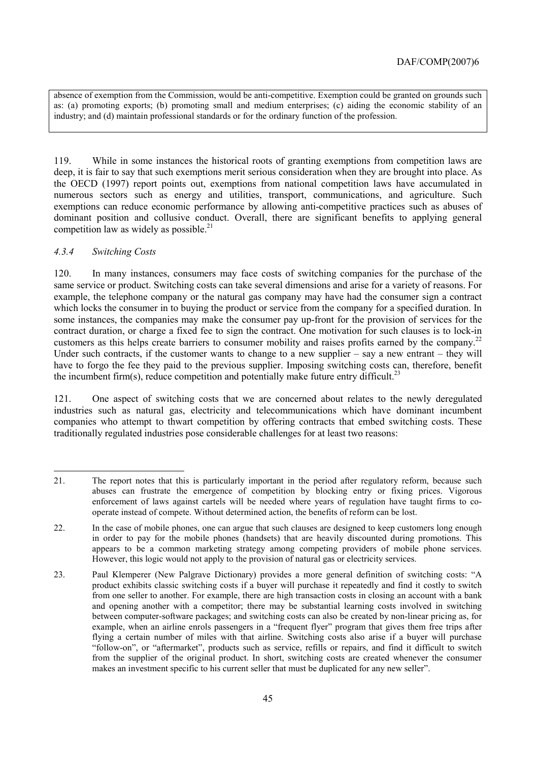absence of exemption from the Commission, would be anti-competitive. Exemption could be granted on grounds such as: (a) promoting exports; (b) promoting small and medium enterprises; (c) aiding the economic stability of an industry; and (d) maintain professional standards or for the ordinary function of the profession.

119. While in some instances the historical roots of granting exemptions from competition laws are deep, it is fair to say that such exemptions merit serious consideration when they are brought into place. As the OECD (1997) report points out, exemptions from national competition laws have accumulated in numerous sectors such as energy and utilities, transport, communications, and agriculture. Such exemptions can reduce economic performance by allowing anti-competitive practices such as abuses of dominant position and collusive conduct. Overall, there are significant benefits to applying general competition law as widely as possible. $21$ 

# *4.3.4 Switching Costs*

120. In many instances, consumers may face costs of switching companies for the purchase of the same service or product. Switching costs can take several dimensions and arise for a variety of reasons. For example, the telephone company or the natural gas company may have had the consumer sign a contract which locks the consumer in to buying the product or service from the company for a specified duration. In some instances, the companies may make the consumer pay up-front for the provision of services for the contract duration, or charge a fixed fee to sign the contract. One motivation for such clauses is to lock-in customers as this helps create barriers to consumer mobility and raises profits earned by the company.<sup>22</sup> Under such contracts, if the customer wants to change to a new supplier  $-$  say a new entrant  $-$  they will have to forgo the fee they paid to the previous supplier. Imposing switching costs can, therefore, benefit the incumbent firm(s), reduce competition and potentially make future entry difficult.<sup>23</sup>

121. One aspect of switching costs that we are concerned about relates to the newly deregulated industries such as natural gas, electricity and telecommunications which have dominant incumbent companies who attempt to thwart competition by offering contracts that embed switching costs. These traditionally regulated industries pose considerable challenges for at least two reasons:

 $\overline{a}$ 21. The report notes that this is particularly important in the period after regulatory reform, because such abuses can frustrate the emergence of competition by blocking entry or fixing prices. Vigorous enforcement of laws against cartels will be needed where years of regulation have taught firms to cooperate instead of compete. Without determined action, the benefits of reform can be lost.

<sup>22.</sup> In the case of mobile phones, one can argue that such clauses are designed to keep customers long enough in order to pay for the mobile phones (handsets) that are heavily discounted during promotions. This appears to be a common marketing strategy among competing providers of mobile phone services. However, this logic would not apply to the provision of natural gas or electricity services.

<sup>23.</sup> Paul Klemperer (New Palgrave Dictionary) provides a more general definition of switching costs: "A product exhibits classic switching costs if a buyer will purchase it repeatedly and find it costly to switch from one seller to another. For example, there are high transaction costs in closing an account with a bank and opening another with a competitor; there may be substantial learning costs involved in switching between computer-software packages; and switching costs can also be created by non-linear pricing as, for example, when an airline enrols passengers in a "frequent flyer" program that gives them free trips after flying a certain number of miles with that airline. Switching costs also arise if a buyer will purchase ìfollow-onî, or ìaftermarketî, products such as service, refills or repairs, and find it difficult to switch from the supplier of the original product. In short, switching costs are created whenever the consumer makes an investment specific to his current seller that must be duplicated for any new seller".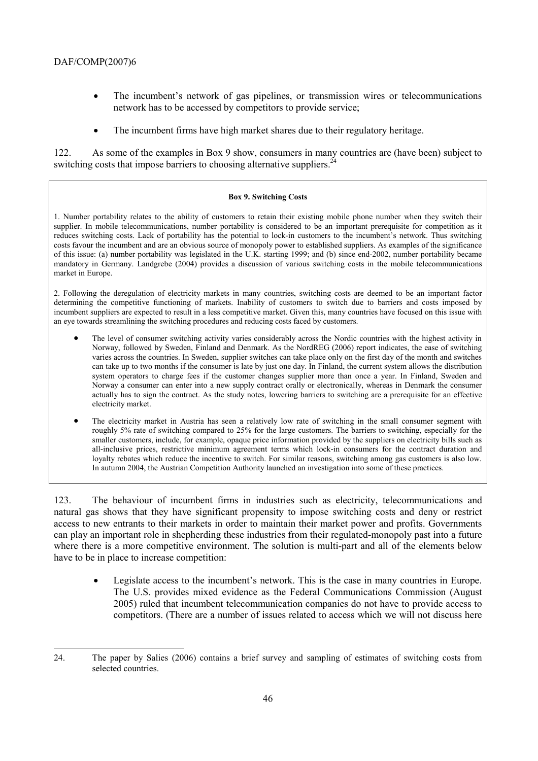- The incumbent's network of gas pipelines, or transmission wires or telecommunications network has to be accessed by competitors to provide service;
- The incumbent firms have high market shares due to their regulatory heritage.

122. As some of the examples in Box 9 show, consumers in many countries are (have been) subject to switching costs that impose barriers to choosing alternative suppliers.<sup>24</sup>

### **Box 9. Switching Costs**

1. Number portability relates to the ability of customers to retain their existing mobile phone number when they switch their supplier. In mobile telecommunications, number portability is considered to be an important prerequisite for competition as it reduces switching costs. Lack of portability has the potential to lock-in customers to the incumbentís network. Thus switching costs favour the incumbent and are an obvious source of monopoly power to established suppliers. As examples of the significance of this issue: (a) number portability was legislated in the U.K. starting 1999; and (b) since end-2002, number portability became mandatory in Germany. Landgrebe (2004) provides a discussion of various switching costs in the mobile telecommunications market in Europe.

2. Following the deregulation of electricity markets in many countries, switching costs are deemed to be an important factor determining the competitive functioning of markets. Inability of customers to switch due to barriers and costs imposed by incumbent suppliers are expected to result in a less competitive market. Given this, many countries have focused on this issue with an eye towards streamlining the switching procedures and reducing costs faced by customers.

- The level of consumer switching activity varies considerably across the Nordic countries with the highest activity in Norway, followed by Sweden, Finland and Denmark. As the NordREG (2006) report indicates, the ease of switching varies across the countries. In Sweden, supplier switches can take place only on the first day of the month and switches can take up to two months if the consumer is late by just one day. In Finland, the current system allows the distribution system operators to charge fees if the customer changes supplier more than once a year. In Finland, Sweden and Norway a consumer can enter into a new supply contract orally or electronically, whereas in Denmark the consumer actually has to sign the contract. As the study notes, lowering barriers to switching are a prerequisite for an effective electricity market.
- The electricity market in Austria has seen a relatively low rate of switching in the small consumer segment with roughly 5% rate of switching compared to 25% for the large customers. The barriers to switching, especially for the smaller customers, include, for example, opaque price information provided by the suppliers on electricity bills such as all-inclusive prices, restrictive minimum agreement terms which lock-in consumers for the contract duration and loyalty rebates which reduce the incentive to switch. For similar reasons, switching among gas customers is also low. In autumn 2004, the Austrian Competition Authority launched an investigation into some of these practices.

123. The behaviour of incumbent firms in industries such as electricity, telecommunications and natural gas shows that they have significant propensity to impose switching costs and deny or restrict access to new entrants to their markets in order to maintain their market power and profits. Governments can play an important role in shepherding these industries from their regulated-monopoly past into a future where there is a more competitive environment. The solution is multi-part and all of the elements below have to be in place to increase competition:

Legislate access to the incumbent's network. This is the case in many countries in Europe. The U.S. provides mixed evidence as the Federal Communications Commission (August 2005) ruled that incumbent telecommunication companies do not have to provide access to competitors. (There are a number of issues related to access which we will not discuss here

 $\overline{a}$ 24. The paper by Salies (2006) contains a brief survey and sampling of estimates of switching costs from selected countries.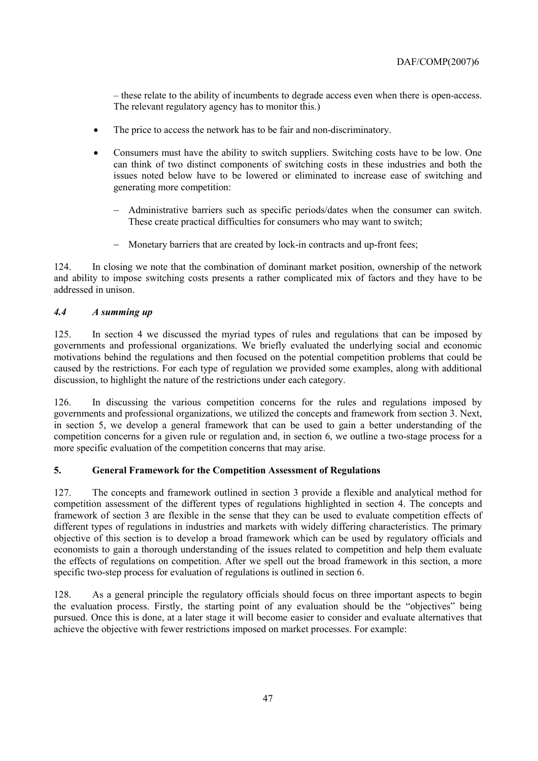– these relate to the ability of incumbents to degrade access even when there is open-access. The relevant regulatory agency has to monitor this.)

- The price to access the network has to be fair and non-discriminatory.
- Consumers must have the ability to switch suppliers. Switching costs have to be low. One can think of two distinct components of switching costs in these industries and both the issues noted below have to be lowered or eliminated to increase ease of switching and generating more competition:
	- − Administrative barriers such as specific periods/dates when the consumer can switch. These create practical difficulties for consumers who may want to switch;
	- − Monetary barriers that are created by lock-in contracts and up-front fees;

124. In closing we note that the combination of dominant market position, ownership of the network and ability to impose switching costs presents a rather complicated mix of factors and they have to be addressed in unison.

# *4.4 A summing up*

125. In section 4 we discussed the myriad types of rules and regulations that can be imposed by governments and professional organizations. We briefly evaluated the underlying social and economic motivations behind the regulations and then focused on the potential competition problems that could be caused by the restrictions. For each type of regulation we provided some examples, along with additional discussion, to highlight the nature of the restrictions under each category.

126. In discussing the various competition concerns for the rules and regulations imposed by governments and professional organizations, we utilized the concepts and framework from section 3. Next, in section 5, we develop a general framework that can be used to gain a better understanding of the competition concerns for a given rule or regulation and, in section 6, we outline a two-stage process for a more specific evaluation of the competition concerns that may arise.

# **5. General Framework for the Competition Assessment of Regulations**

127. The concepts and framework outlined in section 3 provide a flexible and analytical method for competition assessment of the different types of regulations highlighted in section 4. The concepts and framework of section 3 are flexible in the sense that they can be used to evaluate competition effects of different types of regulations in industries and markets with widely differing characteristics. The primary objective of this section is to develop a broad framework which can be used by regulatory officials and economists to gain a thorough understanding of the issues related to competition and help them evaluate the effects of regulations on competition. After we spell out the broad framework in this section, a more specific two-step process for evaluation of regulations is outlined in section 6.

128. As a general principle the regulatory officials should focus on three important aspects to begin the evaluation process. Firstly, the starting point of any evaluation should be the "objectives" being pursued. Once this is done, at a later stage it will become easier to consider and evaluate alternatives that achieve the objective with fewer restrictions imposed on market processes. For example: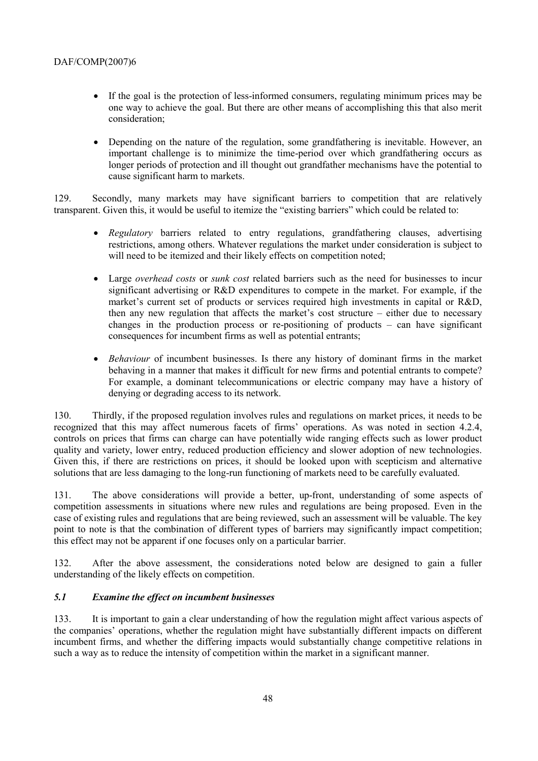- If the goal is the protection of less-informed consumers, regulating minimum prices may be one way to achieve the goal. But there are other means of accomplishing this that also merit consideration;
- Depending on the nature of the regulation, some grandfathering is inevitable. However, an important challenge is to minimize the time-period over which grandfathering occurs as longer periods of protection and ill thought out grandfather mechanisms have the potential to cause significant harm to markets.

129. Secondly, many markets may have significant barriers to competition that are relatively transparent. Given this, it would be useful to itemize the "existing barriers" which could be related to:

- *Regulatory* barriers related to entry regulations, grandfathering clauses, advertising restrictions, among others. Whatever regulations the market under consideration is subject to will need to be itemized and their likely effects on competition noted:
- Large *overhead costs* or *sunk cost* related barriers such as the need for businesses to incur significant advertising or R&D expenditures to compete in the market. For example, if the market's current set of products or services required high investments in capital or R&D, then any new regulation that affects the market's cost structure  $-$  either due to necessary changes in the production process or re-positioning of products  $-$  can have significant consequences for incumbent firms as well as potential entrants;
- *Behaviour* of incumbent businesses. Is there any history of dominant firms in the market behaving in a manner that makes it difficult for new firms and potential entrants to compete? For example, a dominant telecommunications or electric company may have a history of denying or degrading access to its network.

130. Thirdly, if the proposed regulation involves rules and regulations on market prices, it needs to be recognized that this may affect numerous facets of firms' operations. As was noted in section 4.2.4, controls on prices that firms can charge can have potentially wide ranging effects such as lower product quality and variety, lower entry, reduced production efficiency and slower adoption of new technologies. Given this, if there are restrictions on prices, it should be looked upon with scepticism and alternative solutions that are less damaging to the long-run functioning of markets need to be carefully evaluated.

131. The above considerations will provide a better, up-front, understanding of some aspects of competition assessments in situations where new rules and regulations are being proposed. Even in the case of existing rules and regulations that are being reviewed, such an assessment will be valuable. The key point to note is that the combination of different types of barriers may significantly impact competition; this effect may not be apparent if one focuses only on a particular barrier.

132. After the above assessment, the considerations noted below are designed to gain a fuller understanding of the likely effects on competition.

# *5.1 Examine the effect on incumbent businesses*

133. It is important to gain a clear understanding of how the regulation might affect various aspects of the companies' operations, whether the regulation might have substantially different impacts on different incumbent firms, and whether the differing impacts would substantially change competitive relations in such a way as to reduce the intensity of competition within the market in a significant manner.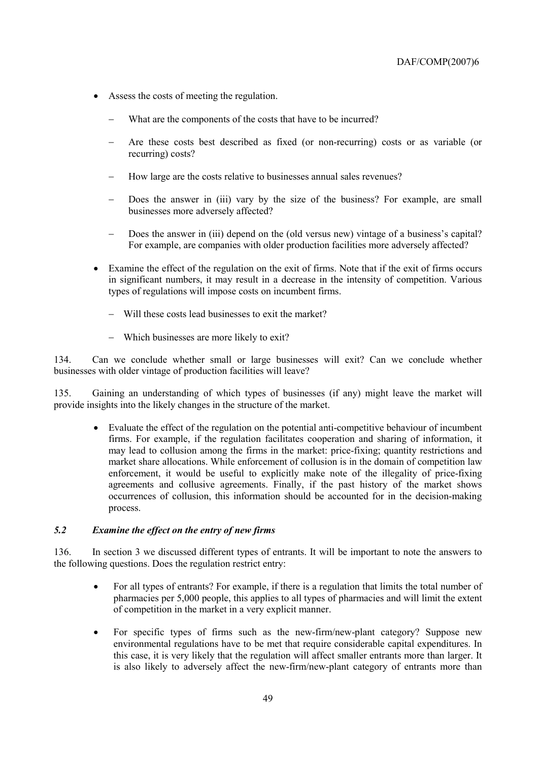- Assess the costs of meeting the regulation.
	- What are the components of the costs that have to be incurred?
	- − Are these costs best described as fixed (or non-recurring) costs or as variable (or recurring) costs?
	- − How large are the costs relative to businesses annual sales revenues?
	- Does the answer in (iii) vary by the size of the business? For example, are small businesses more adversely affected?
	- Does the answer in (iii) depend on the (old versus new) vintage of a business's capital? For example, are companies with older production facilities more adversely affected?
- Examine the effect of the regulation on the exit of firms. Note that if the exit of firms occurs in significant numbers, it may result in a decrease in the intensity of competition. Various types of regulations will impose costs on incumbent firms.
	- − Will these costs lead businesses to exit the market?
	- − Which businesses are more likely to exit?

134. Can we conclude whether small or large businesses will exit? Can we conclude whether businesses with older vintage of production facilities will leave?

135. Gaining an understanding of which types of businesses (if any) might leave the market will provide insights into the likely changes in the structure of the market.

• Evaluate the effect of the regulation on the potential anti-competitive behaviour of incumbent firms. For example, if the regulation facilitates cooperation and sharing of information, it may lead to collusion among the firms in the market: price-fixing; quantity restrictions and market share allocations. While enforcement of collusion is in the domain of competition law enforcement, it would be useful to explicitly make note of the illegality of price-fixing agreements and collusive agreements. Finally, if the past history of the market shows occurrences of collusion, this information should be accounted for in the decision-making process.

# *5.2 Examine the effect on the entry of new firms*

136. In section 3 we discussed different types of entrants. It will be important to note the answers to the following questions. Does the regulation restrict entry:

- For all types of entrants? For example, if there is a regulation that limits the total number of pharmacies per 5,000 people, this applies to all types of pharmacies and will limit the extent of competition in the market in a very explicit manner.
- For specific types of firms such as the new-firm/new-plant category? Suppose new environmental regulations have to be met that require considerable capital expenditures. In this case, it is very likely that the regulation will affect smaller entrants more than larger. It is also likely to adversely affect the new-firm/new-plant category of entrants more than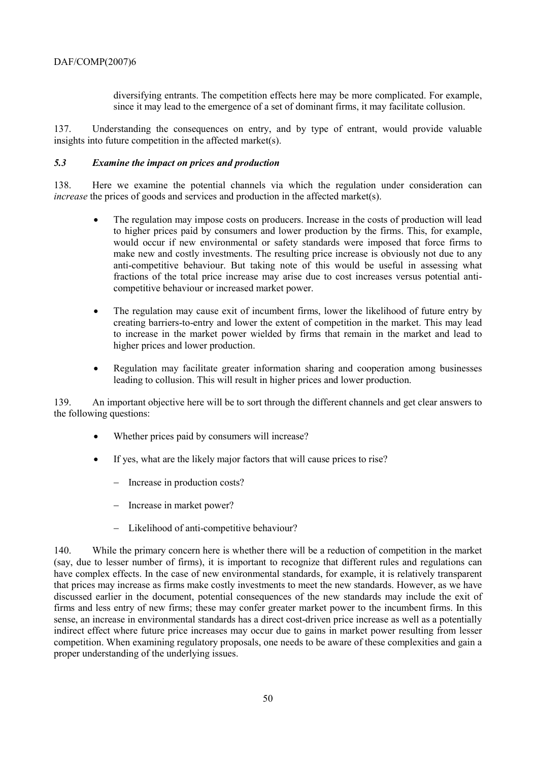diversifying entrants. The competition effects here may be more complicated. For example, since it may lead to the emergence of a set of dominant firms, it may facilitate collusion.

137. Understanding the consequences on entry, and by type of entrant, would provide valuable insights into future competition in the affected market(s).

### *5.3 Examine the impact on prices and production*

138. Here we examine the potential channels via which the regulation under consideration can *increase* the prices of goods and services and production in the affected market(s).

- The regulation may impose costs on producers. Increase in the costs of production will lead to higher prices paid by consumers and lower production by the firms. This, for example, would occur if new environmental or safety standards were imposed that force firms to make new and costly investments. The resulting price increase is obviously not due to any anti-competitive behaviour. But taking note of this would be useful in assessing what fractions of the total price increase may arise due to cost increases versus potential anticompetitive behaviour or increased market power.
- The regulation may cause exit of incumbent firms, lower the likelihood of future entry by creating barriers-to-entry and lower the extent of competition in the market. This may lead to increase in the market power wielded by firms that remain in the market and lead to higher prices and lower production.
- Regulation may facilitate greater information sharing and cooperation among businesses leading to collusion. This will result in higher prices and lower production.

139. An important objective here will be to sort through the different channels and get clear answers to the following questions:

- Whether prices paid by consumers will increase?
- If yes, what are the likely major factors that will cause prices to rise?
	- − Increase in production costs?
	- − Increase in market power?
	- − Likelihood of anti-competitive behaviour?

140. While the primary concern here is whether there will be a reduction of competition in the market (say, due to lesser number of firms), it is important to recognize that different rules and regulations can have complex effects. In the case of new environmental standards, for example, it is relatively transparent that prices may increase as firms make costly investments to meet the new standards. However, as we have discussed earlier in the document, potential consequences of the new standards may include the exit of firms and less entry of new firms; these may confer greater market power to the incumbent firms. In this sense, an increase in environmental standards has a direct cost-driven price increase as well as a potentially indirect effect where future price increases may occur due to gains in market power resulting from lesser competition. When examining regulatory proposals, one needs to be aware of these complexities and gain a proper understanding of the underlying issues.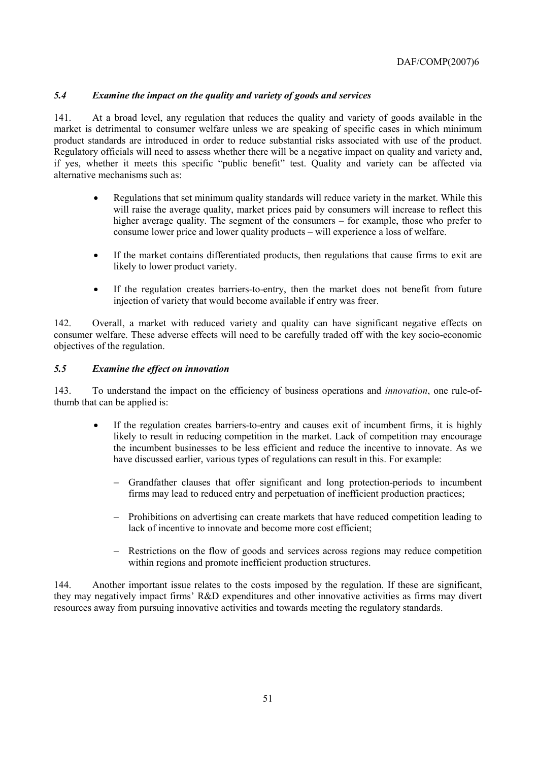# *5.4 Examine the impact on the quality and variety of goods and services*

141. At a broad level, any regulation that reduces the quality and variety of goods available in the market is detrimental to consumer welfare unless we are speaking of specific cases in which minimum product standards are introduced in order to reduce substantial risks associated with use of the product. Regulatory officials will need to assess whether there will be a negative impact on quality and variety and, if yes, whether it meets this specific "public benefit" test. Quality and variety can be affected via alternative mechanisms such as:

- Regulations that set minimum quality standards will reduce variety in the market. While this will raise the average quality, market prices paid by consumers will increase to reflect this higher average quality. The segment of the consumers  $-$  for example, those who prefer to consume lower price and lower quality products – will experience a loss of welfare.
- If the market contains differentiated products, then regulations that cause firms to exit are likely to lower product variety.
- If the regulation creates barriers-to-entry, then the market does not benefit from future injection of variety that would become available if entry was freer.

142. Overall, a market with reduced variety and quality can have significant negative effects on consumer welfare. These adverse effects will need to be carefully traded off with the key socio-economic objectives of the regulation.

# *5.5 Examine the effect on innovation*

143. To understand the impact on the efficiency of business operations and *innovation*, one rule-ofthumb that can be applied is:

- If the regulation creates barriers-to-entry and causes exit of incumbent firms, it is highly likely to result in reducing competition in the market. Lack of competition may encourage the incumbent businesses to be less efficient and reduce the incentive to innovate. As we have discussed earlier, various types of regulations can result in this. For example:
	- − Grandfather clauses that offer significant and long protection-periods to incumbent firms may lead to reduced entry and perpetuation of inefficient production practices;
	- Prohibitions on advertising can create markets that have reduced competition leading to lack of incentive to innovate and become more cost efficient;
	- − Restrictions on the flow of goods and services across regions may reduce competition within regions and promote inefficient production structures.

144. Another important issue relates to the costs imposed by the regulation. If these are significant, they may negatively impact firmsí R&D expenditures and other innovative activities as firms may divert resources away from pursuing innovative activities and towards meeting the regulatory standards.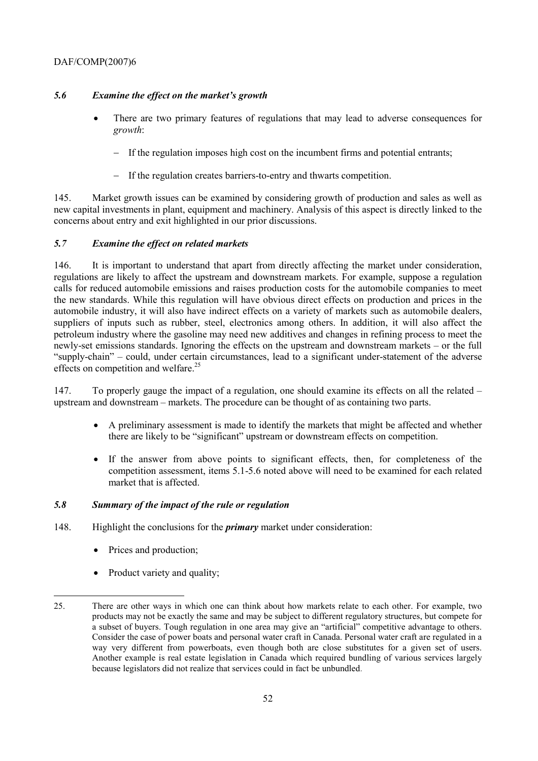# 5.6 Examine the effect on the market's growth

- There are two primary features of regulations that may lead to adverse consequences for *growth*:
	- − If the regulation imposes high cost on the incumbent firms and potential entrants;
	- − If the regulation creates barriers-to-entry and thwarts competition.

145. Market growth issues can be examined by considering growth of production and sales as well as new capital investments in plant, equipment and machinery. Analysis of this aspect is directly linked to the concerns about entry and exit highlighted in our prior discussions.

# *5.7 Examine the effect on related markets*

146. It is important to understand that apart from directly affecting the market under consideration, regulations are likely to affect the upstream and downstream markets. For example, suppose a regulation calls for reduced automobile emissions and raises production costs for the automobile companies to meet the new standards. While this regulation will have obvious direct effects on production and prices in the automobile industry, it will also have indirect effects on a variety of markets such as automobile dealers, suppliers of inputs such as rubber, steel, electronics among others. In addition, it will also affect the petroleum industry where the gasoline may need new additives and changes in refining process to meet the newly-set emissions standards. Ignoring the effects on the upstream and downstream markets – or the full ìsupply-chainî ñ could, under certain circumstances, lead to a significant under-statement of the adverse effects on competition and welfare. $25$ 

147. To properly gauge the impact of a regulation, one should examine its effects on all the related – upstream and downstream – markets. The procedure can be thought of as containing two parts.

- A preliminary assessment is made to identify the markets that might be affected and whether there are likely to be "significant" upstream or downstream effects on competition.
- If the answer from above points to significant effects, then, for completeness of the competition assessment, items 5.1-5.6 noted above will need to be examined for each related market that is affected.

# *5.8 Summary of the impact of the rule or regulation*

- 148. Highlight the conclusions for the *primary* market under consideration:
	- Prices and production;

• Product variety and quality;

<sup>25.</sup> There are other ways in which one can think about how markets relate to each other. For example, two products may not be exactly the same and may be subject to different regulatory structures, but compete for a subset of buyers. Tough regulation in one area may give an "artificial" competitive advantage to others. Consider the case of power boats and personal water craft in Canada. Personal water craft are regulated in a way very different from powerboats, even though both are close substitutes for a given set of users. Another example is real estate legislation in Canada which required bundling of various services largely because legislators did not realize that services could in fact be unbundled.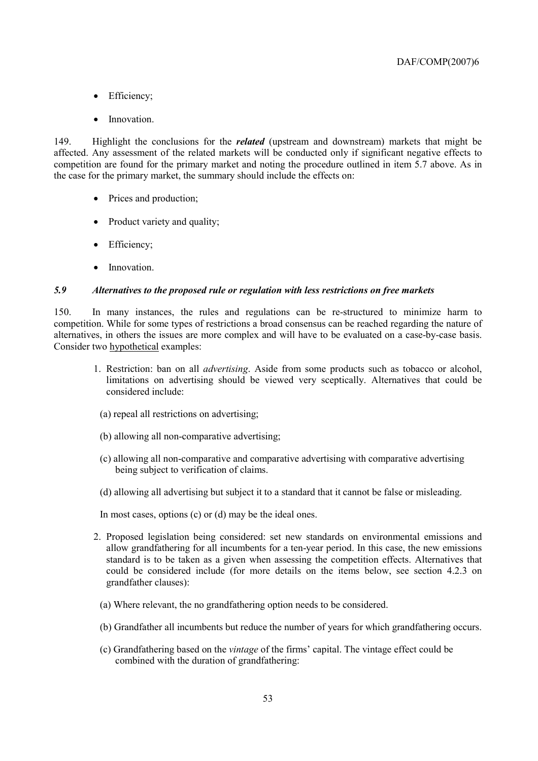- Efficiency;
- Innovation.

149. Highlight the conclusions for the *related* (upstream and downstream) markets that might be affected. Any assessment of the related markets will be conducted only if significant negative effects to competition are found for the primary market and noting the procedure outlined in item 5.7 above. As in the case for the primary market, the summary should include the effects on:

- Prices and production;
- Product variety and quality;
- Efficiency;
- Innovation

### *5.9 Alternatives to the proposed rule or regulation with less restrictions on free markets*

150. In many instances, the rules and regulations can be re-structured to minimize harm to competition. While for some types of restrictions a broad consensus can be reached regarding the nature of alternatives, in others the issues are more complex and will have to be evaluated on a case-by-case basis. Consider two hypothetical examples:

- 1. Restriction: ban on all *advertising*. Aside from some products such as tobacco or alcohol, limitations on advertising should be viewed very sceptically. Alternatives that could be considered include:
	- (a) repeal all restrictions on advertising;
	- (b) allowing all non-comparative advertising;
	- (c) allowing all non-comparative and comparative advertising with comparative advertising being subject to verification of claims.
	- (d) allowing all advertising but subject it to a standard that it cannot be false or misleading.

In most cases, options (c) or (d) may be the ideal ones.

- 2. Proposed legislation being considered: set new standards on environmental emissions and allow grandfathering for all incumbents for a ten-year period. In this case, the new emissions standard is to be taken as a given when assessing the competition effects. Alternatives that could be considered include (for more details on the items below, see section 4.2.3 on grandfather clauses):
	- (a) Where relevant, the no grandfathering option needs to be considered.
	- (b) Grandfather all incumbents but reduce the number of years for which grandfathering occurs.
	- (c) Grandfathering based on the *vintage* of the firmsí capital. The vintage effect could be combined with the duration of grandfathering: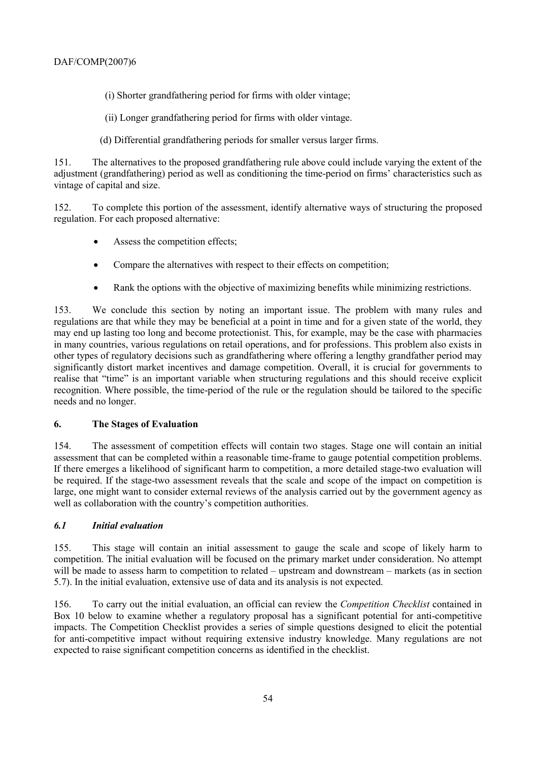(i) Shorter grandfathering period for firms with older vintage;

(ii) Longer grandfathering period for firms with older vintage.

(d) Differential grandfathering periods for smaller versus larger firms.

151. The alternatives to the proposed grandfathering rule above could include varying the extent of the adjustment (grandfathering) period as well as conditioning the time-period on firms' characteristics such as vintage of capital and size.

152. To complete this portion of the assessment, identify alternative ways of structuring the proposed regulation. For each proposed alternative:

- Assess the competition effects;
- Compare the alternatives with respect to their effects on competition:
- Rank the options with the objective of maximizing benefits while minimizing restrictions.

153. We conclude this section by noting an important issue. The problem with many rules and regulations are that while they may be beneficial at a point in time and for a given state of the world, they may end up lasting too long and become protectionist. This, for example, may be the case with pharmacies in many countries, various regulations on retail operations, and for professions. This problem also exists in other types of regulatory decisions such as grandfathering where offering a lengthy grandfather period may significantly distort market incentives and damage competition. Overall, it is crucial for governments to realise that "time" is an important variable when structuring regulations and this should receive explicit recognition. Where possible, the time-period of the rule or the regulation should be tailored to the specific needs and no longer.

# **6. The Stages of Evaluation**

154. The assessment of competition effects will contain two stages. Stage one will contain an initial assessment that can be completed within a reasonable time-frame to gauge potential competition problems. If there emerges a likelihood of significant harm to competition, a more detailed stage-two evaluation will be required. If the stage-two assessment reveals that the scale and scope of the impact on competition is large, one might want to consider external reviews of the analysis carried out by the government agency as well as collaboration with the country's competition authorities.

# *6.1 Initial evaluation*

155. This stage will contain an initial assessment to gauge the scale and scope of likely harm to competition. The initial evaluation will be focused on the primary market under consideration. No attempt will be made to assess harm to competition to related  $-$  upstream and downstream  $-$  markets (as in section 5.7). In the initial evaluation, extensive use of data and its analysis is not expected.

156. To carry out the initial evaluation, an official can review the *Competition Checklist* contained in Box 10 below to examine whether a regulatory proposal has a significant potential for anti-competitive impacts. The Competition Checklist provides a series of simple questions designed to elicit the potential for anti-competitive impact without requiring extensive industry knowledge. Many regulations are not expected to raise significant competition concerns as identified in the checklist.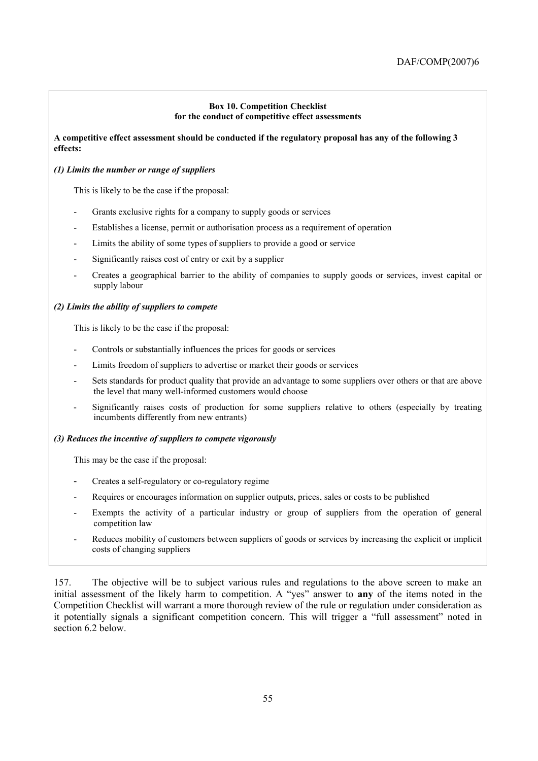### **Box 10. Competition Checklist for the conduct of competitive effect assessments**

### **A competitive effect assessment should be conducted if the regulatory proposal has any of the following 3 effects:**

# *(1) Limits the number or range of suppliers*

This is likely to be the case if the proposal:

- Grants exclusive rights for a company to supply goods or services
- Establishes a license, permit or authorisation process as a requirement of operation
- Limits the ability of some types of suppliers to provide a good or service
- Significantly raises cost of entry or exit by a supplier
- Creates a geographical barrier to the ability of companies to supply goods or services, invest capital or supply labour

### *(2) Limits the ability of suppliers to compete*

This is likely to be the case if the proposal:

- Controls or substantially influences the prices for goods or services
- Limits freedom of suppliers to advertise or market their goods or services
- Sets standards for product quality that provide an advantage to some suppliers over others or that are above the level that many well-informed customers would choose
- Significantly raises costs of production for some suppliers relative to others (especially by treating incumbents differently from new entrants)

### *(3) Reduces the incentive of suppliers to compete vigorously*

This may be the case if the proposal:

- Creates a self-regulatory or co-regulatory regime
- Requires or encourages information on supplier outputs, prices, sales or costs to be published
- Exempts the activity of a particular industry or group of suppliers from the operation of general competition law
- Reduces mobility of customers between suppliers of goods or services by increasing the explicit or implicit costs of changing suppliers

157. The objective will be to subject various rules and regulations to the above screen to make an initial assessment of the likely harm to competition. A "yes" answer to **any** of the items noted in the Competition Checklist will warrant a more thorough review of the rule or regulation under consideration as it potentially signals a significant competition concern. This will trigger a "full assessment" noted in section 6.2 below.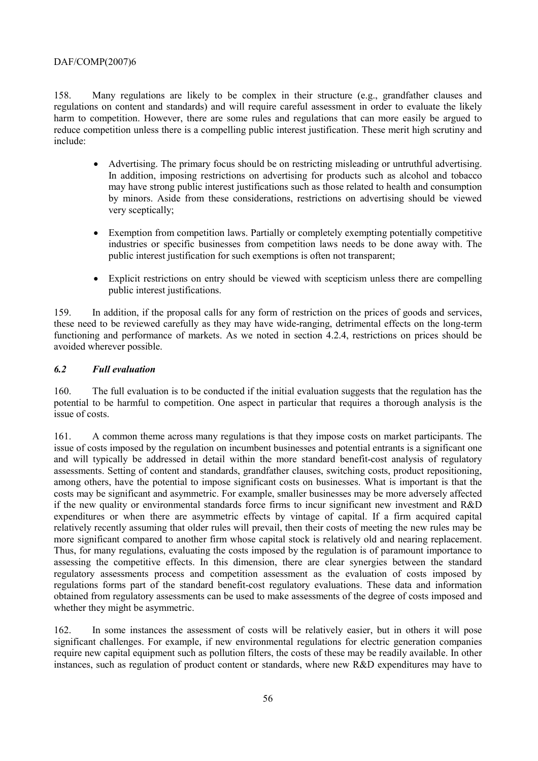158. Many regulations are likely to be complex in their structure (e.g., grandfather clauses and regulations on content and standards) and will require careful assessment in order to evaluate the likely harm to competition. However, there are some rules and regulations that can more easily be argued to reduce competition unless there is a compelling public interest justification. These merit high scrutiny and include:

- Advertising. The primary focus should be on restricting misleading or untruthful advertising. In addition, imposing restrictions on advertising for products such as alcohol and tobacco may have strong public interest justifications such as those related to health and consumption by minors. Aside from these considerations, restrictions on advertising should be viewed very sceptically;
- Exemption from competition laws. Partially or completely exempting potentially competitive industries or specific businesses from competition laws needs to be done away with. The public interest justification for such exemptions is often not transparent;
- Explicit restrictions on entry should be viewed with scepticism unless there are compelling public interest justifications.

159. In addition, if the proposal calls for any form of restriction on the prices of goods and services, these need to be reviewed carefully as they may have wide-ranging, detrimental effects on the long-term functioning and performance of markets. As we noted in section 4.2.4, restrictions on prices should be avoided wherever possible.

# *6.2 Full evaluation*

160. The full evaluation is to be conducted if the initial evaluation suggests that the regulation has the potential to be harmful to competition. One aspect in particular that requires a thorough analysis is the issue of costs.

161. A common theme across many regulations is that they impose costs on market participants. The issue of costs imposed by the regulation on incumbent businesses and potential entrants is a significant one and will typically be addressed in detail within the more standard benefit-cost analysis of regulatory assessments. Setting of content and standards, grandfather clauses, switching costs, product repositioning, among others, have the potential to impose significant costs on businesses. What is important is that the costs may be significant and asymmetric. For example, smaller businesses may be more adversely affected if the new quality or environmental standards force firms to incur significant new investment and R&D expenditures or when there are asymmetric effects by vintage of capital. If a firm acquired capital relatively recently assuming that older rules will prevail, then their costs of meeting the new rules may be more significant compared to another firm whose capital stock is relatively old and nearing replacement. Thus, for many regulations, evaluating the costs imposed by the regulation is of paramount importance to assessing the competitive effects. In this dimension, there are clear synergies between the standard regulatory assessments process and competition assessment as the evaluation of costs imposed by regulations forms part of the standard benefit-cost regulatory evaluations. These data and information obtained from regulatory assessments can be used to make assessments of the degree of costs imposed and whether they might be asymmetric.

162. In some instances the assessment of costs will be relatively easier, but in others it will pose significant challenges. For example, if new environmental regulations for electric generation companies require new capital equipment such as pollution filters, the costs of these may be readily available. In other instances, such as regulation of product content or standards, where new R&D expenditures may have to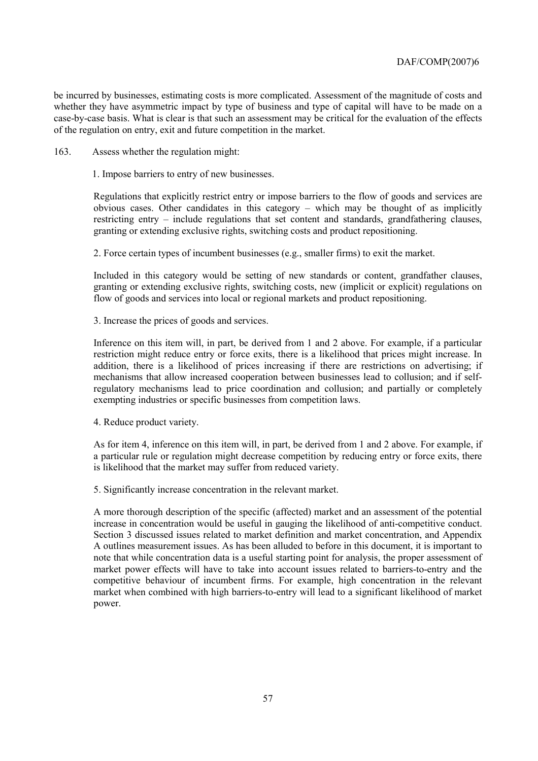be incurred by businesses, estimating costs is more complicated. Assessment of the magnitude of costs and whether they have asymmetric impact by type of business and type of capital will have to be made on a case-by-case basis. What is clear is that such an assessment may be critical for the evaluation of the effects of the regulation on entry, exit and future competition in the market.

163. Assess whether the regulation might:

1. Impose barriers to entry of new businesses.

Regulations that explicitly restrict entry or impose barriers to the flow of goods and services are obvious cases. Other candidates in this category  $-$  which may be thought of as implicitly restricting entry – include regulations that set content and standards, grandfathering clauses, granting or extending exclusive rights, switching costs and product repositioning.

2. Force certain types of incumbent businesses (e.g., smaller firms) to exit the market.

Included in this category would be setting of new standards or content, grandfather clauses, granting or extending exclusive rights, switching costs, new (implicit or explicit) regulations on flow of goods and services into local or regional markets and product repositioning.

3. Increase the prices of goods and services.

Inference on this item will, in part, be derived from 1 and 2 above. For example, if a particular restriction might reduce entry or force exits, there is a likelihood that prices might increase. In addition, there is a likelihood of prices increasing if there are restrictions on advertising; if mechanisms that allow increased cooperation between businesses lead to collusion; and if selfregulatory mechanisms lead to price coordination and collusion; and partially or completely exempting industries or specific businesses from competition laws.

4. Reduce product variety.

As for item 4, inference on this item will, in part, be derived from 1 and 2 above. For example, if a particular rule or regulation might decrease competition by reducing entry or force exits, there is likelihood that the market may suffer from reduced variety.

5. Significantly increase concentration in the relevant market.

A more thorough description of the specific (affected) market and an assessment of the potential increase in concentration would be useful in gauging the likelihood of anti-competitive conduct. Section 3 discussed issues related to market definition and market concentration, and Appendix A outlines measurement issues. As has been alluded to before in this document, it is important to note that while concentration data is a useful starting point for analysis, the proper assessment of market power effects will have to take into account issues related to barriers-to-entry and the competitive behaviour of incumbent firms. For example, high concentration in the relevant market when combined with high barriers-to-entry will lead to a significant likelihood of market power.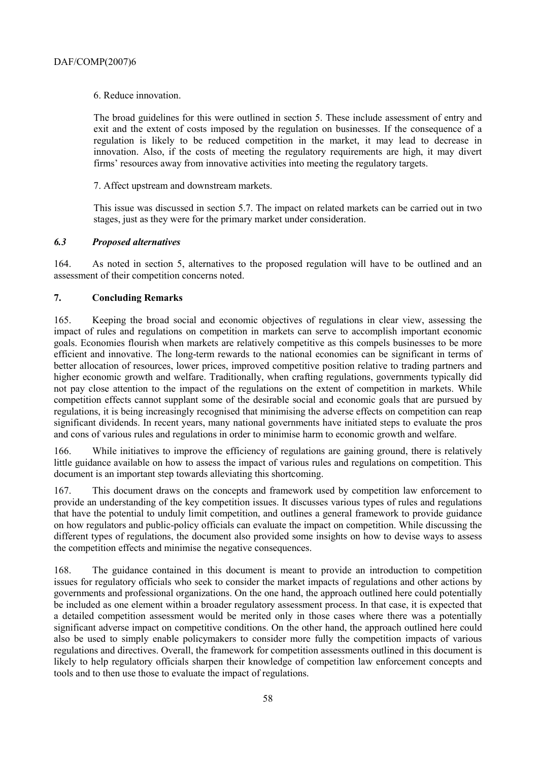6. Reduce innovation.

The broad guidelines for this were outlined in section 5. These include assessment of entry and exit and the extent of costs imposed by the regulation on businesses. If the consequence of a regulation is likely to be reduced competition in the market, it may lead to decrease in innovation. Also, if the costs of meeting the regulatory requirements are high, it may divert firms' resources away from innovative activities into meeting the regulatory targets.

7. Affect upstream and downstream markets.

This issue was discussed in section 5.7. The impact on related markets can be carried out in two stages, just as they were for the primary market under consideration.

# *6.3 Proposed alternatives*

164. As noted in section 5, alternatives to the proposed regulation will have to be outlined and an assessment of their competition concerns noted.

# **7. Concluding Remarks**

165. Keeping the broad social and economic objectives of regulations in clear view, assessing the impact of rules and regulations on competition in markets can serve to accomplish important economic goals. Economies flourish when markets are relatively competitive as this compels businesses to be more efficient and innovative. The long-term rewards to the national economies can be significant in terms of better allocation of resources, lower prices, improved competitive position relative to trading partners and higher economic growth and welfare. Traditionally, when crafting regulations, governments typically did not pay close attention to the impact of the regulations on the extent of competition in markets. While competition effects cannot supplant some of the desirable social and economic goals that are pursued by regulations, it is being increasingly recognised that minimising the adverse effects on competition can reap significant dividends. In recent years, many national governments have initiated steps to evaluate the pros and cons of various rules and regulations in order to minimise harm to economic growth and welfare.

166. While initiatives to improve the efficiency of regulations are gaining ground, there is relatively little guidance available on how to assess the impact of various rules and regulations on competition. This document is an important step towards alleviating this shortcoming.

167. This document draws on the concepts and framework used by competition law enforcement to provide an understanding of the key competition issues. It discusses various types of rules and regulations that have the potential to unduly limit competition, and outlines a general framework to provide guidance on how regulators and public-policy officials can evaluate the impact on competition. While discussing the different types of regulations, the document also provided some insights on how to devise ways to assess the competition effects and minimise the negative consequences.

168. The guidance contained in this document is meant to provide an introduction to competition issues for regulatory officials who seek to consider the market impacts of regulations and other actions by governments and professional organizations. On the one hand, the approach outlined here could potentially be included as one element within a broader regulatory assessment process. In that case, it is expected that a detailed competition assessment would be merited only in those cases where there was a potentially significant adverse impact on competitive conditions. On the other hand, the approach outlined here could also be used to simply enable policymakers to consider more fully the competition impacts of various regulations and directives. Overall, the framework for competition assessments outlined in this document is likely to help regulatory officials sharpen their knowledge of competition law enforcement concepts and tools and to then use those to evaluate the impact of regulations.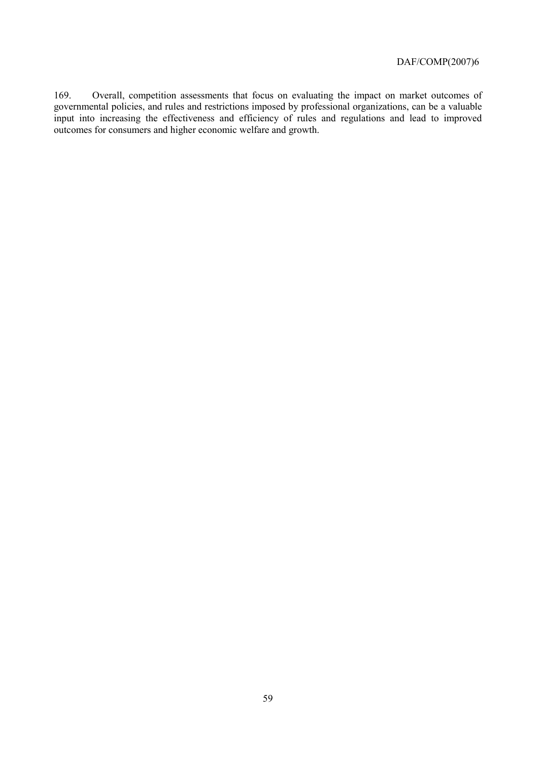169. Overall, competition assessments that focus on evaluating the impact on market outcomes of governmental policies, and rules and restrictions imposed by professional organizations, can be a valuable input into increasing the effectiveness and efficiency of rules and regulations and lead to improved outcomes for consumers and higher economic welfare and growth.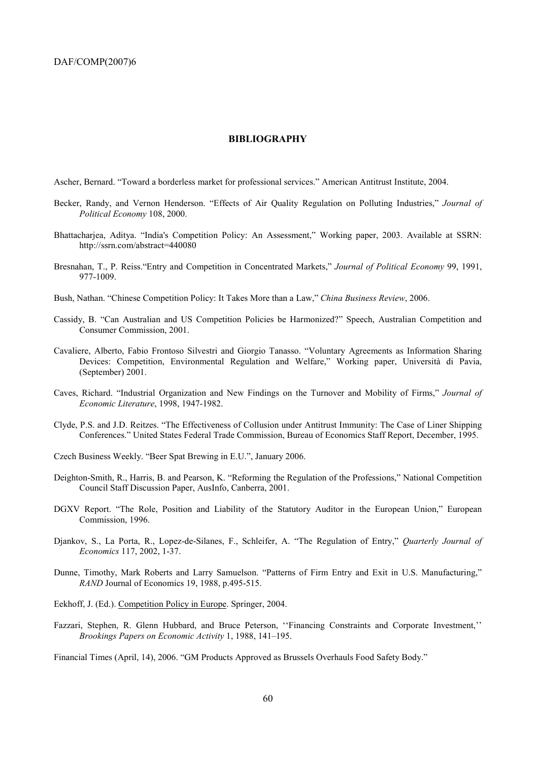#### **BIBLIOGRAPHY**

Ascher, Bernard. "Toward a borderless market for professional services." American Antitrust Institute, 2004.

- Becker, Randy, and Vernon Henderson. "Effects of Air Quality Regulation on Polluting Industries," *Journal of Political Economy* 108, 2000.
- Bhattacharjea, Aditya. "India's Competition Policy: An Assessment," Working paper, 2003. Available at SSRN: http://ssrn.com/abstract=440080
- Bresnahan, T., P. Reiss."Entry and Competition in Concentrated Markets," *Journal of Political Economy* 99, 1991, 977-1009.
- Bush, Nathan. "Chinese Competition Policy: It Takes More than a Law," China Business Review, 2006.
- Cassidy, B. "Can Australian and US Competition Policies be Harmonized?" Speech, Australian Competition and Consumer Commission, 2001.
- Cavaliere, Alberto, Fabio Frontoso Silvestri and Giorgio Tanasso. "Voluntary Agreements as Information Sharing Devices: Competition, Environmental Regulation and Welfare," Working paper, Università di Pavia, (September) 2001.
- Caves, Richard. "Industrial Organization and New Findings on the Turnover and Mobility of Firms," *Journal of Economic Literature*, 1998, 1947-1982.
- Clyde, P.S. and J.D. Reitzes. "The Effectiveness of Collusion under Antitrust Immunity: The Case of Liner Shipping Conferences.î United States Federal Trade Commission, Bureau of Economics Staff Report, December, 1995.
- Czech Business Weekly. "Beer Spat Brewing in E.U.", January 2006.
- Deighton-Smith, R., Harris, B. and Pearson, K. "Reforming the Regulation of the Professions," National Competition Council Staff Discussion Paper, AusInfo, Canberra, 2001.
- DGXV Report. "The Role, Position and Liability of the Statutory Auditor in the European Union," European Commission, 1996.
- Djankov, S., La Porta, R., Lopez-de-Silanes, F., Schleifer, A. "The Regulation of Entry," *Quarterly Journal of Economics* 117, 2002, 1-37.
- Dunne, Timothy, Mark Roberts and Larry Samuelson. "Patterns of Firm Entry and Exit in U.S. Manufacturing," *RAND* Journal of Economics 19, 1988, p.495-515.
- Eekhoff, J. (Ed.). Competition Policy in Europe. Springer, 2004.
- Fazzari, Stephen, R. Glenn Hubbard, and Bruce Peterson, "Financing Constraints and Corporate Investment," *Brookings Papers on Economic Activity* 1, 1988, 141-195.

Financial Times (April, 14), 2006. "GM Products Approved as Brussels Overhauls Food Safety Body."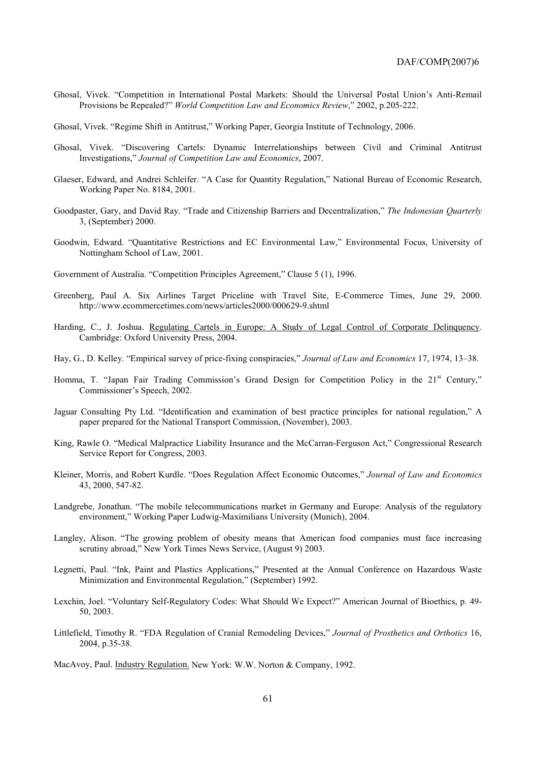- Ghosal, Vivek. "Competition in International Postal Markets: Should the Universal Postal Union's Anti-Remail Provisions be Repealed?" *World Competition Law and Economics Review*," 2002, p.205-222.
- Ghosal, Vivek. "Regime Shift in Antitrust," Working Paper, Georgia Institute of Technology, 2006.
- Ghosal, Vivek. "Discovering Cartels: Dynamic Interrelationships between Civil and Criminal Antitrust Investigations,î *Journal of Competition Law and Economics*, 2007.
- Glaeser, Edward, and Andrei Schleifer. "A Case for Quantity Regulation," National Bureau of Economic Research, Working Paper No. 8184, 2001.
- Goodpaster, Gary, and David Ray. "Trade and Citizenship Barriers and Decentralization," The Indonesian Quarterly 3, (September) 2000.
- Goodwin, Edward. "Quantitative Restrictions and EC Environmental Law," Environmental Focus, University of Nottingham School of Law, 2001.
- Government of Australia. "Competition Principles Agreement," Clause 5 (1), 1996.
- Greenberg, Paul A. Six Airlines Target Priceline with Travel Site, E-Commerce Times, June 29, 2000. http://www.ecommercetimes.com/news/articles2000/000629-9.shtml
- Harding, C., J. Joshua. Regulating Cartels in Europe: A Study of Legal Control of Corporate Delinquency. Cambridge: Oxford University Press, 2004.
- Hay, G., D. Kelley. "Empirical survey of price-fixing conspiracies," *Journal of Law and Economics* 17, 1974, 13–38.
- Homma, T. "Japan Fair Trading Commission's Grand Design for Competition Policy in the  $21<sup>st</sup>$  Century," Commissioner's Speech, 2002.
- Jaguar Consulting Pty Ltd. "Identification and examination of best practice principles for national regulation," A paper prepared for the National Transport Commission, (November), 2003.
- King, Rawle O. "Medical Malpractice Liability Insurance and the McCarran-Ferguson Act," Congressional Research Service Report for Congress, 2003.
- Kleiner, Morris, and Robert Kurdle. "Does Regulation Affect Economic Outcomes," *Journal of Law and Economics* 43, 2000, 547-82.
- Landgrebe, Jonathan. "The mobile telecommunications market in Germany and Europe: Analysis of the regulatory environment," Working Paper Ludwig-Maximilians University (Munich), 2004.
- Langley, Alison. "The growing problem of obesity means that American food companies must face increasing scrutiny abroad," New York Times News Service, (August 9) 2003.
- Legnetti, Paul. "Ink, Paint and Plastics Applications," Presented at the Annual Conference on Hazardous Waste Minimization and Environmental Regulation," (September) 1992.
- Lexchin, Joel. "Voluntary Self-Regulatory Codes: What Should We Expect?" American Journal of Bioethics, p. 49-50, 2003.
- Littlefield, Timothy R. "FDA Regulation of Cranial Remodeling Devices," Journal of Prosthetics and Orthotics 16, 2004, p.35-38.

MacAvoy, Paul. Industry Regulation. New York: W.W. Norton & Company, 1992.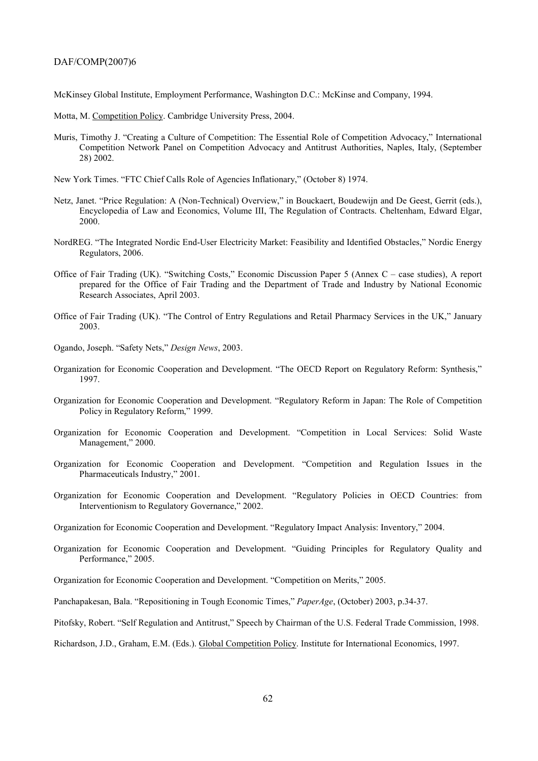McKinsey Global Institute, Employment Performance, Washington D.C.: McKinse and Company, 1994.

Motta, M. Competition Policy. Cambridge University Press, 2004.

- Muris, Timothy J. "Creating a Culture of Competition: The Essential Role of Competition Advocacy," International Competition Network Panel on Competition Advocacy and Antitrust Authorities, Naples, Italy, (September 28) 2002.
- New York Times. "FTC Chief Calls Role of Agencies Inflationary," (October 8) 1974.
- Netz, Janet. "Price Regulation: A (Non-Technical) Overview," in Bouckaert, Boudewijn and De Geest, Gerrit (eds.), Encyclopedia of Law and Economics, Volume III, The Regulation of Contracts. Cheltenham, Edward Elgar, 2000.
- NordREG. "The Integrated Nordic End-User Electricity Market: Feasibility and Identified Obstacles," Nordic Energy Regulators, 2006.
- Office of Fair Trading (UK). "Switching Costs," Economic Discussion Paper 5 (Annex C case studies), A report prepared for the Office of Fair Trading and the Department of Trade and Industry by National Economic Research Associates, April 2003.
- Office of Fair Trading (UK). "The Control of Entry Regulations and Retail Pharmacy Services in the UK," January 2003.
- Ogando, Joseph. "Safety Nets," Design News, 2003.
- Organization for Economic Cooperation and Development. "The OECD Report on Regulatory Reform: Synthesis," 1997.
- Organization for Economic Cooperation and Development. "Regulatory Reform in Japan: The Role of Competition Policy in Regulatory Reform," 1999.
- Organization for Economic Cooperation and Development. "Competition in Local Services: Solid Waste Management," 2000.
- Organization for Economic Cooperation and Development. "Competition and Regulation Issues in the Pharmaceuticals Industry," 2001.
- Organization for Economic Cooperation and Development. "Regulatory Policies in OECD Countries: from Interventionism to Regulatory Governance," 2002.
- Organization for Economic Cooperation and Development. "Regulatory Impact Analysis: Inventory," 2004.
- Organization for Economic Cooperation and Development. "Guiding Principles for Regulatory Quality and Performance," 2005.
- Organization for Economic Cooperation and Development. "Competition on Merits," 2005.
- Panchapakesan, Bala. "Repositioning in Tough Economic Times," *PaperAge*, (October) 2003, p.34-37.
- Pitofsky, Robert. "Self Regulation and Antitrust," Speech by Chairman of the U.S. Federal Trade Commission, 1998.
- Richardson, J.D., Graham, E.M. (Eds.). Global Competition Policy. Institute for International Economics, 1997.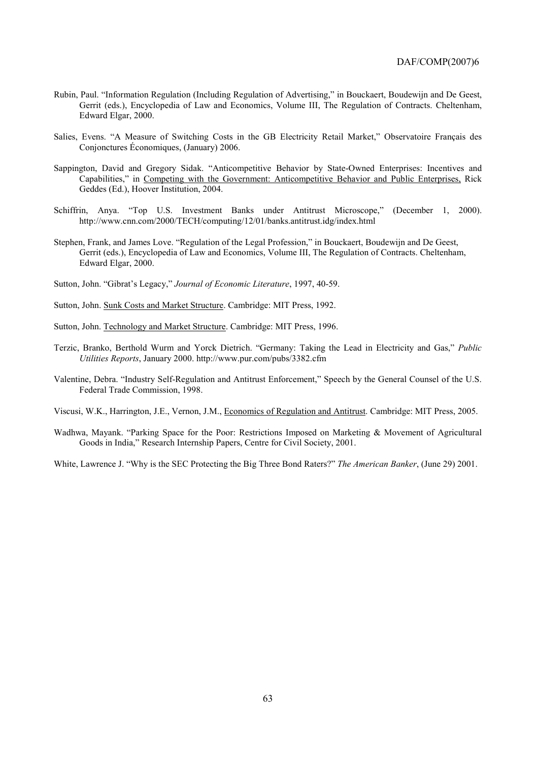- Rubin, Paul. "Information Regulation (Including Regulation of Advertising," in Bouckaert, Boudewijn and De Geest, Gerrit (eds.), Encyclopedia of Law and Economics, Volume III, The Regulation of Contracts. Cheltenham, Edward Elgar, 2000.
- Salies, Evens. "A Measure of Switching Costs in the GB Electricity Retail Market," Observatoire Français des Conjonctures Économiques, (January) 2006.
- Sappington, David and Gregory Sidak. "Anticompetitive Behavior by State-Owned Enterprises: Incentives and Capabilities," in Competing with the Government: Anticompetitive Behavior and Public Enterprises, Rick Geddes (Ed.), Hoover Institution, 2004.
- Schiffrin, Anya. "Top U.S. Investment Banks under Antitrust Microscope," (December 1, 2000). http://www.cnn.com/2000/TECH/computing/12/01/banks.antitrust.idg/index.html
- Stephen, Frank, and James Love. "Regulation of the Legal Profession," in Bouckaert, Boudewijn and De Geest, Gerrit (eds.), Encyclopedia of Law and Economics, Volume III, The Regulation of Contracts. Cheltenham, Edward Elgar, 2000.
- Sutton, John. "Gibrat's Legacy," *Journal of Economic Literature*, 1997, 40-59.
- Sutton, John. Sunk Costs and Market Structure. Cambridge: MIT Press, 1992.
- Sutton, John. Technology and Market Structure. Cambridge: MIT Press, 1996.
- Terzic, Branko, Berthold Wurm and Yorck Dietrich. "Germany: Taking the Lead in Electricity and Gas," Public *Utilities Reports*, January 2000. http://www.pur.com/pubs/3382.cfm
- Valentine, Debra. "Industry Self-Regulation and Antitrust Enforcement," Speech by the General Counsel of the U.S. Federal Trade Commission, 1998.
- Viscusi, W.K., Harrington, J.E., Vernon, J.M., Economics of Regulation and Antitrust. Cambridge: MIT Press, 2005.
- Wadhwa, Mayank. "Parking Space for the Poor: Restrictions Imposed on Marketing & Movement of Agricultural Goods in India," Research Internship Papers, Centre for Civil Society, 2001.

White, Lawrence J. "Why is the SEC Protecting the Big Three Bond Raters?" *The American Banker*, (June 29) 2001.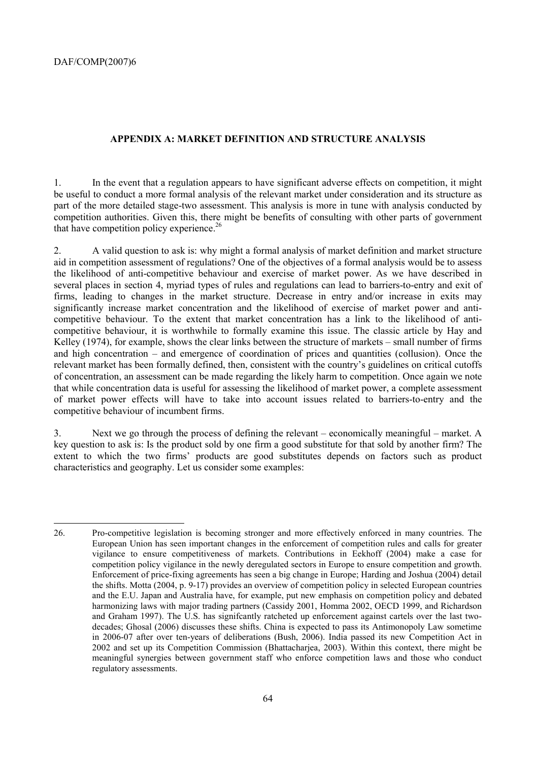### **APPENDIX A: MARKET DEFINITION AND STRUCTURE ANALYSIS**

1. In the event that a regulation appears to have significant adverse effects on competition, it might be useful to conduct a more formal analysis of the relevant market under consideration and its structure as part of the more detailed stage-two assessment. This analysis is more in tune with analysis conducted by competition authorities. Given this, there might be benefits of consulting with other parts of government that have competition policy experience.<sup>26</sup>

2. A valid question to ask is: why might a formal analysis of market definition and market structure aid in competition assessment of regulations? One of the objectives of a formal analysis would be to assess the likelihood of anti-competitive behaviour and exercise of market power. As we have described in several places in section 4, myriad types of rules and regulations can lead to barriers-to-entry and exit of firms, leading to changes in the market structure. Decrease in entry and/or increase in exits may significantly increase market concentration and the likelihood of exercise of market power and anticompetitive behaviour. To the extent that market concentration has a link to the likelihood of anticompetitive behaviour, it is worthwhile to formally examine this issue. The classic article by Hay and Kelley (1974), for example, shows the clear links between the structure of markets  $-$  small number of firms and high concentration  $-$  and emergence of coordination of prices and quantities (collusion). Once the relevant market has been formally defined, then, consistent with the country's guidelines on critical cutoffs of concentration, an assessment can be made regarding the likely harm to competition. Once again we note that while concentration data is useful for assessing the likelihood of market power, a complete assessment of market power effects will have to take into account issues related to barriers-to-entry and the competitive behaviour of incumbent firms.

3. Next we go through the process of defining the relevant  $\alpha$  – economically meaningful  $\alpha$  market. A key question to ask is: Is the product sold by one firm a good substitute for that sold by another firm? The extent to which the two firms' products are good substitutes depends on factors such as product characteristics and geography. Let us consider some examples:

<sup>26.</sup> Pro-competitive legislation is becoming stronger and more effectively enforced in many countries. The European Union has seen important changes in the enforcement of competition rules and calls for greater vigilance to ensure competitiveness of markets. Contributions in Eekhoff (2004) make a case for competition policy vigilance in the newly deregulated sectors in Europe to ensure competition and growth. Enforcement of price-fixing agreements has seen a big change in Europe; Harding and Joshua (2004) detail the shifts. Motta (2004, p. 9-17) provides an overview of competition policy in selected European countries and the E.U. Japan and Australia have, for example, put new emphasis on competition policy and debated harmonizing laws with major trading partners (Cassidy 2001, Homma 2002, OECD 1999, and Richardson and Graham 1997). The U.S. has signifcantly ratcheted up enforcement against cartels over the last twodecades; Ghosal (2006) discusses these shifts. China is expected to pass its Antimonopoly Law sometime in 2006-07 after over ten-years of deliberations (Bush, 2006). India passed its new Competition Act in 2002 and set up its Competition Commission (Bhattacharjea, 2003). Within this context, there might be meaningful synergies between government staff who enforce competition laws and those who conduct regulatory assessments.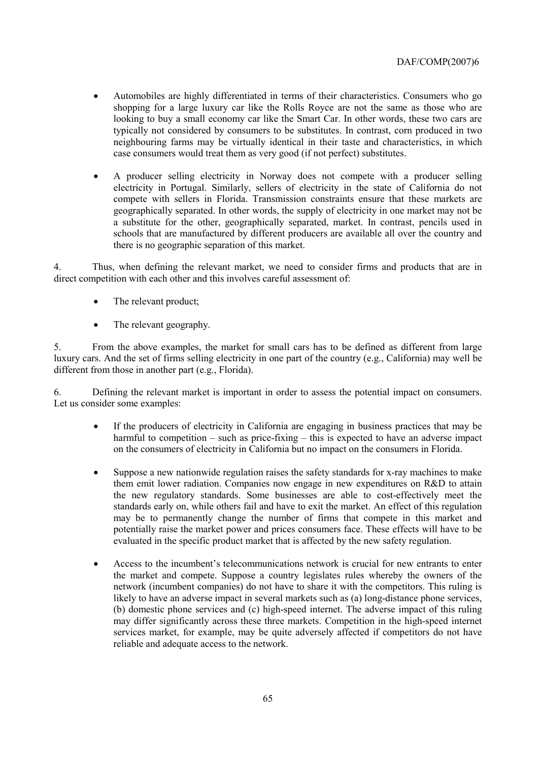- Automobiles are highly differentiated in terms of their characteristics. Consumers who go shopping for a large luxury car like the Rolls Royce are not the same as those who are looking to buy a small economy car like the Smart Car. In other words, these two cars are typically not considered by consumers to be substitutes. In contrast, corn produced in two neighbouring farms may be virtually identical in their taste and characteristics, in which case consumers would treat them as very good (if not perfect) substitutes.
- A producer selling electricity in Norway does not compete with a producer selling electricity in Portugal. Similarly, sellers of electricity in the state of California do not compete with sellers in Florida. Transmission constraints ensure that these markets are geographically separated. In other words, the supply of electricity in one market may not be a substitute for the other, geographically separated, market. In contrast, pencils used in schools that are manufactured by different producers are available all over the country and there is no geographic separation of this market.

4. Thus, when defining the relevant market, we need to consider firms and products that are in direct competition with each other and this involves careful assessment of:

- The relevant product;
- The relevant geography.

5. From the above examples, the market for small cars has to be defined as different from large luxury cars. And the set of firms selling electricity in one part of the country (e.g., California) may well be different from those in another part (e.g., Florida).

6. Defining the relevant market is important in order to assess the potential impact on consumers. Let us consider some examples:

- If the producers of electricity in California are engaging in business practices that may be harmful to competition  $-$  such as price-fixing  $-$  this is expected to have an adverse impact on the consumers of electricity in California but no impact on the consumers in Florida.
- Suppose a new nationwide regulation raises the safety standards for x-ray machines to make them emit lower radiation. Companies now engage in new expenditures on R&D to attain the new regulatory standards. Some businesses are able to cost-effectively meet the standards early on, while others fail and have to exit the market. An effect of this regulation may be to permanently change the number of firms that compete in this market and potentially raise the market power and prices consumers face. These effects will have to be evaluated in the specific product market that is affected by the new safety regulation.
- Access to the incumbent's telecommunications network is crucial for new entrants to enter the market and compete. Suppose a country legislates rules whereby the owners of the network (incumbent companies) do not have to share it with the competitors. This ruling is likely to have an adverse impact in several markets such as (a) long-distance phone services, (b) domestic phone services and (c) high-speed internet. The adverse impact of this ruling may differ significantly across these three markets. Competition in the high-speed internet services market, for example, may be quite adversely affected if competitors do not have reliable and adequate access to the network.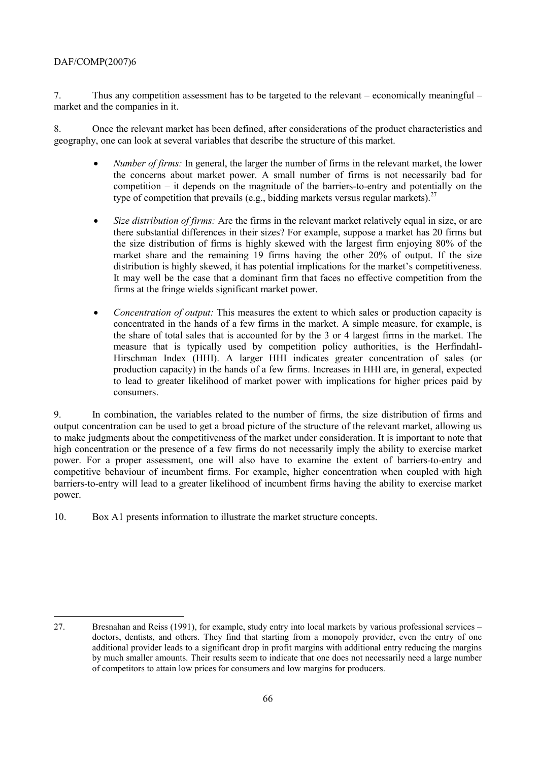7. Thus any competition assessment has to be targeted to the relevant  $-\tilde{\text{e}}$  economically meaningful  $-\tilde{\text{e}}$ market and the companies in it.

8. Once the relevant market has been defined, after considerations of the product characteristics and geography, one can look at several variables that describe the structure of this market.

- *Number of firms:* In general, the larger the number of firms in the relevant market, the lower the concerns about market power. A small number of firms is not necessarily bad for competition  $-$  it depends on the magnitude of the barriers-to-entry and potentially on the type of competition that prevails (e.g., bidding markets versus regular markets).<sup>27</sup>
- *Size distribution of firms:* Are the firms in the relevant market relatively equal in size, or are there substantial differences in their sizes? For example, suppose a market has 20 firms but the size distribution of firms is highly skewed with the largest firm enjoying 80% of the market share and the remaining 19 firms having the other 20% of output. If the size distribution is highly skewed, it has potential implications for the market's competitiveness. It may well be the case that a dominant firm that faces no effective competition from the firms at the fringe wields significant market power.
- *Concentration of output:* This measures the extent to which sales or production capacity is concentrated in the hands of a few firms in the market. A simple measure, for example, is the share of total sales that is accounted for by the 3 or 4 largest firms in the market. The measure that is typically used by competition policy authorities, is the Herfindahl-Hirschman Index (HHI). A larger HHI indicates greater concentration of sales (or production capacity) in the hands of a few firms. Increases in HHI are, in general, expected to lead to greater likelihood of market power with implications for higher prices paid by consumers.

9. In combination, the variables related to the number of firms, the size distribution of firms and output concentration can be used to get a broad picture of the structure of the relevant market, allowing us to make judgments about the competitiveness of the market under consideration. It is important to note that high concentration or the presence of a few firms do not necessarily imply the ability to exercise market power. For a proper assessment, one will also have to examine the extent of barriers-to-entry and competitive behaviour of incumbent firms. For example, higher concentration when coupled with high barriers-to-entry will lead to a greater likelihood of incumbent firms having the ability to exercise market power.

10. Box A1 presents information to illustrate the market structure concepts.

<sup>27.</sup> Bresnahan and Reiss (1991), for example, study entry into local markets by various professional services – doctors, dentists, and others. They find that starting from a monopoly provider, even the entry of one additional provider leads to a significant drop in profit margins with additional entry reducing the margins by much smaller amounts. Their results seem to indicate that one does not necessarily need a large number of competitors to attain low prices for consumers and low margins for producers.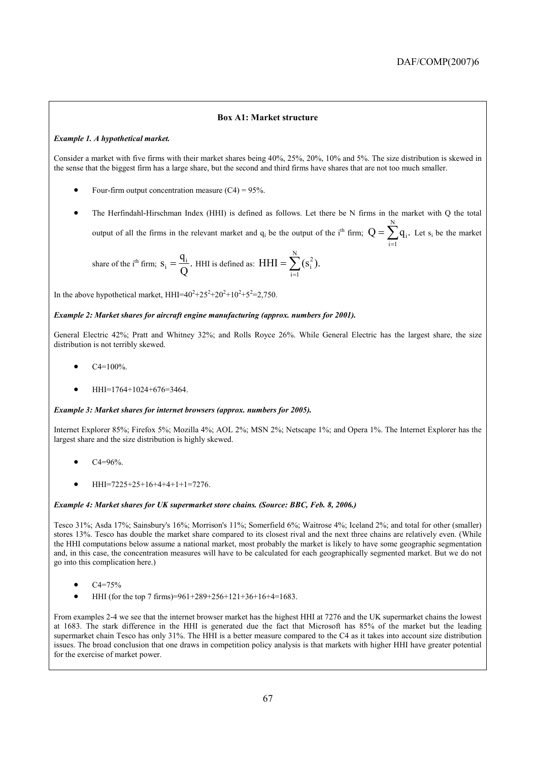### **Box A1: Market structure**

#### *Example 1. A hypothetical market.*

Consider a market with five firms with their market shares being 40%, 25%, 20%, 10% and 5%. The size distribution is skewed in the sense that the biggest firm has a large share, but the second and third firms have shares that are not too much smaller.

- Four-firm output concentration measure  $(C4) = 95\%$ .
- The Herfindahl-Hirschman Index (HHI) is defined as follows. Let there be N firms in the market with Q the total output of all the firms in the relevant market and  $q_i$  be the output of the i<sup>th</sup> firm;  $Q = \sum q_i$ . N  $\sum_{i=1}^{\infty} q_i$  $=\sum_{i} q_i$ . Let s<sub>i</sub> be the market

share of the i<sup>th</sup> firm; 
$$
S_i = \frac{q_i}{Q}
$$
. HHI is defined as: HHI =  $\sum_{i=1}^{N} (s_i^2)$ .

In the above hypothetical market,  $HHI=40^2+25^2+20^2+10^2+5^2=2,750$ .

#### *Example 2: Market shares for aircraft engine manufacturing (approx. numbers for 2001).*

General Electric 42%; Pratt and Whitney 32%; and Rolls Royce 26%. While General Electric has the largest share, the size distribution is not terribly skewed.

- $C4=100\%$ .
- HHI=1764+1024+676=3464.

#### *Example 3: Market shares for internet browsers (approx. numbers for 2005).*

Internet Explorer 85%; Firefox 5%; Mozilla 4%; AOL 2%; MSN 2%; Netscape 1%; and Opera 1%. The Internet Explorer has the largest share and the size distribution is highly skewed.

- $C4 = 96%$
- HHI=7225+25+16+4+4+1+1=7276.

#### *Example 4: Market shares for UK supermarket store chains. (Source: BBC, Feb. 8, 2006.)*

Tesco 31%; Asda 17%; Sainsbury's 16%; Morrison's 11%; Somerfield 6%; Waitrose 4%; Iceland 2%; and total for other (smaller) stores 13%. Tesco has double the market share compared to its closest rival and the next three chains are relatively even. (While the HHI computations below assume a national market, most probably the market is likely to have some geographic segmentation and, in this case, the concentration measures will have to be calculated for each geographically segmented market. But we do not go into this complication here.)

- $C4 = 75%$
- HHI (for the top 7 firms)=961+289+256+121+36+16+4=1683.

From examples 2-4 we see that the internet browser market has the highest HHI at 7276 and the UK supermarket chains the lowest at 1683. The stark difference in the HHI is generated due the fact that Microsoft has 85% of the market but the leading supermarket chain Tesco has only 31%. The HHI is a better measure compared to the C4 as it takes into account size distribution issues. The broad conclusion that one draws in competition policy analysis is that markets with higher HHI have greater potential for the exercise of market power.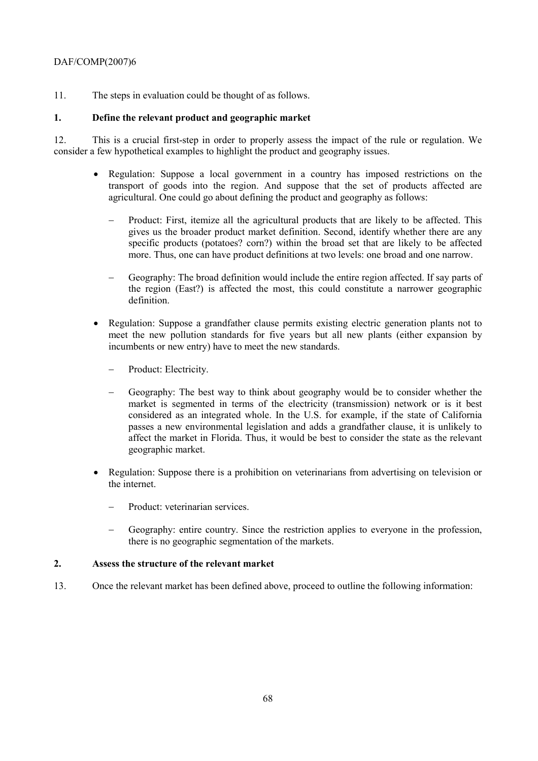11. The steps in evaluation could be thought of as follows.

# **1. Define the relevant product and geographic market**

12. This is a crucial first-step in order to properly assess the impact of the rule or regulation. We consider a few hypothetical examples to highlight the product and geography issues.

- Regulation: Suppose a local government in a country has imposed restrictions on the transport of goods into the region. And suppose that the set of products affected are agricultural. One could go about defining the product and geography as follows:
	- − Product: First, itemize all the agricultural products that are likely to be affected. This gives us the broader product market definition. Second, identify whether there are any specific products (potatoes? corn?) within the broad set that are likely to be affected more. Thus, one can have product definitions at two levels: one broad and one narrow.
	- − Geography: The broad definition would include the entire region affected. If say parts of the region (East?) is affected the most, this could constitute a narrower geographic definition.
- Regulation: Suppose a grandfather clause permits existing electric generation plants not to meet the new pollution standards for five years but all new plants (either expansion by incumbents or new entry) have to meet the new standards.
	- − Product: Electricity.
	- − Geography: The best way to think about geography would be to consider whether the market is segmented in terms of the electricity (transmission) network or is it best considered as an integrated whole. In the U.S. for example, if the state of California passes a new environmental legislation and adds a grandfather clause, it is unlikely to affect the market in Florida. Thus, it would be best to consider the state as the relevant geographic market.
- Regulation: Suppose there is a prohibition on veterinarians from advertising on television or the internet.
	- Product: veterinarian services.
	- − Geography: entire country. Since the restriction applies to everyone in the profession, there is no geographic segmentation of the markets.

# **2. Assess the structure of the relevant market**

13. Once the relevant market has been defined above, proceed to outline the following information: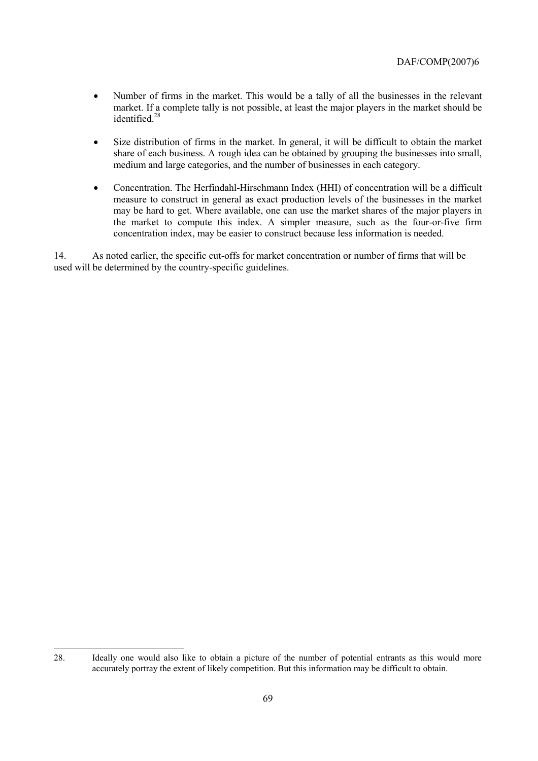- Number of firms in the market. This would be a tally of all the businesses in the relevant market. If a complete tally is not possible, at least the major players in the market should be identified.<sup>28</sup>
- Size distribution of firms in the market. In general, it will be difficult to obtain the market share of each business. A rough idea can be obtained by grouping the businesses into small, medium and large categories, and the number of businesses in each category.
- Concentration. The Herfindahl-Hirschmann Index (HHI) of concentration will be a difficult measure to construct in general as exact production levels of the businesses in the market may be hard to get. Where available, one can use the market shares of the major players in the market to compute this index. A simpler measure, such as the four-or-five firm concentration index, may be easier to construct because less information is needed.

14. As noted earlier, the specific cut-offs for market concentration or number of firms that will be used will be determined by the country-specific guidelines.

 $\overline{a}$ 

<sup>28.</sup> Ideally one would also like to obtain a picture of the number of potential entrants as this would more accurately portray the extent of likely competition. But this information may be difficult to obtain.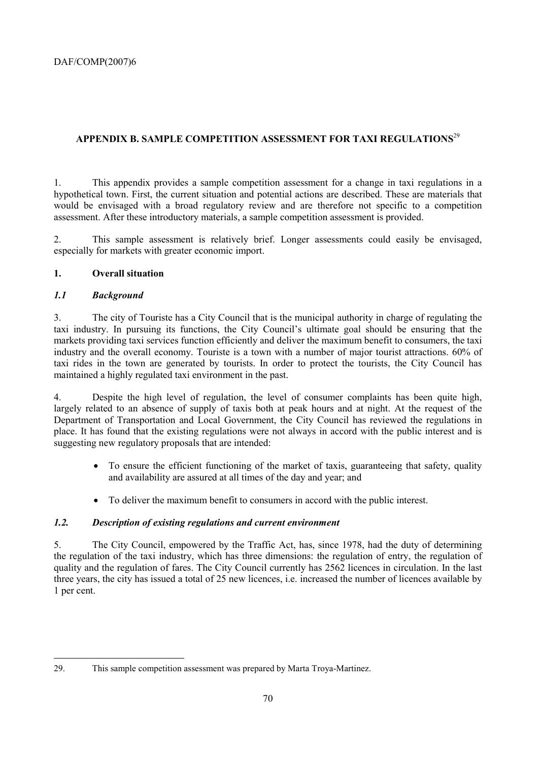# **APPENDIX B. SAMPLE COMPETITION ASSESSMENT FOR TAXI REGULATIONS**<sup>29</sup>

1. This appendix provides a sample competition assessment for a change in taxi regulations in a hypothetical town. First, the current situation and potential actions are described. These are materials that would be envisaged with a broad regulatory review and are therefore not specific to a competition assessment. After these introductory materials, a sample competition assessment is provided.

2. This sample assessment is relatively brief. Longer assessments could easily be envisaged, especially for markets with greater economic import.

# **1. Overall situation**

# *1.1 Background*

3. The city of Touriste has a City Council that is the municipal authority in charge of regulating the taxi industry. In pursuing its functions, the City Council's ultimate goal should be ensuring that the markets providing taxi services function efficiently and deliver the maximum benefit to consumers, the taxi industry and the overall economy. Touriste is a town with a number of major tourist attractions. 60% of taxi rides in the town are generated by tourists. In order to protect the tourists, the City Council has maintained a highly regulated taxi environment in the past.

4. Despite the high level of regulation, the level of consumer complaints has been quite high, largely related to an absence of supply of taxis both at peak hours and at night. At the request of the Department of Transportation and Local Government, the City Council has reviewed the regulations in place. It has found that the existing regulations were not always in accord with the public interest and is suggesting new regulatory proposals that are intended:

- To ensure the efficient functioning of the market of taxis, guaranteeing that safety, quality and availability are assured at all times of the day and year; and
- To deliver the maximum benefit to consumers in accord with the public interest.

# *1.2. Description of existing regulations and current environment*

5. The City Council, empowered by the Traffic Act, has, since 1978, had the duty of determining the regulation of the taxi industry, which has three dimensions: the regulation of entry, the regulation of quality and the regulation of fares. The City Council currently has 2562 licences in circulation. In the last three years, the city has issued a total of 25 new licences, i.e. increased the number of licences available by 1 per cent.

<sup>29.</sup> This sample competition assessment was prepared by Marta Troya-Martinez.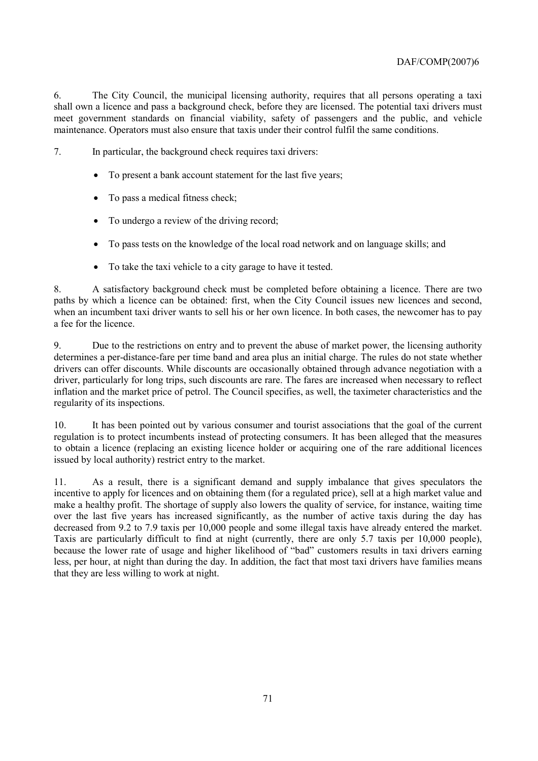6. The City Council, the municipal licensing authority, requires that all persons operating a taxi shall own a licence and pass a background check, before they are licensed. The potential taxi drivers must meet government standards on financial viability, safety of passengers and the public, and vehicle maintenance. Operators must also ensure that taxis under their control fulfil the same conditions.

7. In particular, the background check requires taxi drivers:

- To present a bank account statement for the last five years;
- To pass a medical fitness check;
- To undergo a review of the driving record;
- To pass tests on the knowledge of the local road network and on language skills; and
- To take the taxi vehicle to a city garage to have it tested.

8. A satisfactory background check must be completed before obtaining a licence. There are two paths by which a licence can be obtained: first, when the City Council issues new licences and second, when an incumbent taxi driver wants to sell his or her own licence. In both cases, the newcomer has to pay a fee for the licence.

9. Due to the restrictions on entry and to prevent the abuse of market power, the licensing authority determines a per-distance-fare per time band and area plus an initial charge. The rules do not state whether drivers can offer discounts. While discounts are occasionally obtained through advance negotiation with a driver, particularly for long trips, such discounts are rare. The fares are increased when necessary to reflect inflation and the market price of petrol. The Council specifies, as well, the taximeter characteristics and the regularity of its inspections.

10. It has been pointed out by various consumer and tourist associations that the goal of the current regulation is to protect incumbents instead of protecting consumers. It has been alleged that the measures to obtain a licence (replacing an existing licence holder or acquiring one of the rare additional licences issued by local authority) restrict entry to the market.

11. As a result, there is a significant demand and supply imbalance that gives speculators the incentive to apply for licences and on obtaining them (for a regulated price), sell at a high market value and make a healthy profit. The shortage of supply also lowers the quality of service, for instance, waiting time over the last five years has increased significantly, as the number of active taxis during the day has decreased from 9.2 to 7.9 taxis per 10,000 people and some illegal taxis have already entered the market. Taxis are particularly difficult to find at night (currently, there are only 5.7 taxis per 10,000 people), because the lower rate of usage and higher likelihood of "bad" customers results in taxi drivers earning less, per hour, at night than during the day. In addition, the fact that most taxi drivers have families means that they are less willing to work at night.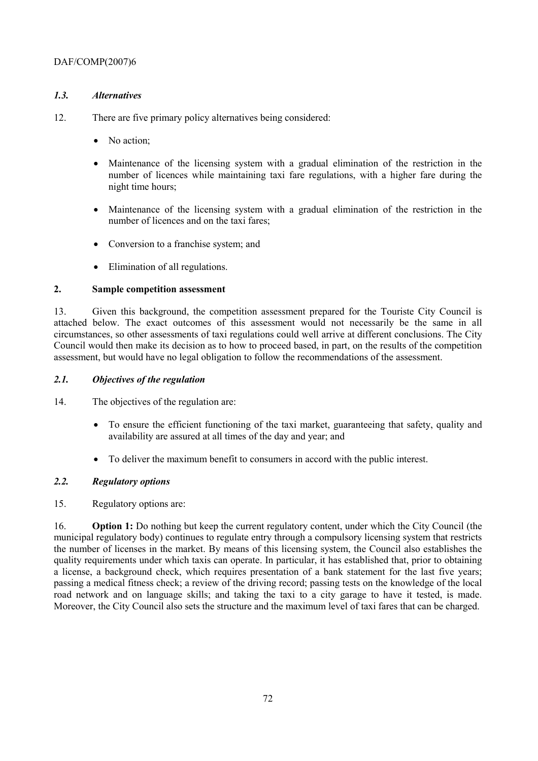# *1.3. Alternatives*

- 12. There are five primary policy alternatives being considered:
	- No action;
	- Maintenance of the licensing system with a gradual elimination of the restriction in the number of licences while maintaining taxi fare regulations, with a higher fare during the night time hours;
	- Maintenance of the licensing system with a gradual elimination of the restriction in the number of licences and on the taxi fares;
	- Conversion to a franchise system; and
	- Elimination of all regulations.

# **2. Sample competition assessment**

13. Given this background, the competition assessment prepared for the Touriste City Council is attached below. The exact outcomes of this assessment would not necessarily be the same in all circumstances, so other assessments of taxi regulations could well arrive at different conclusions. The City Council would then make its decision as to how to proceed based, in part, on the results of the competition assessment, but would have no legal obligation to follow the recommendations of the assessment.

# *2.1. Objectives of the regulation*

14. The objectives of the regulation are:

- To ensure the efficient functioning of the taxi market, guaranteeing that safety, quality and availability are assured at all times of the day and year; and
- To deliver the maximum benefit to consumers in accord with the public interest.

# *2.2. Regulatory options*

15. Regulatory options are:

16. **Option 1:** Do nothing but keep the current regulatory content, under which the City Council (the municipal regulatory body) continues to regulate entry through a compulsory licensing system that restricts the number of licenses in the market. By means of this licensing system, the Council also establishes the quality requirements under which taxis can operate. In particular, it has established that, prior to obtaining a license, a background check, which requires presentation of a bank statement for the last five years; passing a medical fitness check; a review of the driving record; passing tests on the knowledge of the local road network and on language skills; and taking the taxi to a city garage to have it tested, is made. Moreover, the City Council also sets the structure and the maximum level of taxi fares that can be charged.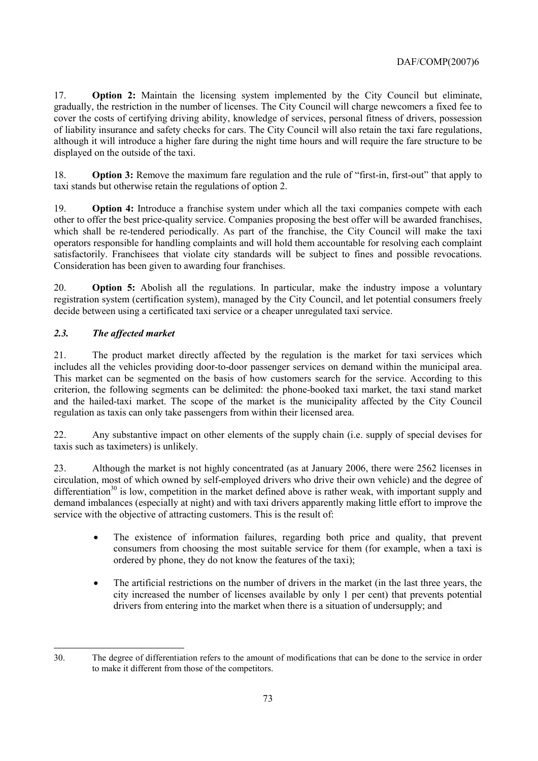17. **Option 2:** Maintain the licensing system implemented by the City Council but eliminate, gradually, the restriction in the number of licenses. The City Council will charge newcomers a fixed fee to cover the costs of certifying driving ability, knowledge of services, personal fitness of drivers, possession of liability insurance and safety checks for cars. The City Council will also retain the taxi fare regulations, although it will introduce a higher fare during the night time hours and will require the fare structure to be displayed on the outside of the taxi.

18. **Option 3:** Remove the maximum fare regulation and the rule of "first-in, first-out" that apply to taxi stands but otherwise retain the regulations of option 2.

19. **Option 4:** Introduce a franchise system under which all the taxi companies compete with each other to offer the best price-quality service. Companies proposing the best offer will be awarded franchises, which shall be re-tendered periodically. As part of the franchise, the City Council will make the taxi operators responsible for handling complaints and will hold them accountable for resolving each complaint satisfactorily. Franchisees that violate city standards will be subject to fines and possible revocations. Consideration has been given to awarding four franchises.

20. **Option 5:** Abolish all the regulations. In particular, make the industry impose a voluntary registration system (certification system), managed by the City Council, and let potential consumers freely decide between using a certificated taxi service or a cheaper unregulated taxi service.

## *2.3. The affected market*

21. The product market directly affected by the regulation is the market for taxi services which includes all the vehicles providing door-to-door passenger services on demand within the municipal area. This market can be segmented on the basis of how customers search for the service. According to this criterion, the following segments can be delimited: the phone-booked taxi market, the taxi stand market and the hailed-taxi market. The scope of the market is the municipality affected by the City Council regulation as taxis can only take passengers from within their licensed area.

22. Any substantive impact on other elements of the supply chain (i.e. supply of special devises for taxis such as taximeters) is unlikely.

23. Although the market is not highly concentrated (as at January 2006, there were 2562 licenses in circulation, most of which owned by self-employed drivers who drive their own vehicle) and the degree of differentiation<sup>30</sup> is low, competition in the market defined above is rather weak, with important supply and demand imbalances (especially at night) and with taxi drivers apparently making little effort to improve the service with the objective of attracting customers. This is the result of:

- The existence of information failures, regarding both price and quality, that prevent consumers from choosing the most suitable service for them (for example, when a taxi is ordered by phone, they do not know the features of the taxi);
- The artificial restrictions on the number of drivers in the market (in the last three years, the city increased the number of licenses available by only 1 per cent) that prevents potential drivers from entering into the market when there is a situation of undersupply; and

 $\overline{a}$ 30. The degree of differentiation refers to the amount of modifications that can be done to the service in order to make it different from those of the competitors.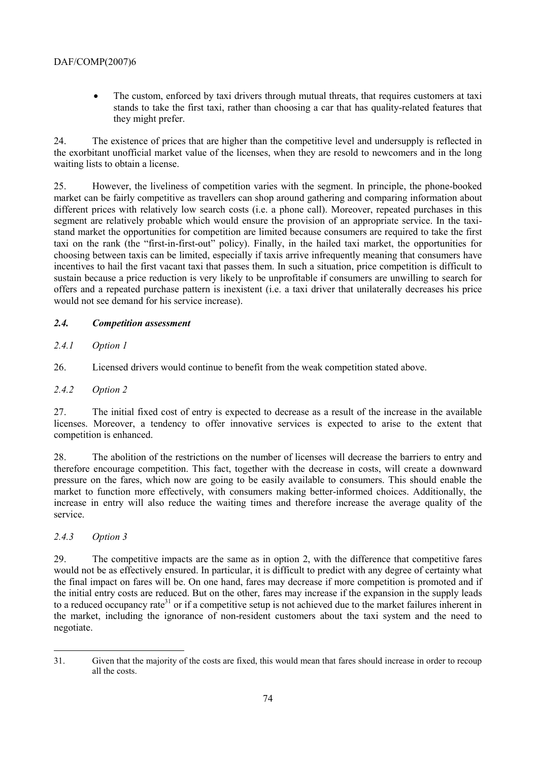## DAF/COMP(2007)6

• The custom, enforced by taxi drivers through mutual threats, that requires customers at taxi stands to take the first taxi, rather than choosing a car that has quality-related features that they might prefer.

24. The existence of prices that are higher than the competitive level and undersupply is reflected in the exorbitant unofficial market value of the licenses, when they are resold to newcomers and in the long waiting lists to obtain a license.

25. However, the liveliness of competition varies with the segment. In principle, the phone-booked market can be fairly competitive as travellers can shop around gathering and comparing information about different prices with relatively low search costs (i.e. a phone call). Moreover, repeated purchases in this segment are relatively probable which would ensure the provision of an appropriate service. In the taxistand market the opportunities for competition are limited because consumers are required to take the first taxi on the rank (the "first-in-first-out" policy). Finally, in the hailed taxi market, the opportunities for choosing between taxis can be limited, especially if taxis arrive infrequently meaning that consumers have incentives to hail the first vacant taxi that passes them. In such a situation, price competition is difficult to sustain because a price reduction is very likely to be unprofitable if consumers are unwilling to search for offers and a repeated purchase pattern is inexistent (i.e. a taxi driver that unilaterally decreases his price would not see demand for his service increase).

## *2.4. Competition assessment*

*2.4.1 Option 1* 

26. Licensed drivers would continue to benefit from the weak competition stated above.

#### *2.4.2 Option 2*

27. The initial fixed cost of entry is expected to decrease as a result of the increase in the available licenses. Moreover, a tendency to offer innovative services is expected to arise to the extent that competition is enhanced.

28. The abolition of the restrictions on the number of licenses will decrease the barriers to entry and therefore encourage competition. This fact, together with the decrease in costs, will create a downward pressure on the fares, which now are going to be easily available to consumers. This should enable the market to function more effectively, with consumers making better-informed choices. Additionally, the increase in entry will also reduce the waiting times and therefore increase the average quality of the service.

#### *2.4.3 Option 3*

 $\overline{a}$ 

29. The competitive impacts are the same as in option 2, with the difference that competitive fares would not be as effectively ensured. In particular, it is difficult to predict with any degree of certainty what the final impact on fares will be. On one hand, fares may decrease if more competition is promoted and if the initial entry costs are reduced. But on the other, fares may increase if the expansion in the supply leads to a reduced occupancy rate<sup>31</sup> or if a competitive setup is not achieved due to the market failures inherent in the market, including the ignorance of non-resident customers about the taxi system and the need to negotiate.

<sup>31.</sup> Given that the majority of the costs are fixed, this would mean that fares should increase in order to recoup all the costs.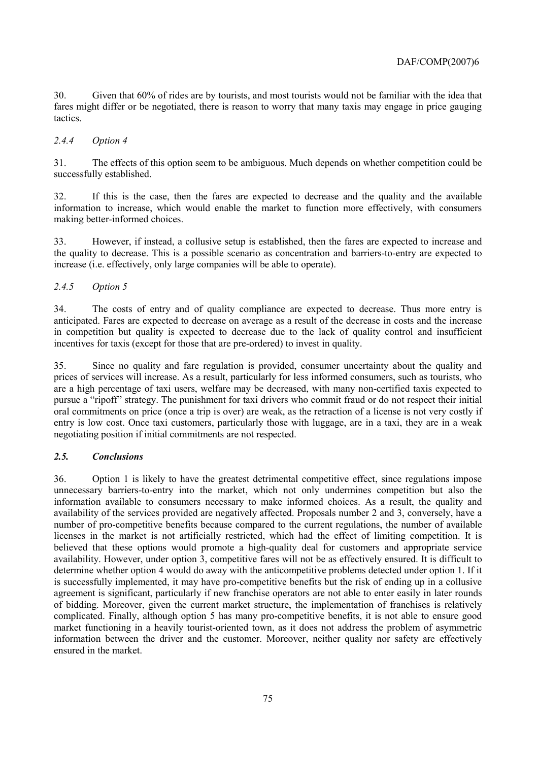30. Given that 60% of rides are by tourists, and most tourists would not be familiar with the idea that fares might differ or be negotiated, there is reason to worry that many taxis may engage in price gauging tactics.

#### *2.4.4 Option 4*

31. The effects of this option seem to be ambiguous. Much depends on whether competition could be successfully established.

32. If this is the case, then the fares are expected to decrease and the quality and the available information to increase, which would enable the market to function more effectively, with consumers making better-informed choices.

33. However, if instead, a collusive setup is established, then the fares are expected to increase and the quality to decrease. This is a possible scenario as concentration and barriers-to-entry are expected to increase (i.e. effectively, only large companies will be able to operate).

#### *2.4.5 Option 5*

34. The costs of entry and of quality compliance are expected to decrease. Thus more entry is anticipated. Fares are expected to decrease on average as a result of the decrease in costs and the increase in competition but quality is expected to decrease due to the lack of quality control and insufficient incentives for taxis (except for those that are pre-ordered) to invest in quality.

35. Since no quality and fare regulation is provided, consumer uncertainty about the quality and prices of services will increase. As a result, particularly for less informed consumers, such as tourists, who are a high percentage of taxi users, welfare may be decreased, with many non-certified taxis expected to pursue a "ripoff" strategy. The punishment for taxi drivers who commit fraud or do not respect their initial oral commitments on price (once a trip is over) are weak, as the retraction of a license is not very costly if entry is low cost. Once taxi customers, particularly those with luggage, are in a taxi, they are in a weak negotiating position if initial commitments are not respected.

#### *2.5. Conclusions*

36. Option 1 is likely to have the greatest detrimental competitive effect, since regulations impose unnecessary barriers-to-entry into the market, which not only undermines competition but also the information available to consumers necessary to make informed choices. As a result, the quality and availability of the services provided are negatively affected. Proposals number 2 and 3, conversely, have a number of pro-competitive benefits because compared to the current regulations, the number of available licenses in the market is not artificially restricted, which had the effect of limiting competition. It is believed that these options would promote a high-quality deal for customers and appropriate service availability. However, under option 3, competitive fares will not be as effectively ensured. It is difficult to determine whether option 4 would do away with the anticompetitive problems detected under option 1. If it is successfully implemented, it may have pro-competitive benefits but the risk of ending up in a collusive agreement is significant, particularly if new franchise operators are not able to enter easily in later rounds of bidding. Moreover, given the current market structure, the implementation of franchises is relatively complicated. Finally, although option 5 has many pro-competitive benefits, it is not able to ensure good market functioning in a heavily tourist-oriented town, as it does not address the problem of asymmetric information between the driver and the customer. Moreover, neither quality nor safety are effectively ensured in the market.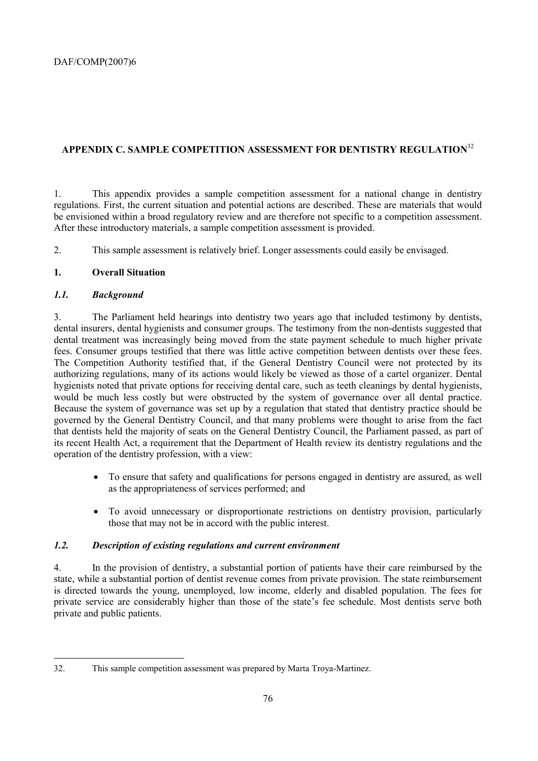# **APPENDIX C. SAMPLE COMPETITION ASSESSMENT FOR DENTISTRY REGULATION**<sup>32</sup>

1. This appendix provides a sample competition assessment for a national change in dentistry regulations. First, the current situation and potential actions are described. These are materials that would be envisioned within a broad regulatory review and are therefore not specific to a competition assessment. After these introductory materials, a sample competition assessment is provided.

2. This sample assessment is relatively brief. Longer assessments could easily be envisaged.

## **1. Overall Situation**

## *1.1. Background*

3. The Parliament held hearings into dentistry two years ago that included testimony by dentists, dental insurers, dental hygienists and consumer groups. The testimony from the non-dentists suggested that dental treatment was increasingly being moved from the state payment schedule to much higher private fees. Consumer groups testified that there was little active competition between dentists over these fees. The Competition Authority testified that, if the General Dentistry Council were not protected by its authorizing regulations, many of its actions would likely be viewed as those of a cartel organizer. Dental hygienists noted that private options for receiving dental care, such as teeth cleanings by dental hygienists, would be much less costly but were obstructed by the system of governance over all dental practice. Because the system of governance was set up by a regulation that stated that dentistry practice should be governed by the General Dentistry Council, and that many problems were thought to arise from the fact that dentists held the majority of seats on the General Dentistry Council, the Parliament passed, as part of its recent Health Act, a requirement that the Department of Health review its dentistry regulations and the operation of the dentistry profession, with a view:

- To ensure that safety and qualifications for persons engaged in dentistry are assured, as well as the appropriateness of services performed; and
- To avoid unnecessary or disproportionate restrictions on dentistry provision, particularly those that may not be in accord with the public interest.

#### *1.2. Description of existing regulations and current environment*

4. In the provision of dentistry, a substantial portion of patients have their care reimbursed by the state, while a substantial portion of dentist revenue comes from private provision. The state reimbursement is directed towards the young, unemployed, low income, elderly and disabled population. The fees for private service are considerably higher than those of the state's fee schedule. Most dentists serve both private and public patients.

<sup>32.</sup> This sample competition assessment was prepared by Marta Troya-Martinez.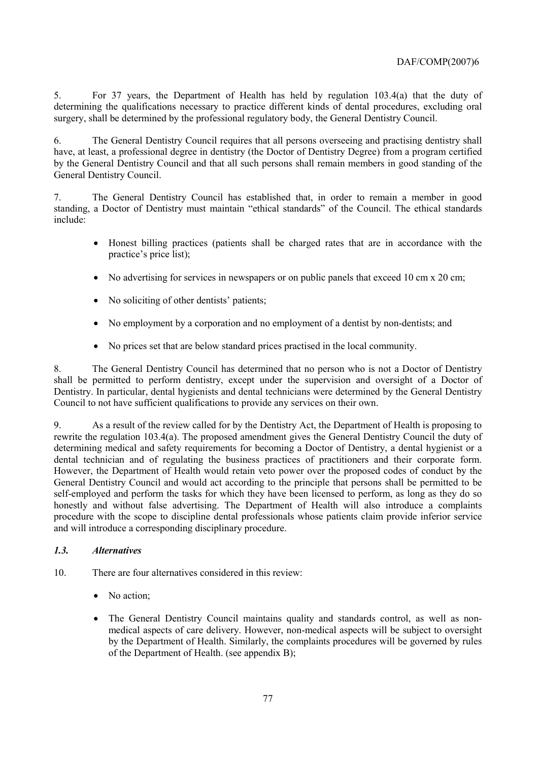5. For 37 years, the Department of Health has held by regulation 103.4(a) that the duty of determining the qualifications necessary to practice different kinds of dental procedures, excluding oral surgery, shall be determined by the professional regulatory body, the General Dentistry Council.

6. The General Dentistry Council requires that all persons overseeing and practising dentistry shall have, at least, a professional degree in dentistry (the Doctor of Dentistry Degree) from a program certified by the General Dentistry Council and that all such persons shall remain members in good standing of the General Dentistry Council.

7. The General Dentistry Council has established that, in order to remain a member in good standing, a Doctor of Dentistry must maintain "ethical standards" of the Council. The ethical standards include:

- Honest billing practices (patients shall be charged rates that are in accordance with the practice's price list);
- No advertising for services in newspapers or on public panels that exceed 10 cm x 20 cm;
- No soliciting of other dentists' patients;
- No employment by a corporation and no employment of a dentist by non-dentists; and
- No prices set that are below standard prices practised in the local community.

8. The General Dentistry Council has determined that no person who is not a Doctor of Dentistry shall be permitted to perform dentistry, except under the supervision and oversight of a Doctor of Dentistry. In particular, dental hygienists and dental technicians were determined by the General Dentistry Council to not have sufficient qualifications to provide any services on their own.

9. As a result of the review called for by the Dentistry Act, the Department of Health is proposing to rewrite the regulation 103.4(a). The proposed amendment gives the General Dentistry Council the duty of determining medical and safety requirements for becoming a Doctor of Dentistry, a dental hygienist or a dental technician and of regulating the business practices of practitioners and their corporate form. However, the Department of Health would retain veto power over the proposed codes of conduct by the General Dentistry Council and would act according to the principle that persons shall be permitted to be self-employed and perform the tasks for which they have been licensed to perform, as long as they do so honestly and without false advertising. The Department of Health will also introduce a complaints procedure with the scope to discipline dental professionals whose patients claim provide inferior service and will introduce a corresponding disciplinary procedure.

#### *1.3. Alternatives*

- 10. There are four alternatives considered in this review:
	- No action:
	- The General Dentistry Council maintains quality and standards control, as well as nonmedical aspects of care delivery. However, non-medical aspects will be subject to oversight by the Department of Health. Similarly, the complaints procedures will be governed by rules of the Department of Health. (see appendix B);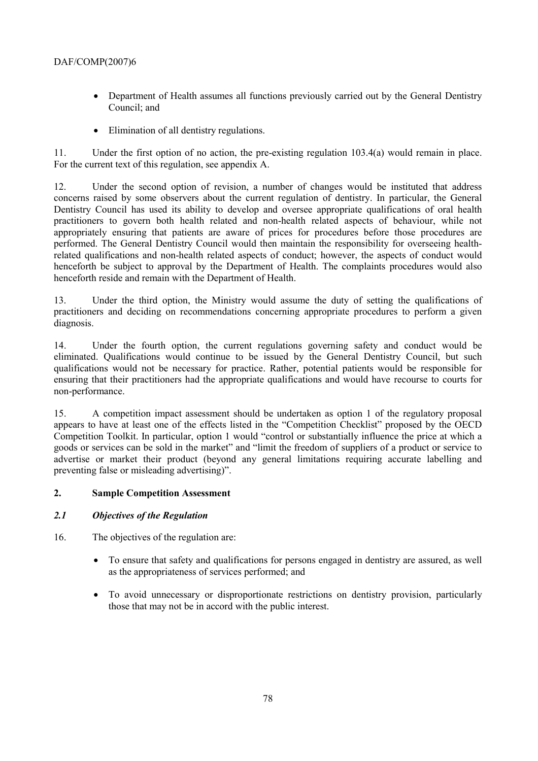- Department of Health assumes all functions previously carried out by the General Dentistry Council; and
- Elimination of all dentistry regulations.

11. Under the first option of no action, the pre-existing regulation 103.4(a) would remain in place. For the current text of this regulation, see appendix A.

12. Under the second option of revision, a number of changes would be instituted that address concerns raised by some observers about the current regulation of dentistry. In particular, the General Dentistry Council has used its ability to develop and oversee appropriate qualifications of oral health practitioners to govern both health related and non-health related aspects of behaviour, while not appropriately ensuring that patients are aware of prices for procedures before those procedures are performed. The General Dentistry Council would then maintain the responsibility for overseeing healthrelated qualifications and non-health related aspects of conduct; however, the aspects of conduct would henceforth be subject to approval by the Department of Health. The complaints procedures would also henceforth reside and remain with the Department of Health.

13. Under the third option, the Ministry would assume the duty of setting the qualifications of practitioners and deciding on recommendations concerning appropriate procedures to perform a given diagnosis.

14. Under the fourth option, the current regulations governing safety and conduct would be eliminated. Qualifications would continue to be issued by the General Dentistry Council, but such qualifications would not be necessary for practice. Rather, potential patients would be responsible for ensuring that their practitioners had the appropriate qualifications and would have recourse to courts for non-performance.

15. A competition impact assessment should be undertaken as option 1 of the regulatory proposal appears to have at least one of the effects listed in the "Competition Checklist" proposed by the OECD Competition Toolkit. In particular, option 1 would "control or substantially influence the price at which a goods or services can be sold in the market" and "limit the freedom of suppliers of a product or service to advertise or market their product (beyond any general limitations requiring accurate labelling and preventing false or misleading advertising)".

#### **2. Sample Competition Assessment**

#### *2.1 Objectives of the Regulation*

- 16. The objectives of the regulation are:
	- To ensure that safety and qualifications for persons engaged in dentistry are assured, as well as the appropriateness of services performed; and
	- To avoid unnecessary or disproportionate restrictions on dentistry provision, particularly those that may not be in accord with the public interest.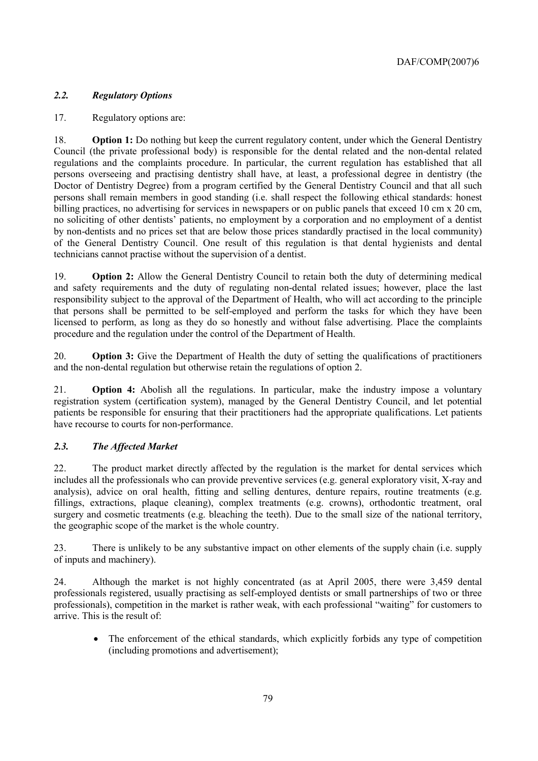## *2.2. Regulatory Options*

## 17. Regulatory options are:

18. **Option 1:** Do nothing but keep the current regulatory content, under which the General Dentistry Council (the private professional body) is responsible for the dental related and the non-dental related regulations and the complaints procedure. In particular, the current regulation has established that all persons overseeing and practising dentistry shall have, at least, a professional degree in dentistry (the Doctor of Dentistry Degree) from a program certified by the General Dentistry Council and that all such persons shall remain members in good standing (i.e. shall respect the following ethical standards: honest billing practices, no advertising for services in newspapers or on public panels that exceed 10 cm x 20 cm, no soliciting of other dentists' patients, no employment by a corporation and no employment of a dentist by non-dentists and no prices set that are below those prices standardly practised in the local community) of the General Dentistry Council. One result of this regulation is that dental hygienists and dental technicians cannot practise without the supervision of a dentist.

19. **Option 2:** Allow the General Dentistry Council to retain both the duty of determining medical and safety requirements and the duty of regulating non-dental related issues; however, place the last responsibility subject to the approval of the Department of Health, who will act according to the principle that persons shall be permitted to be self-employed and perform the tasks for which they have been licensed to perform, as long as they do so honestly and without false advertising. Place the complaints procedure and the regulation under the control of the Department of Health.

20. **Option 3:** Give the Department of Health the duty of setting the qualifications of practitioners and the non-dental regulation but otherwise retain the regulations of option 2.

21. **Option 4:** Abolish all the regulations. In particular, make the industry impose a voluntary registration system (certification system), managed by the General Dentistry Council, and let potential patients be responsible for ensuring that their practitioners had the appropriate qualifications. Let patients have recourse to courts for non-performance.

## *2.3. The Affected Market*

22. The product market directly affected by the regulation is the market for dental services which includes all the professionals who can provide preventive services (e.g. general exploratory visit, X-ray and analysis), advice on oral health, fitting and selling dentures, denture repairs, routine treatments (e.g. fillings, extractions, plaque cleaning), complex treatments (e.g. crowns), orthodontic treatment, oral surgery and cosmetic treatments (e.g. bleaching the teeth). Due to the small size of the national territory, the geographic scope of the market is the whole country.

23. There is unlikely to be any substantive impact on other elements of the supply chain (i.e. supply of inputs and machinery).

24. Although the market is not highly concentrated (as at April 2005, there were 3,459 dental professionals registered, usually practising as self-employed dentists or small partnerships of two or three professionals), competition in the market is rather weak, with each professional "waiting" for customers to arrive. This is the result of:

• The enforcement of the ethical standards, which explicitly forbids any type of competition (including promotions and advertisement);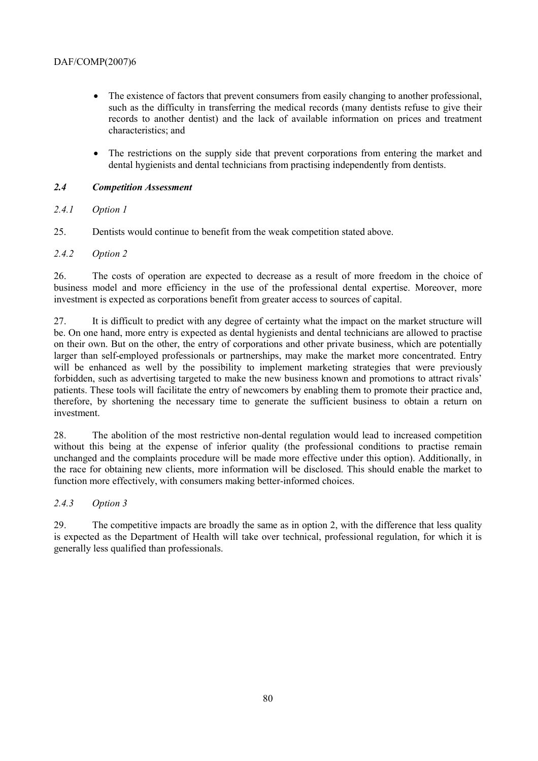- The existence of factors that prevent consumers from easily changing to another professional, such as the difficulty in transferring the medical records (many dentists refuse to give their records to another dentist) and the lack of available information on prices and treatment characteristics; and
- The restrictions on the supply side that prevent corporations from entering the market and dental hygienists and dental technicians from practising independently from dentists.

## *2.4 Competition Assessment*

## *2.4.1 Option 1*

25. Dentists would continue to benefit from the weak competition stated above.

## *2.4.2 Option 2*

26. The costs of operation are expected to decrease as a result of more freedom in the choice of business model and more efficiency in the use of the professional dental expertise. Moreover, more investment is expected as corporations benefit from greater access to sources of capital.

27. It is difficult to predict with any degree of certainty what the impact on the market structure will be. On one hand, more entry is expected as dental hygienists and dental technicians are allowed to practise on their own. But on the other, the entry of corporations and other private business, which are potentially larger than self-employed professionals or partnerships, may make the market more concentrated. Entry will be enhanced as well by the possibility to implement marketing strategies that were previously forbidden, such as advertising targeted to make the new business known and promotions to attract rivals<sup>7</sup> patients. These tools will facilitate the entry of newcomers by enabling them to promote their practice and, therefore, by shortening the necessary time to generate the sufficient business to obtain a return on investment.

28. The abolition of the most restrictive non-dental regulation would lead to increased competition without this being at the expense of inferior quality (the professional conditions to practise remain unchanged and the complaints procedure will be made more effective under this option). Additionally, in the race for obtaining new clients, more information will be disclosed. This should enable the market to function more effectively, with consumers making better-informed choices.

#### *2.4.3 Option 3*

29. The competitive impacts are broadly the same as in option 2, with the difference that less quality is expected as the Department of Health will take over technical, professional regulation, for which it is generally less qualified than professionals.